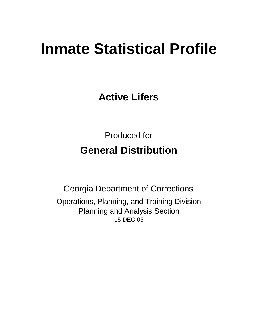# **Inmate Statistical Profile**

**Active Lifers**

Produced for **General Distribution**

15-DEC-05 Georgia Department of Corrections Operations, Planning, and Training Division Planning and Analysis Section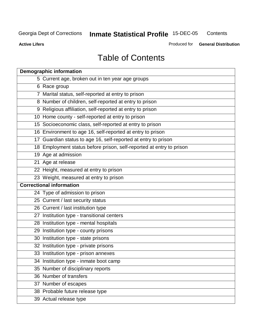**Active Lifers**

Produced for **General Distribution**

## Table of Contents

| <b>Demographic information</b>                                       |
|----------------------------------------------------------------------|
| 5 Current age, broken out in ten year age groups                     |
| 6 Race group                                                         |
| 7 Marital status, self-reported at entry to prison                   |
| 8 Number of children, self-reported at entry to prison               |
| 9 Religious affiliation, self-reported at entry to prison            |
| 10 Home county - self-reported at entry to prison                    |
| 15 Socioeconomic class, self-reported at entry to prison             |
| 16 Environment to age 16, self-reported at entry to prison           |
| 17 Guardian status to age 16, self-reported at entry to prison       |
| 18 Employment status before prison, self-reported at entry to prison |
| 19 Age at admission                                                  |
| 21 Age at release                                                    |
| 22 Height, measured at entry to prison                               |
| 23 Weight, measured at entry to prison                               |
| <b>Correctional information</b>                                      |
| 24 Type of admission to prison                                       |
| 25 Current / last security status                                    |
| 26 Current / last institution type                                   |
| 27 Institution type - transitional centers                           |
| 28 Institution type - mental hospitals                               |
| 29 Institution type - county prisons                                 |
| 30 Institution type - state prisons                                  |
| 32 Institution type - private prisons                                |
| 33 Institution type - prison annexes                                 |
| 34 Institution type - inmate boot camp                               |
| 35 Number of disciplinary reports                                    |
| 36 Number of transfers                                               |
| 37 Number of escapes                                                 |
| 38 Probable future release type                                      |
| 39 Actual release type                                               |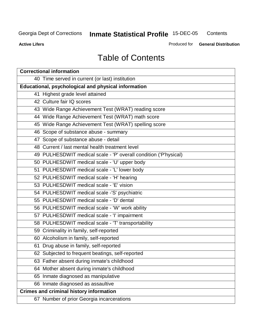**Contents** 

**Active Lifers**

Produced for **General Distribution**

## Table of Contents

| <b>Correctional information</b>                                  |
|------------------------------------------------------------------|
| 40 Time served in current (or last) institution                  |
| <b>Educational, psychological and physical information</b>       |
| 41 Highest grade level attained                                  |
| 42 Culture fair IQ scores                                        |
| 43 Wide Range Achievement Test (WRAT) reading score              |
| 44 Wide Range Achievement Test (WRAT) math score                 |
| 45 Wide Range Achievement Test (WRAT) spelling score             |
| 46 Scope of substance abuse - summary                            |
| 47 Scope of substance abuse - detail                             |
| 48 Current / last mental health treatment level                  |
| 49 PULHESDWIT medical scale - 'P' overall condition ('P'hysical) |
| 50 PULHESDWIT medical scale - 'U' upper body                     |
| 51 PULHESDWIT medical scale - 'L' lower body                     |
| 52 PULHESDWIT medical scale - 'H' hearing                        |
| 53 PULHESDWIT medical scale - 'E' vision                         |
| 54 PULHESDWIT medical scale -'S' psychiatric                     |
| 55 PULHESDWIT medical scale - 'D' dental                         |
| 56 PULHESDWIT medical scale - 'W' work ability                   |
| 57 PULHESDWIT medical scale - 'I' impairment                     |
| 58 PULHESDWIT medical scale - 'T' transportability               |
| 59 Criminality in family, self-reported                          |
| 60 Alcoholism in family, self-reported                           |
| 61 Drug abuse in family, self-reported                           |
| 62 Subjected to frequent beatings, self-reported                 |
| 63 Father absent during inmate's childhood                       |
| 64 Mother absent during inmate's childhood                       |
| 65 Inmate diagnosed as manipulative                              |
| 66 Inmate diagnosed as assaultive                                |
| <b>Crimes and criminal history information</b>                   |
| 67 Number of prior Georgia incarcerations                        |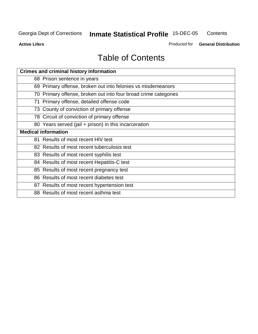**Active Lifers**

Produced for **General Distribution**

## Table of Contents

| <b>Crimes and criminal history information</b>                  |
|-----------------------------------------------------------------|
| 68 Prison sentence in years                                     |
| 69 Primary offense, broken out into felonies vs misdemeanors    |
| 70 Primary offense, broken out into four broad crime categories |
| 71 Primary offense, detailed offense code                       |
| 73 County of conviction of primary offense                      |
| 78 Circuit of conviction of primary offense                     |
| 80 Years served (jail + prison) in this incarceration           |
| <b>Medical information</b>                                      |
| 81 Results of most recent HIV test                              |
| 82 Results of most recent tuberculosis test                     |
| 83 Results of most recent syphilis test                         |
| 84 Results of most recent Hepatitis-C test                      |
| 85 Results of most recent pregnancy test                        |
| 86 Results of most recent diabetes test                         |
| 87 Results of most recent hypertension test                     |
| 88 Results of most recent asthma test                           |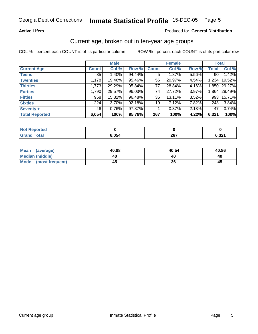#### **Active Lifers**

#### Produced for **General Distribution**

#### Current age, broken out in ten-year age groups

|                       |              | <b>Male</b> |        |              | <b>Female</b> |       | <b>Total</b> |              |
|-----------------------|--------------|-------------|--------|--------------|---------------|-------|--------------|--------------|
| <b>Current Age</b>    | <b>Count</b> | Col %       | Row %  | <b>Count</b> | Col %         | Row % | <b>Total</b> | Col %        |
| <b>Teens</b>          | 85           | 1.40%       | 94.44% | 5            | 1.87%         | 5.56% | 90           | 1.42%        |
| <b>Twenties</b>       | 1,178        | 19.46%      | 95.46% | 56           | 20.97%        | 4.54% | 1,234        | 19.52%       |
| <b>Thirties</b>       | 1,773        | 29.29%      | 95.84% | 77           | 28.84%        | 4.16% |              | 1,850 29.27% |
| <b>Forties</b>        | 1,790        | 29.57%      | 96.03% | 74           | 27.72%        | 3.97% | 1,864        | 29.49%       |
| <b>Fifties</b>        | 958          | 15.82%      | 96.48% | 35           | 13.11%        | 3.52% | 993          | 15.71%       |
| <b>Sixties</b>        | 224          | 3.70%       | 92.18% | 19           | 7.12%         | 7.82% | 243          | 3.84%        |
| Seventy +             | 46           | 0.76%       | 97.87% |              | 0.37%         | 2.13% | 47           | 0.74%        |
| <b>Total Reported</b> | 6,054        | 100%        | 95.78% | 267          | 100%          | 4.22% | 6,321        | 100%         |

| <b>Not Reported</b> |       |              |       |
|---------------------|-------|--------------|-------|
| $f$ ota $f$         | 6,054 | ንድ 7<br>20 I | 6,321 |

| Mean<br>(average)       | 40.88 | 40.54 | 40.86 |
|-------------------------|-------|-------|-------|
| <b>Median (middle)</b>  | 40    | 40    | 40    |
| Mode<br>(most frequent) | 45    | 36    | 45    |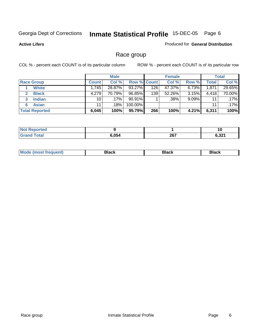**Active Lifers**

#### Produced for **General Distribution**

## Race group

|                       |              | <b>Male</b> |             |     | <b>Female</b> |       |       | <b>Total</b> |
|-----------------------|--------------|-------------|-------------|-----|---------------|-------|-------|--------------|
| <b>Race Group</b>     | <b>Count</b> | Col %       | Row % Count |     | Col %         | Row % | Total | Col %        |
| <b>White</b>          | ا 745.       | 28.87%      | 93.27%      | 126 | 47.37%        | 6.73% | 1,871 | 29.65%       |
| <b>Black</b>          | 4,279        | 70.79%      | 96.85%      | 139 | 52.26%        | 3.15% | 4,418 | 70.00%       |
| <b>Indian</b>         | 10           | .17% ٰ      | $90.91\%$   |     | .38%          | 9.09% | 11    | .17%         |
| <b>Asian</b><br>6     | 11           | .18%        | 100.00%     |     |               |       | 11    | .17%         |
| <b>Total Reported</b> | 6,045        | 100%        | 95.79%      | 266 | 100%          | 4.21% | 6,311 | 100%         |

| N         |            |             | 1 V              |
|-----------|------------|-------------|------------------|
| $\sim$ 40 | <b>ORA</b> | 207<br>ZVI. | . מר ה<br>… ⊾כ…י |

| Black<br>Black<br>Black |
|-------------------------|
|-------------------------|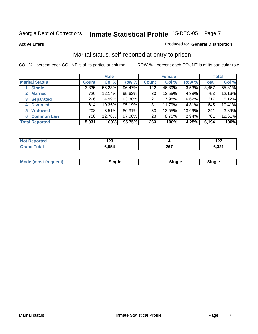#### **Active Lifers**

#### Produced for **General Distribution**

## Marital status, self-reported at entry to prison

|                                |              | <b>Male</b> |        |              | <b>Female</b> |        |              | <b>Total</b> |
|--------------------------------|--------------|-------------|--------|--------------|---------------|--------|--------------|--------------|
| <b>Marital Status</b>          | <b>Count</b> | Col %       | Row %  | <b>Count</b> | Col %         | Row %  | <b>Total</b> | Col %        |
| <b>Single</b>                  | 3,335        | 56.23%      | 96.47% | 122          | 46.39%        | 3.53%  | 3,457        | 55.81%       |
| <b>Married</b><br>$\mathbf{2}$ | 720          | 12.14%      | 95.62% | 33           | 12.55%        | 4.38%  | 753          | 12.16%       |
| <b>Separated</b><br>3          | 296          | 4.99%       | 93.38% | 21           | 7.98%         | 6.62%  | 317          | 5.12%        |
| <b>Divorced</b><br>4           | 614          | 10.35%      | 95.19% | 31           | 11.79%        | 4.81%  | 645          | 10.41%       |
| <b>Widowed</b><br>5            | 208          | 3.51%       | 86.31% | 33           | 12.55%        | 13.69% | 241          | 3.89%        |
| <b>Common Law</b><br>6         | 758          | 12.78%      | 97.06% | 23           | 8.75%         | 2.94%  | 781          | 12.61%       |
| <b>Total Reported</b>          | 5,931        | 100%        | 95.75% | 263          | 100%          | 4.25%  | 6,194        | 100%         |

| י ה<br>12J |             | - - -<br>$\sim$                       |
|------------|-------------|---------------------------------------|
| . 054      | 207<br>20 I | e ook<br>0.JZ .<br>$\cdot$ - $ \cdot$ |

| ---- | <b>Mo</b><br><b>MULLA</b> | .<br>rare |  |  |
|------|---------------------------|-----------|--|--|
|------|---------------------------|-----------|--|--|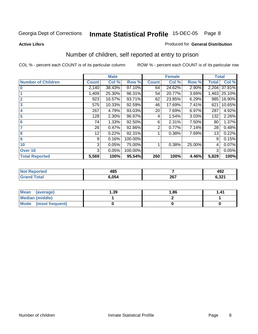#### **Active Lifers**

#### Produced for **General Distribution**

## Number of children, self reported at entry to prison

|                           |                 | <b>Male</b> |         |              | <b>Female</b> |          | <b>Total</b> |        |
|---------------------------|-----------------|-------------|---------|--------------|---------------|----------|--------------|--------|
| <b>Number of Children</b> | <b>Count</b>    | Col %       | Row %   | <b>Count</b> | Col %         | Row %    | <b>Total</b> | Col %  |
| $\overline{0}$            | 2,140           | 38.43%      | 97.10%  | 64           | 24.62%        | 2.90%    | 2,204        | 37.81% |
|                           | 1,409           | 25.30%      | 96.31%  | 54           | 20.77%        | 3.69%    | 1,463        | 25.10% |
| $\overline{2}$            | 923             | 16.57%      | 93.71%  | 62           | 23.85%        | 6.29%    | 985          | 16.90% |
| $\overline{\mathbf{3}}$   | 575             | 10.33%      | 92.59%  | 46           | 17.69%        | 7.41%    | 621          | 10.65% |
| 4                         | 267             | 4.79%       | 93.03%  | 20           | 7.69%         | 6.97%    | 287          | 4.92%  |
| 5                         | 128             | 2.30%       | 96.97%  | 4            | 1.54%         | $3.03\%$ | 132          | 2.26%  |
| 6                         | 74              | 1.33%       | 92.50%  | 6            | 2.31%         | 7.50%    | 80           | 1.37%  |
| 7                         | 26              | 0.47%       | 92.86%  | 2            | 0.77%         | 7.14%    | 28           | 0.48%  |
| 8                         | 12 <sub>2</sub> | 0.22%       | 92.31%  |              | 0.38%         | 7.69%    | 13           | 0.22%  |
| 9                         | 9               | 0.16%       | 100.00% |              |               |          | 9            | 0.15%  |
| 10                        | 3               | 0.05%       | 75.00%  |              | 0.38%         | 25.00%   | 4            | 0.07%  |
| Over 10                   | 3               | 0.05%       | 100.00% |              |               |          | 3            | 0.05%  |
| <b>Total Reported</b>     | 5,569           | 100%        | 95.54%  | 260          | 100%          | 4.46%    | 5,829        | 100%   |

| 485<br>__ |              | 492                 |
|-----------|--------------|---------------------|
| .054      | 267<br>_____ | 22<br>0.JZ I<br>--- |

| <b>Mean</b><br>(average) | 39. ا | 1.86 | 41. ا |
|--------------------------|-------|------|-------|
| <b>Median (middle)</b>   |       |      |       |
| Mode (most frequent)     |       |      |       |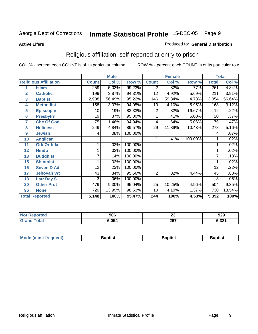#### **Active Lifers**

#### Produced for **General Distribution**

## Religious affiliation, self-reported at entry to prison

|                  |                              |              | <b>Male</b> |         | <b>Female</b>  |        |         | <b>Total</b>     |        |
|------------------|------------------------------|--------------|-------------|---------|----------------|--------|---------|------------------|--------|
|                  | <b>Religious Affiliation</b> | <b>Count</b> | Col %       | Row %   | <b>Count</b>   | Col %  | Row %   | <b>Total</b>     | Col %  |
| 1                | <b>Islam</b>                 | 259          | 5.03%       | 99.23%  | 2              | .82%   | .77%    | 261              | 4.84%  |
| $\overline{2}$   | <b>Catholic</b>              | 199          | 3.87%       | 94.31%  | 12             | 4.92%  | 5.69%   | 211              | 3.91%  |
| 3                | <b>Baptist</b>               | 2,908        | 56.49%      | 95.22%  | 146            | 59.84% | 4.78%   | 3,054            | 56.64% |
| 4                | <b>Methodist</b>             | 158          | 3.07%       | 94.05%  | 10             | 4.10%  | 5.95%   | 168              | 3.12%  |
| 5                | <b>EpiscopIn</b>             | 10           | .19%        | 83.33%  | $\overline{2}$ | .82%   | 16.67%  | 12               | .22%   |
| $6\phantom{1}6$  | <b>Presbytrn</b>             | 19           | .37%        | 95.00%  | 1              | .41%   | 5.00%   | 20               | .37%   |
| 7                | <b>Chc Of God</b>            | 75           | 1.46%       | 94.94%  | 4              | 1.64%  | 5.06%   | 79               | 1.47%  |
| 8                | <b>Holiness</b>              | 249          | 4.84%       | 89.57%  | 29             | 11.89% | 10.43%  | $\overline{278}$ | 5.16%  |
| $\boldsymbol{9}$ | <b>Jewish</b>                | 4            | .08%        | 100.00% |                |        |         | 4                | .07%   |
| 10               | <b>Anglican</b>              |              |             |         | 1              | .41%   | 100.00% |                  | .02%   |
| 11               | <b>Grk Orthdx</b>            | 1            | .02%        | 100.00% |                |        |         |                  | .02%   |
| 12               | <b>Hindu</b>                 |              | .02%        | 100.00% |                |        |         |                  | .02%   |
| 13               | <b>Buddhist</b>              | 7            | .14%        | 100.00% |                |        |         | 7                | .13%   |
| 15               | <b>Shintoist</b>             | 1            | .02%        | 100.00% |                |        |         |                  | .02%   |
| 16               | <b>Seven D Ad</b>            | 12           | .23%        | 100.00% |                |        |         | 12               | .22%   |
| 17               | <b>Jehovah Wt</b>            | 43           | .84%        | 95.56%  | $\overline{2}$ | .82%   | 4.44%   | 45               | .83%   |
| 18               | <b>Latr Day S</b>            | 3            | .06%        | 100.00% |                |        |         | 3                | .06%   |
| 20               | <b>Other Prot</b>            | 479          | 9.30%       | 95.04%  | 25             | 10.25% | 4.96%   | 504              | 9.35%  |
| 96               | <b>None</b>                  | 720          | 13.99%      | 98.63%  | 10             | 4.10%  | 1.37%   | 730              | 13.54% |
|                  | <b>Total Reported</b>        | 5,148        | 100%        | 95.47%  | 244            | 100%   | 4.53%   | 5,392            | 100%   |

| тес. | ባበር<br>JUL | n.<br>2J | 929             |
|------|------------|----------|-----------------|
|      | .054       | 267      | 001 ב<br>0,JZ I |

| Mode<br>Baptist<br>Baptist<br>3aptist<br>צו |  |  |
|---------------------------------------------|--|--|
|                                             |  |  |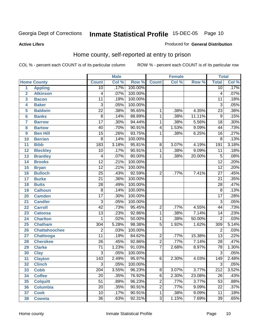#### Produced for **General Distribution**

## Home county, self-reported at entry to prison

COL % - percent each COUNT is of its particular column ROW % - percent each COUNT is of its particular row

|                         |                      | <b>Male</b>      |       | <b>Female</b> |                |       | <b>Total</b> |                  |       |
|-------------------------|----------------------|------------------|-------|---------------|----------------|-------|--------------|------------------|-------|
|                         | <b>Home County</b>   | <b>Count</b>     | Col % | Row %         | <b>Count</b>   | Col % | Row %        | <b>Total</b>     | Col % |
| 1                       | <b>Appling</b>       | $\overline{10}$  | .17%  | 100.00%       |                |       |              | $\overline{10}$  | .17%  |
| $\overline{\mathbf{2}}$ | <b>Atkinson</b>      | 4                | .07%  | 100.00%       |                |       |              | 4                | .07%  |
| 3                       | <b>Bacon</b>         | $\overline{11}$  | .19%  | 100.00%       |                |       |              | $\overline{11}$  | .18%  |
| 4                       | <b>Baker</b>         | $\overline{3}$   | .05%  | 100.00%       |                |       |              | $\overline{3}$   | .05%  |
| 5                       | <b>Baldwin</b>       | $\overline{22}$  | .38%  | 95.65%        | 1              | .38%  | 4.35%        | $\overline{23}$  | .38%  |
| $6\phantom{a}$          | <b>Banks</b>         | $\overline{8}$   | .14%  | 88.89%        | $\mathbf{1}$   | .38%  | 11.11%       | $\overline{9}$   | .15%  |
| $\overline{7}$          | <b>Barrow</b>        | $\overline{17}$  | .30%  | 94.44%        | 1              | .38%  | 5.56%        | $\overline{18}$  | .30%  |
| 8                       | <b>Bartow</b>        | 40               | .70%  | 90.91%        | $\overline{4}$ | 1.53% | 9.09%        | 44               | .73%  |
| $\boldsymbol{9}$        | <b>Ben Hill</b>      | $\overline{15}$  | .26%  | 93.75%        | 1              | .38%  | 6.25%        | $\overline{16}$  | .27%  |
| 10                      | <b>Berrien</b>       | $\overline{8}$   | .14%  | 100.00%       |                |       |              | $\overline{8}$   | .13%  |
| 11                      | <b>Bibb</b>          | 183              | 3.18% | 95.81%        | 8              | 3.07% | 4.19%        | 191              | 3.18% |
| $\overline{12}$         | <b>Bleckley</b>      | $\overline{10}$  | .17%  | 90.91%        | 1              | .38%  | 9.09%        | $\overline{11}$  | .18%  |
| 13                      | <b>Brantley</b>      | 4                | .07%  | 80.00%        | $\mathbf{1}$   | .38%  | 20.00%       | $\overline{5}$   | .08%  |
| 14                      | <b>Brooks</b>        | $\overline{12}$  | .21%  | 100.00%       |                |       |              | $\overline{12}$  | .20%  |
| 15                      | <b>Bryan</b>         | $\overline{12}$  | .21%  | 100.00%       |                |       |              | $\overline{12}$  | .20%  |
| 16                      | <b>Bulloch</b>       | $\overline{25}$  | .43%  | 92.59%        | $\overline{2}$ | .77%  | 7.41%        | $\overline{27}$  | .45%  |
| 17                      | <b>Burke</b>         | $\overline{21}$  | .36%  | 100.00%       |                |       |              | $\overline{21}$  | .35%  |
| 18                      | <b>Butts</b>         | $\overline{28}$  | .49%  | 100.00%       |                |       |              | $\overline{28}$  | .47%  |
| 19                      | <b>Calhoun</b>       | $\overline{8}$   | .14%  | 100.00%       |                |       |              | $\overline{8}$   | .13%  |
| 20                      | <b>Camden</b>        | $\overline{17}$  | .30%  | 100.00%       |                |       |              | $\overline{17}$  | .28%  |
| 21                      | <b>Candler</b>       | $\overline{3}$   | .05%  | 100.00%       |                |       |              | $\overline{3}$   | .05%  |
| 22                      | <b>Carroll</b>       | $\overline{42}$  | .73%  | 95.45%        | $\overline{2}$ | .77%  | 4.55%        | 44               | .73%  |
| 23                      | <b>Catoosa</b>       | $\overline{13}$  | .23%  | 92.86%        | 1              | .38%  | 7.14%        | $\overline{14}$  | .23%  |
| 24                      | <b>Charlton</b>      | $\mathbf{1}$     | .02%  | 50.00%        | 1              | .38%  | 50.00%       | $\overline{2}$   | .03%  |
| 25                      | <b>Chatham</b>       | 304              | 5.28% | 98.38%        | $\overline{5}$ | 1.92% | 1.62%        | 309              | 5.14% |
| 26                      | <b>Chattahoochee</b> | $\overline{2}$   | .03%  | 100.00%       |                |       |              | $\overline{2}$   | .03%  |
| 27                      | <b>Chattooga</b>     | $\overline{11}$  | .19%  | 84.62%        | $\overline{2}$ | .77%  | 15.38%       | $\overline{13}$  | .22%  |
| 28                      | <b>Cherokee</b>      | $\overline{26}$  | .45%  | 92.86%        | $\overline{2}$ | .77%  | 7.14%        | $\overline{28}$  | .47%  |
| 29                      | <b>Clarke</b>        | $\overline{71}$  | 1.23% | 91.03%        | $\overline{7}$ | 2.68% | 8.97%        | 78               | 1.30% |
| 30                      | <b>Clay</b>          | $\overline{3}$   | .05%  | 100.00%       |                |       |              | $\overline{3}$   | .05%  |
| 31                      | <b>Clayton</b>       | $\overline{143}$ | 2.49% | 95.97%        | 6              | 2.30% | 4.03%        | 149              | 2.48% |
| 32                      | <b>Clinch</b>        | $\overline{3}$   | .05%  | 100.00%       |                |       |              | 3                | .05%  |
| 33                      | <b>Cobb</b>          | $\overline{204}$ | 3.55% | 96.23%        | $\overline{8}$ | 3.07% | 3.77%        | $\overline{212}$ | 3.52% |
| 34                      | <b>Coffee</b>        | $\overline{20}$  | .35%  | 76.92%        | 6              | 2.30% | 23.08%       | 26               | .43%  |
| 35                      | <b>Colquitt</b>      | $\overline{51}$  | .89%  | 96.23%        | $\overline{c}$ | .77%  | 3.77%        | $\overline{53}$  | .88%  |
| 36                      | <b>Columbia</b>      | $\overline{20}$  | .35%  | 90.91%        | $\overline{2}$ | .77%  | 9.09%        | $\overline{22}$  | .37%  |
| 37                      | <b>Cook</b>          | $\overline{10}$  | .17%  | 90.91%        | $\mathbf{1}$   | .38%  | 9.09%        | 11               | .18%  |
| 38                      | <b>Coweta</b>        | $\overline{36}$  | .63%  | 92.31%        | $\overline{3}$ | 1.15% | 7.69%        | $\overline{39}$  | .65%  |

#### **Active Lifers**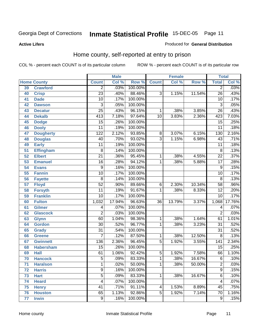#### **Active Lifers**

#### Produced for **General Distribution**

## Home county, self-reported at entry to prison

|    |                    |                  | <b>Male</b> |         | <b>Female</b>   |        | <b>Total</b> |                         |        |
|----|--------------------|------------------|-------------|---------|-----------------|--------|--------------|-------------------------|--------|
|    | <b>Home County</b> | <b>Count</b>     | Col %       | Row %   | <b>Count</b>    | Col %  | Row %        | <b>Total</b>            | Col %  |
| 39 | <b>Crawford</b>    | $\overline{2}$   | .03%        | 100.00% |                 |        |              | $\overline{2}$          | .03%   |
| 40 | <b>Crisp</b>       | $\overline{23}$  | .40%        | 88.46%  | $\overline{3}$  | 1.15%  | 11.54%       | $\overline{26}$         | .43%   |
| 41 | <b>Dade</b>        | 10               | .17%        | 100.00% |                 |        |              | 10                      | .17%   |
| 42 | <b>Dawson</b>      | $\overline{3}$   | .05%        | 100.00% |                 |        |              | $\overline{3}$          | .05%   |
| 43 | <b>Decatur</b>     | $\overline{25}$  | .43%        | 96.15%  | 1               | .38%   | 3.85%        | $\overline{26}$         | .43%   |
| 44 | <b>Dekalb</b>      | $\overline{413}$ | 7.18%       | 97.64%  | $\overline{10}$ | 3.83%  | 2.36%        | 423                     | 7.03%  |
| 45 | <b>Dodge</b>       | $\overline{15}$  | .26%        | 100.00% |                 |        |              | $\overline{15}$         | .25%   |
| 46 | <b>Dooly</b>       | $\overline{11}$  | .19%        | 100.00% |                 |        |              | $\overline{11}$         | .18%   |
| 47 | <b>Dougherty</b>   | $\overline{122}$ | 2.12%       | 93.85%  | 8               | 3.07%  | 6.15%        | 130                     | 2.16%  |
| 48 | <b>Douglas</b>     | $\overline{40}$  | .70%        | 93.02%  | $\overline{3}$  | 1.15%  | 6.98%        | $\overline{43}$         | .71%   |
| 49 | <b>Early</b>       | $\overline{11}$  | .19%        | 100.00% |                 |        |              | $\overline{11}$         | .18%   |
| 51 | <b>Effingham</b>   | $\overline{8}$   | .14%        | 100.00% |                 |        |              | $\overline{8}$          | .13%   |
| 52 | <b>Elbert</b>      | $\overline{21}$  | .36%        | 95.45%  | 1               | .38%   | 4.55%        | $\overline{22}$         | .37%   |
| 53 | <b>Emanuel</b>     | $\overline{16}$  | .28%        | 94.12%  | 1               | .38%   | 5.88%        | $\overline{17}$         | .28%   |
| 54 | <b>Evans</b>       | $\overline{9}$   | .16%        | 100.00% |                 |        |              | $\overline{9}$          | .15%   |
| 55 | <b>Fannin</b>      | $\overline{10}$  | .17%        | 100.00% |                 |        |              | $\overline{10}$         | .17%   |
| 56 | <b>Fayette</b>     | $\overline{8}$   | .14%        | 100.00% |                 |        |              | $\overline{8}$          | .13%   |
| 57 | <b>Floyd</b>       | $\overline{52}$  | .90%        | 89.66%  | 6               | 2.30%  | 10.34%       | $\overline{58}$         | .96%   |
| 58 | <b>Forsyth</b>     | $\overline{11}$  | .19%        | 91.67%  | 1               | .38%   | 8.33%        | $\overline{12}$         | .20%   |
| 59 | <b>Franklin</b>    | $\overline{10}$  | .17%        | 100.00% |                 |        |              | $\overline{10}$         | .17%   |
| 60 | <b>Fulton</b>      | 1,032            | 17.94%      | 96.63%  | $\overline{36}$ | 13.79% | 3.37%        | 1,068                   | 17.76% |
| 61 | <b>Gilmer</b>      | 4                | .07%        | 100.00% |                 |        |              | $\overline{\mathbf{4}}$ | .07%   |
| 62 | <b>Glascock</b>    | 2                | .03%        | 100.00% |                 |        |              | $\overline{2}$          | .03%   |
| 63 | <b>Glynn</b>       | 60               | 1.04%       | 98.36%  | 1               | .38%   | 1.64%        | 61                      | 1.01%  |
| 64 | <b>Gordon</b>      | $\overline{30}$  | .52%        | 96.77%  | 1               | .38%   | 3.23%        | $\overline{31}$         | .52%   |
| 65 | <b>Grady</b>       | $\overline{31}$  | .54%        | 100.00% |                 |        |              | $\overline{31}$         | .52%   |
| 66 | <b>Greene</b>      | 7                | .12%        | 87.50%  | 1               | .38%   | 12.50%       | $\overline{8}$          | .13%   |
| 67 | <b>Gwinnett</b>    | 136              | 2.36%       | 96.45%  | $\overline{5}$  | 1.92%  | 3.55%        | 141                     | 2.34%  |
| 68 | <b>Habersham</b>   | $\overline{15}$  | .26%        | 100.00% |                 |        |              | $\overline{15}$         | .25%   |
| 69 | <b>Hall</b>        | 61               | 1.06%       | 92.42%  | 5               | 1.92%  | 7.58%        | 66                      | 1.10%  |
| 70 | <b>Hancock</b>     | $\overline{5}$   | .09%        | 83.33%  | 1               | .38%   | 16.67%       | $\overline{6}$          | .10%   |
| 71 | <b>Haralson</b>    | $\mathbf{1}$     | .02%        | 50.00%  | $\mathbf{1}$    | .38%   | 50.00%       | $\overline{2}$          | .03%   |
| 72 | <b>Harris</b>      | $\overline{9}$   | .16%        | 100.00% |                 |        |              | $\overline{9}$          | .15%   |
| 73 | <b>Hart</b>        | $\overline{5}$   | .09%        | 83.33%  | 1               | .38%   | 16.67%       | $\overline{6}$          | .10%   |
| 74 | <b>Heard</b>       | 4                | .07%        | 100.00% |                 |        |              | 4                       | .07%   |
| 75 | <b>Henry</b>       | 41               | .71%        | 91.11%  | 4               | 1.53%  | 8.89%        | 45                      | .75%   |
| 76 | <b>Houston</b>     | 65               | 1.13%       | 92.86%  | $\overline{5}$  | 1.92%  | 7.14%        | $\overline{70}$         | 1.16%  |
| 77 | <b>Irwin</b>       | $\overline{9}$   | .16%        | 100.00% |                 |        |              | $\overline{9}$          | .15%   |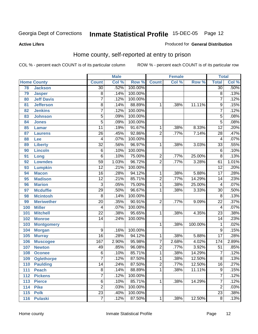#### **Active Lifers**

#### Produced for **General Distribution**

## Home county, self-reported at entry to prison

|     |                    | <b>Male</b>              |       | <b>Female</b> |                |       | <b>Total</b> |                         |       |
|-----|--------------------|--------------------------|-------|---------------|----------------|-------|--------------|-------------------------|-------|
|     | <b>Home County</b> | <b>Count</b>             | Col % | Row %         | <b>Count</b>   | Col % | Row %        | <b>Total</b>            | Col % |
| 78  | <b>Jackson</b>     | $\overline{30}$          | .52%  | 100.00%       |                |       |              | $\overline{30}$         | .50%  |
| 79  | <b>Jasper</b>      | $\overline{8}$           | .14%  | 100.00%       |                |       |              | 8                       | .13%  |
| 80  | <b>Jeff Davis</b>  | 7                        | .12%  | 100.00%       |                |       |              | 7                       | .12%  |
| 81  | <b>Jefferson</b>   | $\overline{8}$           | .14%  | 88.89%        | 1              | .38%  | 11.11%       | $\overline{9}$          | .15%  |
| 82  | <b>Jenkins</b>     | 7                        | .12%  | 100.00%       |                |       |              | 7                       | .12%  |
| 83  | <b>Johnson</b>     | $\overline{5}$           | .09%  | 100.00%       |                |       |              | $\overline{5}$          | .08%  |
| 84  | <b>Jones</b>       | $\overline{5}$           | .09%  | 100.00%       |                |       |              | $\overline{5}$          | .08%  |
| 85  | <b>Lamar</b>       | $\overline{11}$          | .19%  | 91.67%        | 1              | .38%  | 8.33%        | $\overline{12}$         | .20%  |
| 87  | <b>Laurens</b>     | $\overline{26}$          | .45%  | 92.86%        | $\overline{2}$ | .77%  | 7.14%        | $\overline{28}$         | .47%  |
| 88  | Lee                | 4                        | .07%  | 100.00%       |                |       |              | $\overline{\mathbf{4}}$ | .07%  |
| 89  | <b>Liberty</b>     | $\overline{32}$          | .56%  | 96.97%        | 1              | .38%  | 3.03%        | $\overline{33}$         | .55%  |
| 90  | <b>Lincoln</b>     | $\overline{6}$           | .10%  | 100.00%       |                |       |              | 6                       | .10%  |
| 91  | Long               | $\overline{6}$           | .10%  | 75.00%        | $\overline{2}$ | .77%  | 25.00%       | $\overline{8}$          | .13%  |
| 92  | <b>Lowndes</b>     | $\overline{59}$          | 1.03% | 96.72%        | $\overline{2}$ | .77%  | 3.28%        | 61                      | 1.01% |
| 93  | <b>Lumpkin</b>     | $\overline{12}$          | .21%  | 100.00%       |                |       |              | $\overline{12}$         | .20%  |
| 94  | <b>Macon</b>       | $\overline{16}$          | .28%  | 94.12%        | 1              | .38%  | 5.88%        | $\overline{17}$         | .28%  |
| 95  | <b>Madison</b>     | $\overline{12}$          | .21%  | 85.71%        | $\overline{2}$ | .77%  | 14.29%       | $\overline{14}$         | .23%  |
| 96  | <b>Marion</b>      | $\overline{3}$           | .05%  | 75.00%        | $\overline{1}$ | .38%  | 25.00%       | 4                       | .07%  |
| 97  | <b>Mcduffie</b>    | $\overline{29}$          | .50%  | 96.67%        | 1              | .38%  | 3.33%        | $\overline{30}$         | .50%  |
| 98  | <b>Mcintosh</b>    | $\overline{8}$           | .14%  | 100.00%       |                |       |              | $\overline{8}$          | .13%  |
| 99  | <b>Meriwether</b>  | $\overline{20}$          | .35%  | 90.91%        | $\overline{2}$ | .77%  | 9.09%        | $\overline{22}$         | .37%  |
| 100 | <b>Miller</b>      | $\overline{\mathcal{A}}$ | .07%  | 100.00%       |                |       |              | $\overline{\mathbf{4}}$ | .07%  |
| 101 | <b>Mitchell</b>    | $\overline{22}$          | .38%  | 95.65%        | 1              | .38%  | 4.35%        | $\overline{23}$         | .38%  |
| 102 | <b>Monroe</b>      | $\overline{14}$          | .24%  | 100.00%       |                |       |              | $\overline{14}$         | .23%  |
| 103 | <b>Montgomery</b>  |                          |       |               | 1              | .38%  | 100.00%      | 1                       | .02%  |
| 104 | <b>Morgan</b>      | 9                        | .16%  | 100.00%       |                |       |              | $\overline{9}$          | .15%  |
| 105 | <b>Murray</b>      | $\overline{16}$          | .28%  | 94.12%        | 1              | .38%  | 5.88%        | $\overline{17}$         | .28%  |
| 106 | <b>Muscogee</b>    | 167                      | 2.90% | 95.98%        | $\overline{7}$ | 2.68% | 4.02%        | 174                     | 2.89% |
| 107 | <b>Newton</b>      | 49                       | .85%  | 96.08%        | $\overline{2}$ | .77%  | 3.92%        | $\overline{51}$         | .85%  |
| 108 | <b>Oconee</b>      | 6                        | .10%  | 85.71%        | 1              | .38%  | 14.29%       | 7                       | .12%  |
| 109 | <b>Oglethorpe</b>  | $\overline{7}$           | .12%  | 87.50%        | 1              | .38%  | 12.50%       | $\overline{8}$          | .13%  |
| 110 | <b>Paulding</b>    | 14                       | .24%  | 87.50%        | $\overline{c}$ | .77%  | 12.50%       | 16                      | .27%  |
| 111 | <b>Peach</b>       | $\overline{8}$           | .14%  | 88.89%        | 1              | .38%  | 11.11%       | $\overline{9}$          | .15%  |
| 112 | <b>Pickens</b>     | 7                        | .12%  | 100.00%       |                |       |              | 7                       | .12%  |
| 113 | <b>Pierce</b>      | 6                        | .10%  | 85.71%        | $\mathbf{1}$   | .38%  | 14.29%       | 7                       | .12%  |
| 114 | <b>Pike</b>        | $\overline{2}$           | .03%  | 100.00%       |                |       |              | $\overline{2}$          | .03%  |
| 115 | <b>Polk</b>        | $\overline{23}$          | .40%  | 100.00%       |                |       |              | $\overline{23}$         | .38%  |
| 116 | <b>Pulaski</b>     | $\overline{7}$           | .12%  | 87.50%        | $\mathbf 1$    | .38%  | 12.50%       | $\overline{8}$          | .13%  |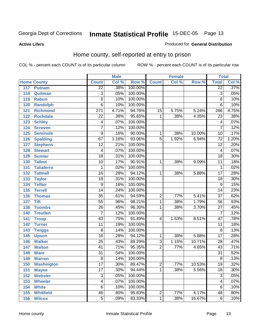#### **Active Lifers**

#### Produced for **General Distribution**

## Home county, self-reported at entry to prison

|                    |                   |                  | <b>Male</b> |         |                         | <b>Female</b> |        | <b>Total</b>    |         |
|--------------------|-------------------|------------------|-------------|---------|-------------------------|---------------|--------|-----------------|---------|
| <b>Home County</b> |                   | <b>Count</b>     | Col %       | Row %   | <b>Count</b>            | Col %         | Row %  | <b>Total</b>    | Col %   |
| 117                | <b>Putnam</b>     | $\overline{22}$  | .38%        | 100.00% |                         |               |        | $\overline{22}$ | .37%    |
| 118                | Quitman           | $\overline{3}$   | .05%        | 100.00% |                         |               |        | $\overline{3}$  | .05%    |
| 119                | <b>Rabun</b>      | $\overline{6}$   | .10%        | 100.00% |                         |               |        | $\overline{6}$  | .10%    |
| 120                | <b>Randolph</b>   | $\overline{6}$   | .10%        | 100.00% |                         |               |        | $\overline{6}$  | .10%    |
| 121                | <b>Richmond</b>   | $\overline{271}$ | 4.71%       | 94.76%  | $\overline{15}$         | 5.75%         | 5.24%  | 286             | 4.75%   |
| 122                | <b>Rockdale</b>   | $\overline{22}$  | .38%        | 95.65%  | $\mathbf{1}$            | .38%          | 4.35%  | $\overline{23}$ | .38%    |
| 123                | <b>Schley</b>     | 4                | .07%        | 100.00% |                         |               |        | $\overline{4}$  | .07%    |
| 124                | <b>Screven</b>    | $\overline{7}$   | .12%        | 100.00% |                         |               |        | $\overline{7}$  | .12%    |
| 125                | <b>Seminole</b>   | $\overline{9}$   | .16%        | 90.00%  | 1                       | .38%          | 10.00% | $\overline{10}$ | .17%    |
| 126                | <b>Spalding</b>   | $\overline{67}$  | 1.16%       | 93.06%  | $\overline{5}$          | 1.92%         | 6.94%  | $\overline{72}$ | 1.20%   |
| 127                | <b>Stephens</b>   | $\overline{12}$  | .21%        | 100.00% |                         |               |        | $\overline{12}$ | .20%    |
| 128                | <b>Stewart</b>    | 4                | .07%        | 100.00% |                         |               |        | $\overline{4}$  | .07%    |
| 129                | <b>Sumter</b>     | $\overline{18}$  | .31%        | 100.00% |                         |               |        | $\overline{18}$ | .30%    |
| 130                | <b>Talbot</b>     | 10               | .17%        | 90.91%  | 1                       | .38%          | 9.09%  | $\overline{11}$ | .18%    |
| 131                | <b>Taliaferro</b> | 1                | .02%        | 100.00% |                         |               |        | 1               | .02%    |
| 132                | <b>Tattnall</b>   | $\overline{16}$  | .28%        | 94.12%  | 1                       | .38%          | 5.88%  | $\overline{17}$ | .28%    |
| 133                | <b>Taylor</b>     | $\overline{18}$  | .31%        | 100.00% |                         |               |        | $\overline{18}$ | .30%    |
| 134                | <b>Telfair</b>    | $\overline{9}$   | .16%        | 100.00% |                         |               |        | $\overline{9}$  | .15%    |
| 135                | <b>Terrell</b>    | $\overline{14}$  | .24%        | 100.00% |                         |               |        | $\overline{14}$ | .23%    |
| 136                | <b>Thomas</b>     | $\overline{35}$  | .61%        | 94.59%  | $\overline{2}$          | .77%          | 5.41%  | $\overline{37}$ | .62%    |
| 137                | <b>Tift</b>       | $\overline{55}$  | .96%        | 98.21%  | 1                       | .38%          | 1.79%  | $\overline{56}$ | .93%    |
| 138                | <b>Toombs</b>     | $\overline{26}$  | .45%        | 96.30%  | 1                       | .38%          | 3.70%  | $\overline{27}$ | .45%    |
| 140                | <b>Treutlen</b>   | 7                | .12%        | 100.00% |                         |               |        | 7               | .12%    |
| 141                | <b>Troup</b>      | $\overline{43}$  | .75%        | 91.49%  | $\overline{\mathbf{4}}$ | 1.53%         | 8.51%  | $\overline{47}$ | .78%    |
| 142                | <b>Turner</b>     | $\overline{11}$  | .19%        | 100.00% |                         |               |        | $\overline{11}$ | .18%    |
| 143                | <b>Twiggs</b>     | $\overline{8}$   | .14%        | 100.00% |                         |               |        | $\overline{8}$  | .13%    |
| 145                | <b>Upson</b>      | $\overline{16}$  | .28%        | 94.12%  | 1                       | .38%          | 5.88%  | $\overline{17}$ | .28%    |
| 146                | <b>Walker</b>     | $\overline{25}$  | .43%        | 89.29%  | $\overline{3}$          | 1.15%         | 10.71% | $\overline{28}$ | .47%    |
| 147                | <b>Walton</b>     | $\overline{41}$  | .71%        | 95.35%  | $\overline{2}$          | .77%          | 4.65%  | $\overline{43}$ | .71%    |
| 148                | <b>Ware</b>       | $\overline{31}$  | .54%        | 100.00% |                         |               |        | $\overline{31}$ | .52%    |
| 149                | <b>Warren</b>     | $\overline{8}$   | .14%        | 100.00% |                         |               |        | $\overline{8}$  | .13%    |
| 150                | Washington        | 17               | .30%        | 89.47%  | $\overline{c}$          | .77%          | 10.53% | 19              | .32%    |
| 151                | <b>Wayne</b>      | $\overline{17}$  | .30%        | 94.44%  | 1                       | .38%          | 5.56%  | $\overline{18}$ | .30%    |
| 152                | <b>Webster</b>    | $\overline{3}$   | .05%        | 100.00% |                         |               |        | $\overline{3}$  | .05%    |
| 153                | <b>Wheeler</b>    | 4                | .07%        | 100.00% |                         |               |        | 4               | .07%    |
| 154                | <b>White</b>      | $\overline{6}$   | .10%        | 100.00% |                         |               |        | 6               | .10%    |
| 155                | <b>Whitfield</b>  | $\overline{46}$  | .80%        | 95.83%  | $\overline{2}$          | .77%          | 4.17%  | 48              | $.80\%$ |
| 156                | <b>Wilcox</b>     | $\overline{5}$   | .09%        | 83.33%  | $\overline{1}$          | .38%          | 16.67% | $\overline{6}$  | .10%    |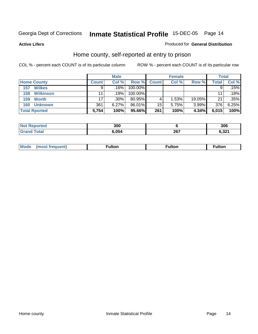#### **Active Lifers**

#### Produced for **General Distribution**

## Home county, self-reported at entry to prison

|                         |              | <b>Male</b> |           |              | <b>Female</b> |        | Total        |       |
|-------------------------|--------------|-------------|-----------|--------------|---------------|--------|--------------|-------|
| <b>Home County</b>      | <b>Count</b> | Col %       | Row %     | <b>Count</b> | Col %         | Row %  | <b>Total</b> | Col % |
| <b>Wilkes</b><br>157    |              | .16%        | 100.00%   |              |               |        | 9            | 15%   |
| <b>Wilkinson</b><br>158 | 11           | .19% '      | 100.00%   |              |               |        | 11           | .18%  |
| 159<br><b>Worth</b>     | 17           | .30%        | 80.95%    | 4            | 1.53%         | 19.05% | 21           | .35%  |
| <b>Unknown</b><br>160   | 361          | 6.27%       | $96.01\%$ | 15           | 5.75%         | 3.99%  | 376          | 6.25% |
| <b>Total Rported</b>    | 5,754        | 100%        | 95.66%    | 261          | 100%          | 4.34%  | 6,015        | 100%  |

| ν ιeu | 300   |      | 306    |
|-------|-------|------|--------|
|       | ∗ הגי | 202  | 0.22   |
|       | 74    | ZVI. | . ∡כ,ר |

| Mou.<br><b>ulton</b><br>ιτοι |
|------------------------------|
|------------------------------|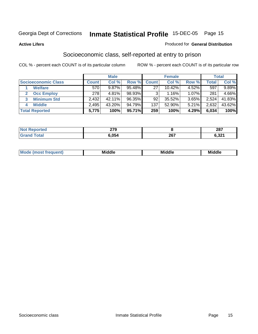#### **Active Lifers**

#### Produced for **General Distribution**

## Socioeconomic class, self-reported at entry to prison

|                            |              | <b>Male</b> |        |              | <b>Female</b> |       |        | <b>Total</b> |
|----------------------------|--------------|-------------|--------|--------------|---------------|-------|--------|--------------|
| <b>Socioeconomic Class</b> | <b>Count</b> | Col %       | Row %  | <b>Count</b> | Col %         | Row % | Total, | Col %        |
| <b>Welfare</b>             | 570          | 9.87%       | 95.48% | 27           | 10.42%        | 4.52% | 597    | 9.89%        |
| <b>Occ Employ</b>          | 278          | $4.81\%$    | 98.93% |              | 1.16%         | 1.07% | 281    | 4.66%        |
| <b>Minimum Std</b>         | 2,432        | 42.11%      | 96.35% | 92           | $35.52\%$     | 3.65% | 2,524  | 41.83%       |
| <b>Middle</b>              | 2,495        | 43.20%      | 94.79% | 137          | 52.90%        | 5.21% | 2,632  | 43.62%       |
| <b>Total Reported</b>      | 5,775        | 100%        | 95.71% | 259          | 100%          | 4.29% | 6,034  | 100%         |

| тес | 270<br>21 J |            | 207<br>20 I |
|-----|-------------|------------|-------------|
|     | 6,054       | 267<br>201 | 0.JZ 1      |

| .<br>. | M | ---<br>M 1 | Middle | <br>м |
|--------|---|------------|--------|-------|
|--------|---|------------|--------|-------|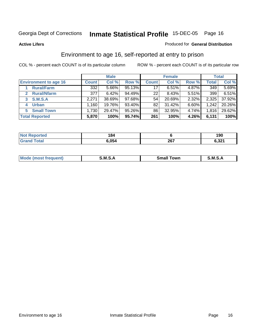#### **Active Lifers**

#### Produced for **General Distribution**

## Environment to age 16, self-reported at entry to prison

|                                    |              | <b>Male</b> |           |              | <b>Female</b> |       |       | <b>Total</b> |
|------------------------------------|--------------|-------------|-----------|--------------|---------------|-------|-------|--------------|
| <b>Environment to age 16</b>       | <b>Count</b> | Col %       | Row %     | <b>Count</b> | Col %         | Row % | Total | Col %        |
| <b>Rural/Farm</b>                  | 332          | $5.66\%$    | 95.13%    | 17           | 6.51%         | 4.87% | 349   | 5.69%        |
| <b>Rural/Nfarm</b><br>$\mathbf{2}$ | 377          | 6.42%       | $94.49\%$ | 22           | 8.43%         | 5.51% | 399   | 6.51%        |
| <b>S.M.S.A</b><br>3                | 2,271        | 38.69%      | $97.68\%$ | 54           | 20.69%        | 2.32% | 2,325 | 37.92%       |
| <b>Urban</b><br>4                  | .160         | 19.76%      | 93.40%    | 82           | 31.42%        | 6.60% | 1,242 | 20.26%       |
| <b>Small Town</b><br>5             | 1,730        | 29.47%      | $95.26\%$ | 86           | 32.95%        | 4.74% | 1,816 | 29.62%       |
| <b>Total Reported</b>              | 5,870        | 100%        | 95.74%    | 261          | 100%          | 4.26% | 6,131 | 100%         |

| Reported<br><b>Not</b> | 184   |     | 1 N.N<br>טע ו   |
|------------------------|-------|-----|-----------------|
| <b>Total</b>           | 6,054 | 267 | 0.224<br>0,JZ I |

| Mo<br>$ -$<br>ัown<br>.ient}<br>Small<br>M<br>M<br>. .<br>. .<br>_____<br>_____ |  |  |
|---------------------------------------------------------------------------------|--|--|
|                                                                                 |  |  |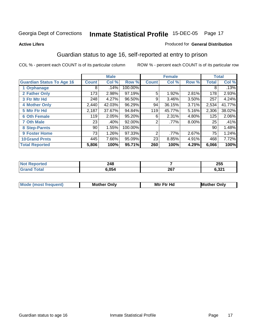#### **Active Lifers**

#### Produced for **General Distribution**

## Guardian status to age 16, self-reported at entry to prison

|                                  |              | <b>Male</b> |         |                | <b>Female</b> |          |              | <b>Total</b> |
|----------------------------------|--------------|-------------|---------|----------------|---------------|----------|--------------|--------------|
| <b>Guardian Status To Age 16</b> | <b>Count</b> | Col %       | Row %   | <b>Count</b>   | Col %         | Row %    | <b>Total</b> | Col %        |
| 1 Orphanage                      | 8            | .14%        | 100.00% |                |               |          | 8            | .13%         |
| 2 Father Only                    | 173          | 2.98%       | 97.19%  | 5              | 1.92%         | 2.81%    | 178          | 2.93%        |
| 3 Ftr Mtr Hd                     | 248          | 4.27%       | 96.50%  | 9              | 3.46%         | 3.50%    | 257          | 4.24%        |
| <b>4 Mother Only</b>             | 2,440        | 42.03%      | 96.29%  | 94             | 36.15%        | 3.71%    | 2,534        | 41.77%       |
| 5 Mtr Ftr Hd                     | 2,187        | 37.67%      | 94.84%  | 119            | 45.77%        | 5.16%    | 2,306        | 38.02%       |
| <b>6 Oth Female</b>              | 119          | 2.05%       | 95.20%  | 6              | 2.31%         | 4.80%    | 125          | 2.06%        |
| <b>7 Oth Male</b>                | 23           | .40%        | 92.00%  | 2              | .77%          | $8.00\%$ | 25           | .41%         |
| 8 Step-Parnts                    | 90           | 1.55%       | 100.00% |                |               |          | 90           | 1.48%        |
| <b>9 Foster Home</b>             | 73           | 1.26%       | 97.33%  | $\overline{2}$ | .77%          | 2.67%    | 75           | 1.24%        |
| <b>10 Grand Prnts</b>            | 445          | 7.66%       | 95.09%  | 23             | 8.85%         | 4.91%    | 468          | 7.72%        |
| <b>Total Reported</b>            | 5,806        | 100%        | 95.71%  | 260            | 100%          | 4.29%    | 6,066        | 100%         |

| orted | 27 R<br>24 J<br>$\sim$ |     | 255   |
|-------|------------------------|-----|-------|
|       | 6.054                  | 267 | 6,321 |

| Mode              | Mother | Mtr Ftr Hd                                                                                                      | Only   |
|-------------------|--------|-----------------------------------------------------------------------------------------------------------------|--------|
| (most frequent) د | Only   | the contract of the contract of the contract of the contract of the contract of the contract of the contract of | Mother |
|                   |        |                                                                                                                 |        |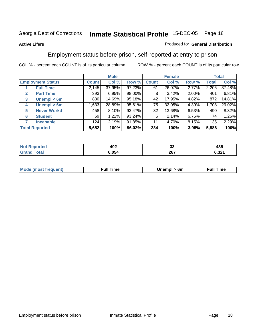#### **Active Lifers**

#### Produced for **General Distribution**

## Employment status before prison, self-reported at entry to prison

|                                  |              | <b>Male</b> |        |       | <b>Female</b> |          |              | <b>Total</b> |
|----------------------------------|--------------|-------------|--------|-------|---------------|----------|--------------|--------------|
| <b>Employment Status</b>         | <b>Count</b> | Col %       | Row %  | Count | Col %         | Row %    | <b>Total</b> | Col %        |
| <b>Full Time</b>                 | 2,145        | 37.95%      | 97.23% | 61    | 26.07%        | 2.77%    | 2,206        | 37.48%       |
| <b>Part Time</b><br>$\mathbf{2}$ | 393          | 6.95%       | 98.00% | 8     | 3.42%         | $2.00\%$ | 401          | 6.81%        |
| Unempl $<$ 6m<br>3               | 830          | 14.69%      | 95.18% | 42    | 17.95%        | 4.82%    | 872          | 14.81%       |
| Unempl > 6m<br>4                 | 1,633        | 28.89%      | 95.61% | 75    | 32.05%        | 4.39%    | 1,708        | 29.02%       |
| <b>Never Workd</b><br>5          | 458          | 8.10%       | 93.47% | 32    | 13.68%        | $6.53\%$ | 490          | 8.32%        |
| <b>Student</b><br>6              | 69           | 1.22%       | 93.24% | 5     | 2.14%         | 6.76%    | 74           | 1.26%        |
| <b>Incapable</b><br>7            | 124          | 2.19%       | 91.85% | 11    | 4.70%         | $8.15\%$ | 135          | 2.29%        |
| <b>Total Reported</b>            | 5,652        | 100%        | 96.02% | 234   | 100%          | 3.98%    | 5,886        | 100%         |

| and a series<br>. | 402<br>$ -$ | $\overline{ }$<br>vv | ハクド<br>433<br>--        |
|-------------------|-------------|----------------------|-------------------------|
|                   | ነ.054       | 267                  | .22<br>. ⊾ט י<br>$\sim$ |

| <b>Mou</b><br>$\sim$ | . .<br>·uı | 6m<br>$\sim$ | .<br>ıme<br>the contract of the contract of the contract of the contract of the contract of the contract of the contract of |
|----------------------|------------|--------------|-----------------------------------------------------------------------------------------------------------------------------|
|                      |            |              |                                                                                                                             |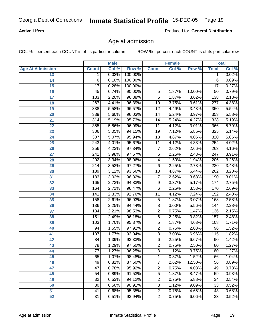#### **Active Lifers**

Produced for **General Distribution**

## Age at admission

|                         | <b>Male</b>      |       |         | <b>Female</b>   | <b>Total</b> |        |                  |       |
|-------------------------|------------------|-------|---------|-----------------|--------------|--------|------------------|-------|
| <b>Age At Admission</b> | <b>Count</b>     | Col % | Row %   | <b>Count</b>    | Col %        | Row %  | <b>Total</b>     | Col % |
| 13                      | 1                | 0.02% | 100.00% |                 |              |        | 1                | 0.02% |
| 14                      | 6                | 0.10% | 100.00% |                 |              |        | $\overline{6}$   | 0.09% |
| 15                      | $\overline{17}$  | 0.28% | 100.00% |                 |              |        | $\overline{17}$  | 0.27% |
| 16                      | $\overline{45}$  | 0.74% | 90.00%  | $\overline{5}$  | 1.87%        | 10.00% | $\overline{50}$  | 0.79% |
| $\overline{17}$         | 133              | 2.20% | 96.38%  | $\overline{5}$  | 1.87%        | 3.62%  | 138              | 2.18% |
| 18                      | 267              | 4.41% | 96.39%  | 10              | 3.75%        | 3.61%  | 277              | 4.38% |
| 19                      | 338              | 5.58% | 96.57%  | $\overline{12}$ | 4.49%        | 3.43%  | 350              | 5.54% |
| $\overline{20}$         | 339              | 5.60% | 96.03%  | 14              | 5.24%        | 3.97%  | 353              | 5.58% |
| 21                      | $\overline{314}$ | 5.19% | 95.73%  | $\overline{14}$ | 5.24%        | 4.27%  | 328              | 5.19% |
| 22                      | 355              | 5.86% | 96.99%  | $\overline{11}$ | 4.12%        | 3.01%  | 366              | 5.79% |
| 23                      | 306              | 5.05% | 94.15%  | 19              | 7.12%        | 5.85%  | 325              | 5.14% |
| $\overline{24}$         | $\overline{307}$ | 5.07% | 95.94%  | $\overline{13}$ | 4.87%        | 4.06%  | 320              | 5.06% |
| $\overline{25}$         | $\overline{243}$ | 4.01% | 95.67%  | $\overline{11}$ | 4.12%        | 4.33%  | 254              | 4.02% |
| $\overline{26}$         | 256              | 4.23% | 97.34%  | $\overline{7}$  | 2.62%        | 2.66%  | $\overline{263}$ | 4.16% |
| 27                      | $\overline{241}$ | 3.98% | 97.57%  | $\overline{6}$  | 2.25%        | 2.43%  | $\overline{247}$ | 3.91% |
| 28                      | $\overline{202}$ | 3.34% | 98.06%  | 4               | 1.50%        | 1.94%  | $\overline{206}$ | 3.26% |
| 29                      | $\overline{214}$ | 3.53% | 97.27%  | 6               | 2.25%        | 2.73%  | 220              | 3.48% |
| 30                      | 189              | 3.12% | 93.56%  | $\overline{13}$ | 4.87%        | 6.44%  | $\overline{202}$ | 3.20% |
| 31                      | 183              | 3.02% | 96.32%  | 7               | 2.62%        | 3.68%  | 190              | 3.01% |
| 32                      | 165              | 2.73% | 94.83%  | $\overline{9}$  | 3.37%        | 5.17%  | 174              | 2.75% |
| 33                      | 164              | 2.71% | 96.47%  | $\overline{6}$  | 2.25%        | 3.53%  | 170              | 2.69% |
| 34                      | $\overline{141}$ | 2.33% | 92.76%  | $\overline{11}$ | 4.12%        | 7.24%  | 152              | 2.40% |
| 35                      | 158              | 2.61% | 96.93%  | $\overline{5}$  | 1.87%        | 3.07%  | 163              | 2.58% |
| 36                      | 136              | 2.25% | 94.44%  | 8               | 3.00%        | 5.56%  | 144              | 2.28% |
| $\overline{37}$         | 134              | 2.21% | 98.53%  | $\overline{2}$  | 0.75%        | 1.47%  | 136              | 2.15% |
| 38                      | 151              | 2.49% | 96.18%  | 6               | 2.25%        | 3.82%  | 157              | 2.48% |
| 39                      | 103              | 1.70% | 95.37%  | $\overline{5}$  | 1.87%        | 4.63%  | 108              | 1.71% |
| 40                      | $\overline{94}$  | 1.55% | 97.92%  | $\overline{2}$  | 0.75%        | 2.08%  | $\overline{96}$  | 1.52% |
| 41                      | 107              | 1.77% | 93.04%  | $\overline{8}$  | 3.00%        | 6.96%  | $\overline{115}$ | 1.82% |
| 42                      | 84               | 1.39% | 93.33%  | $\overline{6}$  | 2.25%        | 6.67%  | 90               | 1.42% |
| 43                      | 78               | 1.29% | 97.50%  | $\overline{2}$  | 0.75%        | 2.50%  | $\overline{80}$  | 1.27% |
| 44                      | 77               | 1.27% | 96.25%  | 3               | 1.12%        | 3.75%  | 80               | 1.27% |
| 45                      | 65               | 1.07% | 98.48%  | 1               | 0.37%        | 1.52%  | 66               | 1.04% |
| 46                      | 49               | 0.81% | 87.50%  | 7               | 2.62%        | 12.50% | 56               | 0.89% |
| 47                      | $\overline{47}$  | 0.78% | 95.92%  | $\overline{2}$  | 0.75%        | 4.08%  | 49               | 0.78% |
| 48                      | 54               | 0.89% | 91.53%  | $\overline{5}$  | 1.87%        | 8.47%  | 59               | 0.93% |
| 49                      | $\overline{32}$  | 0.53% | 94.12%  | $\overline{2}$  | 0.75%        | 5.88%  | 34               | 0.54% |
| 50                      | 30               | 0.50% | 90.91%  | $\overline{3}$  | 1.12%        | 9.09%  | 33               | 0.52% |
| 51                      | 41               | 0.68% | 95.35%  | $\overline{2}$  | 0.75%        | 4.65%  | 43               | 0.68% |
| $\overline{52}$         | $\overline{31}$  | 0.51% | 93.94%  | $\overline{2}$  | 0.75%        | 6.06%  | $\overline{33}$  | 0.52% |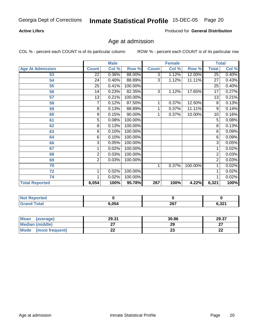#### **Active Lifers**

Produced for **General Distribution**

## Age at admission

|                         |                 | <b>Male</b> |         |              | <b>Female</b> |         | <b>Total</b>    |       |
|-------------------------|-----------------|-------------|---------|--------------|---------------|---------|-----------------|-------|
| <b>Age At Admission</b> | <b>Count</b>    | Col %       | Row %   | <b>Count</b> | Col %         | Row %   | <b>Total</b>    | Col % |
| 53                      | $\overline{22}$ | 0.36%       | 88.00%  | 3            | 1.12%         | 12.00%  | $\overline{25}$ | 0.40% |
| 54                      | 24              | 0.40%       | 88.89%  | 3            | 1.12%         | 11.11%  | 27              | 0.43% |
| 55                      | 25              | 0.41%       | 100.00% |              |               |         | 25              | 0.40% |
| 56                      | 14              | 0.23%       | 82.35%  | 3            | 1.12%         | 17.65%  | 17              | 0.27% |
| 57                      | 13              | 0.21%       | 100.00% |              |               |         | 13              | 0.21% |
| 58                      | 7               | 0.12%       | 87.50%  | 1            | 0.37%         | 12.50%  | 8               | 0.13% |
| 59                      | 8               | 0.13%       | 88.89%  |              | 0.37%         | 11.11%  | 9               | 0.14% |
| 60                      | 9               | 0.15%       | 90.00%  |              | 0.37%         | 10.00%  | 10              | 0.16% |
| 61                      | 5               | 0.08%       | 100.00% |              |               |         | 5               | 0.08% |
| 62                      | 8               | 0.13%       | 100.00% |              |               |         | 8               | 0.13% |
| 63                      | 6               | 0.10%       | 100.00% |              |               |         | 6               | 0.09% |
| 64                      | 6               | 0.10%       | 100.00% |              |               |         | 6               | 0.09% |
| 66                      | 3               | 0.05%       | 100.00% |              |               |         | 3               | 0.05% |
| 67                      | 1               | 0.02%       | 100.00% |              |               |         | 1               | 0.02% |
| 68                      | 2               | 0.03%       | 100.00% |              |               |         | $\overline{2}$  | 0.03% |
| 69                      | 2               | 0.03%       | 100.00% |              |               |         | 2               | 0.03% |
| 70                      |                 |             |         | 1            | 0.37%         | 100.00% | 1               | 0.02% |
| 72                      | 1               | 0.02%       | 100.00% |              |               |         | 1               | 0.02% |
| 74                      | 1               | 0.02%       | 100.00% |              |               |         | 1               | 0.02% |
| <b>Total Reported</b>   | 6,054           | 100%        | 95.78%  | 267          | 100%          | 4.22%   | 6,321           | 100%  |

| <b>NOT</b><br><b>eported</b> |       |     |       |
|------------------------------|-------|-----|-------|
| _____                        | 6.054 | 267 | 6,321 |

| Mean<br>(average)       | 29.31 | 30.86    | 29.37        |
|-------------------------|-------|----------|--------------|
| Median (middle)         |       | 29       | ^7           |
| Mode<br>(most frequent) | - -   | ^^<br>20 | $\sim$<br>44 |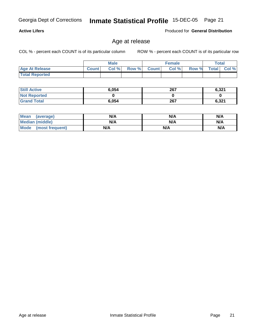Produced for **General Distribution**

## Age at release

|                       | <b>Male</b>  |      |       | <b>Female</b> |       |       | <b>Total</b> |             |
|-----------------------|--------------|------|-------|---------------|-------|-------|--------------|-------------|
| <b>Age At Release</b> | <b>Count</b> | Col% | Row % | <b>Count</b>  | Col % | Row % |              | Total Col % |
| <b>Total Reported</b> |              |      |       |               |       |       |              |             |

| <b>Still Active</b> | 6,054 | 267 | 6,321 |
|---------------------|-------|-----|-------|
| <b>Not Reported</b> |       |     |       |
| <b>Grand Total</b>  | 6,054 | 267 | 6,321 |

| <b>Mean</b><br>(average) | N/A | N/A | N/A |
|--------------------------|-----|-----|-----|
| <b>Median (middle)</b>   | N/A | N/A | N/A |
| Mode (most frequent)     | N/A | N/A | N/A |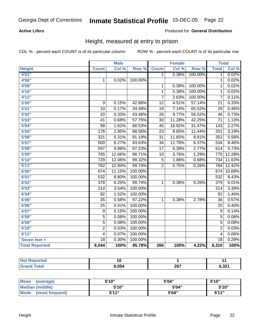#### **Active Lifers**

#### Produced for **General Distribution**

## Height, measured at entry to prison

|                       |                  | <b>Male</b> |         |                 | <b>Female</b> |         | <b>Total</b>     |        |
|-----------------------|------------------|-------------|---------|-----------------|---------------|---------|------------------|--------|
| <b>Height</b>         | <b>Count</b>     | Col %       | Row %   | <b>Count</b>    | Col %         | Row %   | <b>Total</b>     | Col %  |
| 4'01''                |                  |             |         | 1               | 0.38%         | 100.00% | 1                | 0.02%  |
| 4'06"                 | $\mathbf 1$      | 0.02%       | 100.00% |                 |               |         | 1                | 0.02%  |
| 4'09"                 |                  |             |         | 1               | 0.38%         | 100.00% | 1                | 0.02%  |
| 4'10"                 |                  |             |         | $\overline{1}$  | 0.38%         | 100.00% | $\mathbf{1}$     | 0.02%  |
| 4'11''                |                  |             |         | $\overline{7}$  | 2.63%         | 100.00% | 7                | 0.11%  |
| 5'00''                | 9                | 0.15%       | 42.86%  | $\overline{12}$ | 4.51%         | 57.14%  | $\overline{21}$  | 0.33%  |
| 5'01''                | 10               | 0.17%       | 34.48%  | $\overline{19}$ | 7.14%         | 65.52%  | $\overline{29}$  | 0.46%  |
| 5'02"                 | $\overline{20}$  | 0.33%       | 43.48%  | $\overline{26}$ | 9.77%         | 56.52%  | 46               | 0.73%  |
| 5'03''                | 41               | 0.68%       | 57.75%  | $\overline{30}$ | 11.28%        | 42.25%  | $\overline{71}$  | 1.13%  |
| 5'04"                 | $\overline{98}$  | 1.62%       | 68.53%  | $\overline{45}$ | 16.92%        | 31.47%  | $\overline{143}$ | 2.27%  |
| 5'05''                | 178              | 2.95%       | 88.56%  | $\overline{23}$ | 8.65%         | 11.44%  | $\overline{201}$ | 3.19%  |
| 5'06''                | 321              | 5.31%       | 91.19%  | $\overline{31}$ | 11.65%        | 8.81%   | 352              | 5.58%  |
| 5'07''                | 500              | 8.27%       | 93.63%  | $\overline{34}$ | 12.78%        | 6.37%   | $\overline{534}$ | 8.46%  |
| 5'08''                | 597              | 9.88%       | 97.23%  | $\overline{17}$ | 6.39%         | 2.77%   | 614              | 9.73%  |
| 5'09''                | 765              | 12.66%      | 98.71%  | $\overline{10}$ | 3.76%         | 1.29%   | $\overline{775}$ | 12.28% |
| 5'10''                | $\overline{729}$ | 12.06%      | 99.32%  | $\overline{5}$  | 1.88%         | 0.68%   | 734              | 11.63% |
| 5'11''                | 782              | 12.94%      | 99.74%  | $\overline{2}$  | 0.75%         | 0.26%   | 784              | 12.42% |
| 6'00''                | 674              | 11.15%      | 100.00% |                 |               |         | 674              | 10.68% |
| 6'01''                | 532              | 8.80%       | 100.00% |                 |               |         | 532              | 8.43%  |
| 6'02''                | $\overline{378}$ | 6.25%       | 99.74%  | $\mathbf{1}$    | 0.38%         | 0.26%   | 379              | 6.01%  |
| 6'03''                | $\overline{214}$ | 3.54%       | 100.00% |                 |               |         | $\overline{214}$ | 3.39%  |
| 6'04''                | $\overline{92}$  | 1.52%       | 100.00% |                 |               |         | $\overline{92}$  | 1.46%  |
| 6'05''                | $\overline{35}$  | 0.58%       | 97.22%  | $\mathbf{1}$    | 0.38%         | 2.78%   | $\overline{36}$  | 0.57%  |
| 6'06''                | $\overline{25}$  | 0.41%       | 100.00% |                 |               |         | $\overline{25}$  | 0.40%  |
| 6'07''                | $\overline{9}$   | 0.15%       | 100.00% |                 |               |         | $\overline{9}$   | 0.14%  |
| 6'08''                | $\overline{5}$   | 0.08%       | 100.00% |                 |               |         | 5                | 0.08%  |
| 6'09''                | $\overline{5}$   | 0.08%       | 100.00% |                 |               |         | $\overline{5}$   | 0.08%  |
| 6'10''                | $\overline{2}$   | 0.03%       | 100.00% |                 |               |         | $\overline{2}$   | 0.03%  |
| 6'11''                | $\overline{4}$   | 0.07%       | 100.00% |                 |               |         | 4                | 0.06%  |
| Seven feet +          | $\overline{18}$  | 0.30%       | 100.00% |                 |               |         | 18               | 0.29%  |
| <b>Total Reported</b> | 6,044            | 100%        | 95.78%  | 266             | 100%          | 4.22%   | 6,310            | 100%   |

| $-$   |             |                |
|-------|-------------|----------------|
| 054،ز | 207<br>20 I | 0.22<br>0,JZ I |

| <b>Mean</b><br>(average) | 5'10" | 5'04" | 5'10"        |
|--------------------------|-------|-------|--------------|
| Median (middle)          | 5'10" | 5'04" | 5'10"        |
| Mode<br>(most frequent)  | 5'11" | 5'04" | <b>5'44"</b> |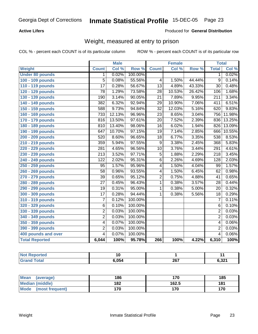#### **Active Lifers**

#### Produced for **General Distribution**

## Weight, measured at entry to prison

|                        | <b>Male</b>      |        |         | <b>Female</b>   |        |        | <b>Total</b>            |        |
|------------------------|------------------|--------|---------|-----------------|--------|--------|-------------------------|--------|
| Weight                 | <b>Count</b>     | Col %  | Row %   | <b>Count</b>    | Col %  | Row %  | <b>Total</b>            | Col %  |
| <b>Under 80 pounds</b> | $\mathbf 1$      | 0.02%  | 100.00% |                 |        |        | 1                       | 0.02%  |
| 100 - 109 pounds       | 5                | 0.08%  | 55.56%  | 4               | 1.50%  | 44.44% | 9                       | 0.14%  |
| 110 - 119 pounds       | $\overline{17}$  | 0.28%  | 56.67%  | $\overline{13}$ | 4.89%  | 43.33% | $\overline{30}$         | 0.48%  |
| 120 - 129 pounds       | $\overline{78}$  | 1.29%  | 73.58%  | $\overline{28}$ | 10.53% | 26.42% | 106                     | 1.68%  |
| 130 - 139 pounds       | 190              | 3.14%  | 90.05%  | $\overline{21}$ | 7.89%  | 9.95%  | $\overline{211}$        | 3.34%  |
| 140 - 149 pounds       | 382              | 6.32%  | 92.94%  | $\overline{29}$ | 10.90% | 7.06%  | 411                     | 6.51%  |
| 150 - 159 pounds       | 588              | 9.73%  | 94.84%  | $\overline{32}$ | 12.03% | 5.16%  | 620                     | 9.83%  |
| 160 - 169 pounds       | 733              | 12.13% | 96.96%  | $\overline{23}$ | 8.65%  | 3.04%  | 756                     | 11.98% |
| 170 - 179 pounds       | 816              | 13.50% | 97.61%  | $\overline{20}$ | 7.52%  | 2.39%  | 836                     | 13.25% |
| 180 - 189 pounds       | 810              | 13.40% | 98.06%  | $\overline{16}$ | 6.02%  | 1.94%  | 826                     | 13.09% |
| 190 - 199 pounds       | 647              | 10.70% | 97.15%  | $\overline{19}$ | 7.14%  | 2.85%  | 666                     | 10.55% |
| 200 - 209 pounds       | $\overline{520}$ | 8.60%  | 96.65%  | $\overline{18}$ | 6.77%  | 3.35%  | 538                     | 8.53%  |
| 210 - 219 pounds       | 359              | 5.94%  | 97.55%  | $\overline{9}$  | 3.38%  | 2.45%  | 368                     | 5.83%  |
| 220 - 229 pounds       | $\overline{281}$ | 4.65%  | 96.56%  | $\overline{10}$ | 3.76%  | 3.44%  | 291                     | 4.61%  |
| 230 - 239 pounds       | $\overline{213}$ | 3.52%  | 97.71%  | $\overline{5}$  | 1.88%  | 2.29%  | $\overline{218}$        | 3.45%  |
| 240 - 249 pounds       | $\overline{122}$ | 2.02%  | 95.31%  | $\overline{6}$  | 2.26%  | 4.69%  | 128                     | 2.03%  |
| 250 - 259 pounds       | $\overline{95}$  | 1.57%  | 95.96%  | $\overline{4}$  | 1.50%  | 4.04%  | 99                      | 1.57%  |
| 260 - 269 pounds       | $\overline{58}$  | 0.96%  | 93.55%  | 4               | 1.50%  | 6.45%  | 62                      | 0.98%  |
| 270 - 279 pounds       | $\overline{39}$  | 0.65%  | 95.12%  | 2               | 0.75%  | 4.88%  | 41                      | 0.65%  |
| 280 - 289 pounds       | $\overline{27}$  | 0.45%  | 96.43%  | 1               | 0.38%  | 3.57%  | $\overline{28}$         | 0.44%  |
| 290 - 299 pounds       | $\overline{19}$  | 0.31%  | 95.00%  | 1               | 0.38%  | 5.00%  | $\overline{20}$         | 0.32%  |
| 300 - 309 pounds       | $\overline{17}$  | 0.28%  | 94.44%  | $\overline{1}$  | 0.38%  | 5.56%  | $\overline{18}$         | 0.29%  |
| 310 - 319 pounds       | $\overline{7}$   | 0.12%  | 100.00% |                 |        |        | $\overline{7}$          | 0.11%  |
| 320 - 329 pounds       | $\overline{6}$   | 0.10%  | 100.00% |                 |        |        | 6                       | 0.10%  |
| 330 - 339 pounds       | $\overline{2}$   | 0.03%  | 100.00% |                 |        |        | $\overline{2}$          | 0.03%  |
| 340 - 349 pounds       | $\overline{2}$   | 0.03%  | 100.00% |                 |        |        | $\overline{2}$          | 0.03%  |
| 350 - 359 pounds       | $\overline{4}$   | 0.07%  | 100.00% |                 |        |        | 4                       | 0.06%  |
| 390 - 399 pounds       | $\overline{2}$   | 0.03%  | 100.00% |                 |        |        | $\overline{2}$          | 0.03%  |
| 400 pounds and over    | $\overline{4}$   | 0.07%  | 100.00% |                 |        |        | $\overline{\mathbf{4}}$ | 0.06%  |
| <b>Total Reported</b>  | 6,044            | 100%   | 95.78%  | 266             | 100%   | 4.22%  | 6,310                   | 100%   |

| <b>Not</b><br>: Reported |      |                    |       |
|--------------------------|------|--------------------|-------|
| ⊺otaı<br>Grai            | OE A | ንድ 7<br>2v,<br>___ | 6,321 |

| Mean<br>(average)       | 186 | 170   | 185 |
|-------------------------|-----|-------|-----|
| Median (middle)         | 182 | 162.5 | 181 |
| Mode<br>(most frequent) | 170 | 170   | 170 |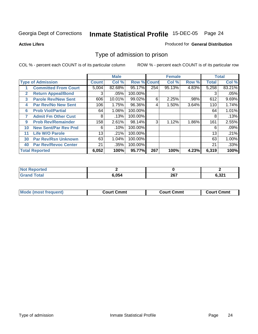**Active Lifers**

#### Produced for **General Distribution**

## Type of admission to prison

|                          |                             |              | <b>Male</b> |                    |     | <b>Female</b> |       |              | <b>Total</b> |
|--------------------------|-----------------------------|--------------|-------------|--------------------|-----|---------------|-------|--------------|--------------|
| <b>Type of Admission</b> |                             | <b>Count</b> | Col %       | <b>Row % Count</b> |     | Col %         | Row % | <b>Total</b> | Col %        |
|                          | <b>Committed From Court</b> | 5,004        | 82.68%      | 95.17%             | 254 | 95.13%        | 4.83% | 5,258        | 83.21%       |
| $\mathbf{2}$             | <b>Return Appeal/Bond</b>   | 3            | .05%        | 100.00%            |     |               |       | 3            | .05%         |
| 3                        | <b>Parole Rev/New Sent</b>  | 606          | 10.01%      | 99.02%             | 6   | 2.25%         | .98%  | 612          | 9.69%        |
| 4                        | <b>Par Rev/No New Sent</b>  | 106          | 1.75%       | 96.36%             | 4   | 1.50%         | 3.64% | 110          | 1.74%        |
| 6                        | <b>Prob Viol/Partial</b>    | 64           | 1.06%       | 100.00%            |     |               |       | 64           | 1.01%        |
| 7                        | <b>Admit Fm Other Cust</b>  | 8            | .13%        | 100.00%            |     |               |       | 8            | .13%         |
| 9                        | <b>Prob Rev/Remainder</b>   | 158          | 2.61%       | 98.14%             | 3   | 1.12%         | 1.86% | 161          | 2.55%        |
| 10                       | <b>New Sent/Par Rev Pnd</b> | 6            | .10%        | 100.00%            |     |               |       | 6            | $.09\%$      |
| 11                       | <b>Life W/O Parole</b>      | 13           | .21%        | 100.00%            |     |               |       | 13           | .21%         |
| 30                       | <b>Par Rev/Rsn Unknown</b>  | 63           | 1.04%       | 100.00%            |     |               |       | 63           | $1.00\%$     |
| 40                       | <b>Par Rev/Revoc Center</b> | 21           | .35%        | 100.00%            |     |               |       | 21           | .33%         |
|                          | <b>Total Reported</b>       | 6,052        | 100%        | 95.77%             | 267 | 100%          | 4.23% | 6,319        | 100%         |

| <b>Not</b><br><b>Reported</b> |       |     |                 |
|-------------------------------|-------|-----|-----------------|
| <b>Total</b>                  | 6.054 | 267 | C 221<br>ו גס.ס |

|  | <b>Mode (most frequent)</b> | <b>Court Cmmt</b> | <b>Court Cmmt</b> | <b>Court Cmmt</b> |
|--|-----------------------------|-------------------|-------------------|-------------------|
|--|-----------------------------|-------------------|-------------------|-------------------|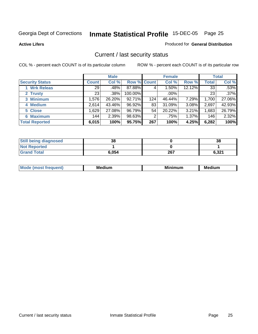**Active Lifers**

#### Produced for **General Distribution**

## Current / last security status

|                        | <b>Male</b>  |        |             | <b>Female</b> |         |        | <b>Total</b> |         |
|------------------------|--------------|--------|-------------|---------------|---------|--------|--------------|---------|
| <b>Security Status</b> | <b>Count</b> | Col %  | Row % Count |               | Col %   | Row %  | Total        | Col %   |
| <b>Wrk Releas</b>      | 29           | .48%   | 87.88%      | 4             | 1.50%   | 12.12% | 33           | .53%    |
| 2 Trusty               | 23           | .38%   | 100.00%     |               | $.00\%$ |        | 23           | $.37\%$ |
| 3 Minimum              | 1,576        | 26.20% | 92.71%      | 124           | 46.44%  | 7.29%  | 1,700        | 27.06%  |
| 4 Medium               | 2.614        | 43.46% | 96.92%      | 83            | 31.09%  | 3.08%  | 2,697        | 42.93%  |
| 5 Close                | .629         | 27.08% | 96.79%      | 54            | 20.22%  | 3.21%  | 1,683        | 26.79%  |
| 6 Maximum              | 144          | 2.39%  | 98.63%      | 2             | .75%    | 1.37%  | 146          | 2.32%   |
| <b>Total Reported</b>  | 6,015        | 100%   | 95.75%      | 267           | 100%    | 4.25%  | 6,282        | 100%    |

| <b>Still being diagnosed</b> | 38    |     | 38    |
|------------------------------|-------|-----|-------|
| <b>Not Reported</b>          |       |     |       |
| <b>Grand Total</b>           | 6,054 | 267 | 6,321 |

| M | - -<br>м | Mi<br>,,,, | - -<br>---<br>w.<br>. |
|---|----------|------------|-----------------------|
|   |          |            |                       |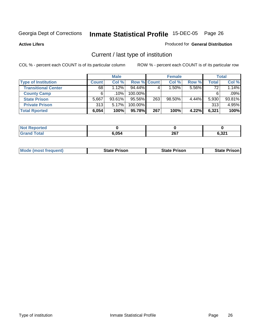**Active Lifers**

#### Produced for **General Distribution**

## Current / last type of institution

|                            |              | <b>Male</b> |                    |     | <b>Female</b> |          |       | <b>Total</b> |
|----------------------------|--------------|-------------|--------------------|-----|---------------|----------|-------|--------------|
| <b>Type of Institution</b> | <b>Count</b> | Col %       | <b>Row % Count</b> |     | Col %         | Row %    | Total | Col %        |
| <b>Transitional Center</b> | 68           | 1.12%       | $94.44\%$          |     | $1.50\%$      | $5.56\%$ | 72    | 1.14%        |
| <b>County Camp</b>         | 6.           | .10%        | 100.00%            |     |               |          | 6     | .09%         |
| <b>State Prison</b>        | 5.667        | $93.61\%$   | 95.56%             | 263 | $98.50\%$     | $4.44\%$ | 5,930 | 93.81%       |
| <b>Private Prison</b>      | 313          | $5.17\%$    | 100.00%            |     |               |          | 313   | 4.95%        |
| <b>Total Rported</b>       | 6,054        | 100%        | 95.78%             | 267 | 100%          | 4.22%    | 6,321 | 100%         |

| Reported<br><b>NOT</b> |       |     |       |
|------------------------|-------|-----|-------|
| <b>Total</b><br>Gra    | 6,054 | 267 | 6,321 |

|  | <b>Mode (most frequent)</b> | <b>State Prison</b> | <b>State Prison</b> | <b>State Prison'</b> |
|--|-----------------------------|---------------------|---------------------|----------------------|
|--|-----------------------------|---------------------|---------------------|----------------------|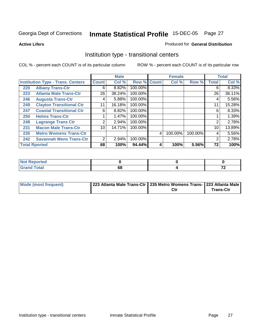**Active Lifers**

#### Produced for **General Distribution**

## Institution type - transitional centers

|     |                                          |                | <b>Male</b> |         |             | <b>Female</b> |         |                | <b>Total</b> |
|-----|------------------------------------------|----------------|-------------|---------|-------------|---------------|---------|----------------|--------------|
|     | <b>Institution Type - Trans. Centers</b> | <b>Count</b>   | Col %       |         | Row % Count | Col %         | Row %   | <b>Total</b>   | Col %        |
| 220 | <b>Albany Trans-Ctr</b>                  | 6              | 8.82%       | 100.00% |             |               |         | 6              | 8.33%        |
| 223 | <b>Atlanta Male Trans-Ctr</b>            | 26             | 38.24%      | 100.00% |             |               |         | 26             | 36.11%       |
| 246 | <b>Augusta Trans-Ctr</b>                 | 4              | 5.88%       | 100.00% |             |               |         | 4              | 5.56%        |
| 249 | <b>Clayton Transitional Ctr</b>          | 11             | 16.18%      | 100.00% |             |               |         | 11             | 15.28%       |
| 247 | <b>Coastal Transitional Ctr</b>          | 6              | 8.82%       | 100.00% |             |               |         | 6              | 8.33%        |
| 250 | <b>Helms Trans-Ctr</b>                   | 1              | 1.47%       | 100.00% |             |               |         |                | 1.39%        |
| 248 | <b>Lagrange Trans Ctr</b>                | 2              | 2.94%       | 100.00% |             |               |         | 2              | 2.78%        |
| 231 | <b>Macon Male Trans-Ctr</b>              | 10             | 14.71%      | 100.00% |             |               |         | 10             | 13.89%       |
| 235 | <b>Metro Womens Trans-Ctr</b>            |                |             |         | 4           | 100.00%       | 100.00% | 4              | 5.56%        |
| 242 | <b>Savannah Mens Trans-Ctr</b>           | $\overline{2}$ | 2.94%       | 100.00% |             |               |         | $\overline{2}$ | 2.78%        |
|     | <b>Total Rported</b>                     | 68             | 100%        | 94.44%  | 4           | 100%          | 5.56%   | 72             | 100%         |

| ported<br><b>NOT</b><br>$\cdots$   |    |               |
|------------------------------------|----|---------------|
| int<br>$\sim$ $\sim$ $\sim$ $\sim$ | DС | $\sim$<br>. . |

| <b>Mode (most frequent)</b> | 223 Atlanta Male Trans-Ctr   235 Metro Womens Trans-   223 Atlanta Male |     |                  |
|-----------------------------|-------------------------------------------------------------------------|-----|------------------|
|                             |                                                                         | Ctr | <b>Trans-Ctr</b> |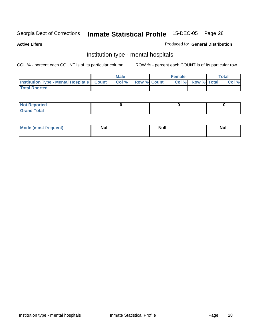**Active Lifers**

#### Produced for **General Distribution**

## Institution type - mental hospitals

|                                                  | <b>Male</b> |                   | <b>Female</b> |                   | Total |
|--------------------------------------------------|-------------|-------------------|---------------|-------------------|-------|
| <b>Institution Type - Mental Hospitals Count</b> |             | Col % Row % Count |               | Col % Row % Total | Col % |
| <b>Total Rported</b>                             |             |                   |               |                   |       |

| <b>Not Reported</b> |  |  |
|---------------------|--|--|
| <b>Total</b><br>r.  |  |  |

| Mode (most frequent) | <b>Null</b> | <b>Null</b> | <b>Null</b> |
|----------------------|-------------|-------------|-------------|
|                      |             |             |             |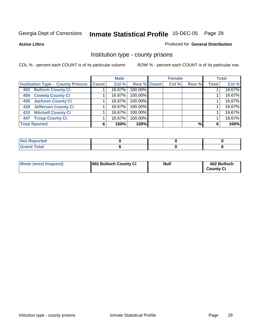**Active Lifers**

#### Produced for **General Distribution**

## Institution type - county prisons

|                                          |              | <b>Male</b> |             | <b>Female</b> |       |              | <b>Total</b> |
|------------------------------------------|--------------|-------------|-------------|---------------|-------|--------------|--------------|
| <b>Institution Type - County Prisons</b> | <b>Count</b> | Col %       | Row % Count | Col %         | Row % | <b>Total</b> | Col %        |
| <b>Bulloch County Ci</b><br>402          |              | 16.67%      | 100.00%     |               |       |              | 16.67%       |
| <b>Coweta County Ci</b><br>409           |              | 16.67%      | 100.00%     |               |       |              | 16.67%       |
| <b>Jackson County Ci</b><br>426          |              | 16.67%      | 100.00%     |               |       |              | 16.67%       |
| <b>Jefferson County Ci</b><br>428        |              | 16.67%      | 100.00%     |               |       |              | 16.67%       |
| <b>Mitchell County Ci</b><br>433         |              | 16.67%      | 100.00%     |               |       |              | 16.67%       |
| <b>Troup County Ci</b><br>447            |              | 16.67%      | 100.00%     |               |       |              | 16.67%       |
| <b>Total Rported</b>                     | 6            | 100%        | 100%        |               | $\%$  | 6            | 100%         |

| <b>Not Reported</b>    |  |  |
|------------------------|--|--|
| <b>Total</b><br>$\sim$ |  |  |

| <b>Mode (most frequent)</b> | 402 Bulloch County Ci | <b>Null</b> | 402 Bulloch<br><b>County Ci</b> |
|-----------------------------|-----------------------|-------------|---------------------------------|
|                             |                       |             |                                 |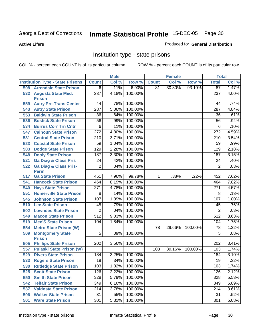#### **Active Lifers**

#### Produced for **General Distribution**

## Institution type - state prisons

|     |                                          |                  | <b>Male</b> |                    |              | <b>Female</b> |         | <b>Total</b>    |                |
|-----|------------------------------------------|------------------|-------------|--------------------|--------------|---------------|---------|-----------------|----------------|
|     | <b>Institution Type - State Prisons</b>  | <b>Count</b>     | Col %       | Row %              | <b>Count</b> | Col %         | Row %   | <b>Total</b>    | Col %          |
| 508 | <b>Arrendale State Prison</b>            | 6                | .11%        | 6.90%              | 81           | 30.80%        | 93.10%  | $\overline{87}$ | 1.47%          |
|     | 532 Augusta State Med.                   | $\overline{237}$ | 4.18%       | 100.00%            |              |               |         | 237             | 4.00%          |
|     | <b>Prison</b>                            |                  |             |                    |              |               |         |                 |                |
| 559 | <b>Autry Pre-Trans Center</b>            | 44               | .78%        | 100.00%            |              |               |         | 44              | .74%           |
| 543 | <b>Autry State Prison</b>                | 287              | 5.06%       | 100.00%            |              |               |         | 287             | 4.84%          |
| 553 | <b>Baldwin State Prison</b>              | 36               | .64%        | 100.00%            |              |               |         | 36              | .61%           |
| 536 | <b>Bostick State Prison</b>              | $\overline{56}$  | .99%        | 100.00%            |              |               |         | 56              | .94%           |
| 534 | <b>Burrus Corr Trn Cntr</b>              | 6                | .11%        | 100.00%            |              |               |         | 6               | .10%           |
| 547 | <b>Calhoun State Prison</b>              | $\overline{272}$ | 4.80%       | 100.00%            |              |               |         | 272             | 4.59%          |
| 531 | <b>Central State Prison</b>              | 210              | 3.71%       | 100.00%            |              |               |         | 210             | 3.54%          |
| 523 | <b>Coastal State Prison</b>              | 59               | 1.04%       | 100.00%            |              |               |         | 59              | .99%           |
| 503 | <b>Dodge State Prison</b>                | 129              | 2.28%       | 100.00%            |              |               |         | 129             | 2.18%          |
| 548 | <b>Dooly State Prison</b>                | 187              | 3.30%       | 100.00%            |              |               |         | 187             | 3.15%          |
| 521 | <b>Ga Diag &amp; Class Pris</b>          | $\overline{24}$  | .42%        | 100.00%            |              |               |         | $\overline{24}$ | .40%           |
| 522 | <b>Ga Diag &amp; Class Pris-</b>         | $\overline{2}$   | .04%        | 100.00%            |              |               |         | $\overline{2}$  | .03%           |
|     | <b>Perm</b><br><b>Ga State Prison</b>    |                  |             |                    |              |               |         |                 |                |
| 517 |                                          | 451              | 7.96%       | 99.78%<br>100.00%  | 1            | .38%          | .22%    | 452<br>464      | 7.62%<br>7.82% |
| 541 | <b>Hancock State Prison</b>              | 464              | 8.19%       | 100.00%            |              |               |         |                 |                |
| 540 | <b>Hays State Prison</b>                 | 271<br>8         | 4.78%       | 100.00%            |              |               |         | 271<br>8        | 4.57%<br>.13%  |
| 551 | <b>Homerville State Prison</b>           |                  | .14%        | 100.00%            |              |               |         | 107             |                |
| 545 | <b>Johnson State Prison</b>              | 107              | 1.89%       |                    |              |               |         | 45              | 1.80%          |
| 510 | <b>Lee State Prison</b>                  | 45               | .79%        | 100.00%<br>100.00% |              |               |         | $\overline{2}$  | .76%           |
| 502 | <b>Lowndes State Prison</b>              | $\overline{2}$   | .04%        |                    |              |               |         |                 | .03%           |
| 549 | <b>Macon State Prison</b>                | 512              | 9.03%       | 100.00%            |              |               |         | 512             | 8.63%          |
| 519 | <b>Men'S State Prison</b>                | 104              | 1.84%       | 100.00%            |              |               |         | 104             | 1.75%          |
| 554 | <b>Metro State Prison (W)</b>            |                  |             |                    | 78           | 29.66%        | 100.00% | $\overline{78}$ | 1.32%          |
| 509 | <b>Montgomery State</b><br><b>Prison</b> | 5                | .09%        | 100.00%            |              |               |         | 5               | .08%           |
| 505 | <b>Phillips State Prison</b>             | 202              | 3.56%       | 100.00%            |              |               |         | 202             | 3.41%          |
| 557 | <b>Pulaski State Prison (W)</b>          |                  |             |                    | 103          | 39.16%        | 100.00% | 103             | 1.74%          |
| 529 | <b>Rivers State Prison</b>               | 184              | 3.25%       | 100.00%            |              |               |         | 184             | 3.10%          |
| 533 | <b>Rogers State Prison</b>               | $\overline{19}$  | .34%        | 100.00%            |              |               |         | $\overline{19}$ | .32%           |
| 530 | <b>Rutledge State Prison</b>             | 103              | 1.82%       | 100.00%            |              |               |         | 103             | 1.74%          |
| 525 | <b>Scott State Prison</b>                | 126              | 2.22%       | 100.00%            |              |               |         | 126             | 2.12%          |
| 550 | <b>Smith State Prison</b>                | 328              | 5.79%       | 100.00%            |              |               |         | 328             | 5.53%          |
| 542 | <b>Telfair State Prison</b>              | 349              | 6.16%       | 100.00%            |              |               |         | 349             | 5.89%          |
| 537 | <b>Valdosta State Prison</b>             | 214              | 3.78%       | 100.00%            |              |               |         | 214             | 3.61%          |
| 506 | <b>Walker State Prison</b>               | 31               | .55%        | 100.00%            |              |               |         | 31              | .52%           |
| 501 | <b>Ware State Prison</b>                 | 301              | 5.31%       | 100.00%            |              |               |         | 301             | 5.08%          |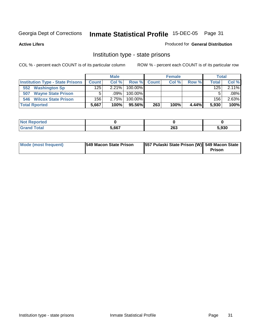**Active Lifers**

#### Produced for **General Distribution**

## Institution type - state prisons

|                                         |              | <b>Male</b> |            |              | <b>Female</b> |       | <b>Total</b> |         |
|-----------------------------------------|--------------|-------------|------------|--------------|---------------|-------|--------------|---------|
| <b>Institution Type - State Prisons</b> | <b>Count</b> | Col %       | Row %      | <b>Count</b> | Col %         | Row % | Total        | Col %   |
| <b>Washington Sp</b><br>552             | 125          | 2.21%       | $100.00\%$ |              |               |       | 125          | 2.11%   |
| <b>Wayne State Prison</b><br>507        |              | $.09\%$     | $100.00\%$ |              |               |       |              | $.08\%$ |
| 546 Wilcox State Prison                 | 156          | 2.75%       | $100.00\%$ |              |               |       | 156          | 2.63%   |
| <b>Total Rported</b>                    | 5,667        | 100%        | 95.56%I    | 263          | 100%          | 4.44% | 5.930        | 100%    |

| oorted<br>NOT |       |             |       |
|---------------|-------|-------------|-------|
| <b>Total</b>  | 5.667 | ንድ ን<br>20J | 5,930 |

| <b>Mode (most frequent)</b> | <b>549 Macon State Prison</b> | 557 Pulaski State Prison (W) 549 Macon State | <b>Prison</b> |
|-----------------------------|-------------------------------|----------------------------------------------|---------------|
|-----------------------------|-------------------------------|----------------------------------------------|---------------|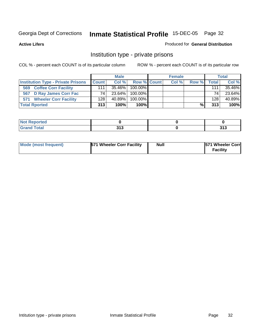**Active Lifers**

#### Produced for **General Distribution**

## Institution type - private prisons

|                                           |              | <b>Male</b> |                    | <b>Female</b> |       |         | <b>Total</b> |
|-------------------------------------------|--------------|-------------|--------------------|---------------|-------|---------|--------------|
| <b>Institution Type - Private Prisons</b> | <b>Count</b> | Col %       | <b>Row % Count</b> | Col %         | Row % | Total I | Col %        |
| <b>Coffee Corr Facility</b><br>569        | 111          | $35.46\%$   | $100.00\%$         |               |       | 111     | 35.46%       |
| <b>D Ray James Corr Fac</b><br>567        | 74           | 23.64%      | $100.00\%$         |               |       | 74      | 23.64%       |
| <b>Wheeler Corr Facility</b><br>571       | 128          | $40.89\%$   | $100.00\%$         |               |       | 128     | 40.89%       |
| <b>Total Rported</b>                      | 313          | 100%        | $100\%$            |               | %     | 313     | 100%         |

| <b>Reported</b><br>$\sim$ |       |       |
|---------------------------|-------|-------|
| <b>otal</b>               | 242   | 242   |
| ---                       | J I J | J I J |

| 571 Wheeler Corr Facility<br><b>Mode (most frequent)</b> | <b>Null</b> | <b>571 Wheeler Corr</b><br><b>Facility</b> |
|----------------------------------------------------------|-------------|--------------------------------------------|
|----------------------------------------------------------|-------------|--------------------------------------------|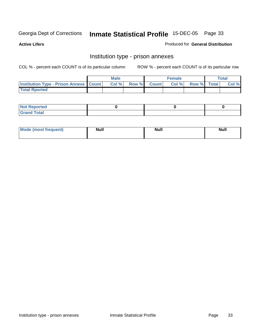**Active Lifers**

#### Produced for **General Distribution**

## Institution type - prison annexes

|                                                   | <b>Male</b> |             | <b>Female</b> |             | <b>Total</b> |
|---------------------------------------------------|-------------|-------------|---------------|-------------|--------------|
| <b>Institution Type - Prison Annexe   Count  </b> | Col %       | Row % Count | Col %         | Row % Total | Col %        |
| <b>Total Rported</b>                              |             |             |               |             |              |

| $N$ nt R<br>Reported         |  |  |
|------------------------------|--|--|
| <b>Total</b><br><b>Grano</b> |  |  |

| Mode (most frequent) | <b>Null</b> | <b>Null</b> | <b>Null</b> |
|----------------------|-------------|-------------|-------------|
|                      |             |             |             |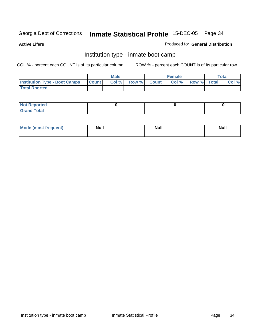**Active Lifers**

#### Produced for **General Distribution**

## Institution type - inmate boot camp

|                                      |              | <b>Male</b> |                    | Female |             | Total |
|--------------------------------------|--------------|-------------|--------------------|--------|-------------|-------|
| <b>Institution Type - Boot Camps</b> | <b>Count</b> | Col%        | <b>Row % Count</b> | Col %  | Row % Total | Col % |
| <b>Total Rported</b>                 |              |             |                    |        |             |       |

| <b>Not Reported</b> |  |  |
|---------------------|--|--|
| $f$ ota'<br>C<br>.  |  |  |

| <b>Mode (most frequent)</b> | <b>Null</b> | <b>Null</b> | <b>Null</b> |
|-----------------------------|-------------|-------------|-------------|
|                             |             |             |             |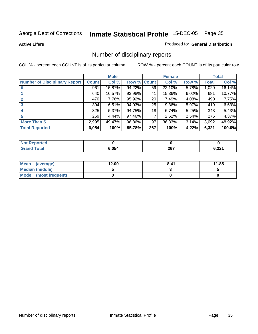#### **Active Lifers**

#### Produced for **General Distribution**

## Number of disciplinary reports

|                                      |              | <b>Male</b> |                    |                 | <b>Female</b> |          |       | <b>Total</b> |
|--------------------------------------|--------------|-------------|--------------------|-----------------|---------------|----------|-------|--------------|
| <b>Number of Disciplinary Report</b> | <b>Count</b> | Col %       | <b>Row % Count</b> |                 | Col %         | Row %    | Total | Col %        |
|                                      | 961          | 15.87%      | 94.22%             | 59              | 22.10%        | 5.78%    | 1,020 | 16.14%       |
|                                      | 640          | 10.57%      | 93.98%             | 41              | 15.36%        | 6.02%    | 681   | 10.77%       |
| $\mathbf{2}$                         | 470          | 7.76%       | 95.92%             | 20 <sup>°</sup> | 7.49%         | 4.08%    | 490   | 7.75%        |
| 3                                    | 394          | 6.51%       | 94.03%             | 25              | 9.36%         | 5.97%    | 419   | 6.63%        |
| 4                                    | 325          | 5.37%       | 94.75%             | 18              | 6.74%         | 5.25%    | 343   | 5.43%        |
| 5                                    | 269          | 4.44%       | 97.46%             | 7               | 2.62%         | 2.54%    | 276   | 4.37%        |
| <b>More Than 5</b>                   | 2,995        | 49.47%      | 96.86%             | 97              | 36.33%        | $3.14\%$ | 3,092 | 48.92%       |
| <b>Total Reported</b>                | 6,054        | 100%        | 95.78%             | 267             | 100%          | 4.22%I   | 6,321 | 100.0%       |

| N |       |             |                                  |
|---|-------|-------------|----------------------------------|
|   | ነ 054 | 202<br>ZV I | גרפי<br>$\overline{\phantom{a}}$ |

| Mean (average)       | 12.00 | 8.41 | 11.85 |
|----------------------|-------|------|-------|
| Median (middle)      |       |      |       |
| Mode (most frequent) |       |      |       |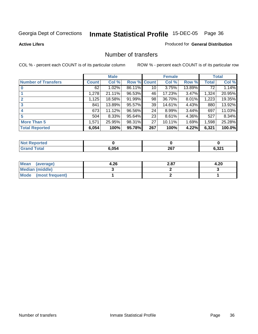**Active Lifers**

#### Produced for **General Distribution**

#### Number of transfers

|                            | <b>Male</b>  |        | <b>Female</b> |             |        | <b>Total</b> |       |        |
|----------------------------|--------------|--------|---------------|-------------|--------|--------------|-------|--------|
| <b>Number of Transfers</b> | <b>Count</b> | Col %  |               | Row % Count | Col %  | Row %        | Total | Col %  |
|                            | 62           | 1.02%  | 86.11%        | 10 l        | 3.75%  | 13.89%       | 72    | 1.14%  |
|                            | 1,278        | 21.11% | 96.53%        | 46          | 17.23% | 3.47%        | 1,324 | 20.95% |
| $\mathbf{2}$               | 1,125        | 18.58% | 91.99%        | 98          | 36.70% | $8.01\%$     | 1,223 | 19.35% |
| 3                          | 841          | 13.89% | 95.57%        | 39          | 14.61% | 4.43%        | 880   | 13.92% |
|                            | 673          | 11.12% | 96.56%        | 24          | 8.99%  | 3.44%        | 697   | 11.03% |
| 5                          | 504          | 8.33%  | 95.64%        | 23          | 8.61%  | 4.36%        | 527   | 8.34%  |
| <b>More Than 5</b>         | 1,571        | 25.95% | 98.31%        | 27          | 10.11% | 1.69%        | 1,598 | 25.28% |
| <b>Total Reported</b>      | 6,054        | 100%   | 95.78%        | 267         | 100%   | 4.22%        | 6,321 | 100.0% |

| N |       |             |                                  |
|---|-------|-------------|----------------------------------|
|   | ነ 054 | 202<br>ZV I | גרפי<br>$\overline{\phantom{a}}$ |

| Mean (average)       | 4.26 | 2.87 | 4.20 |
|----------------------|------|------|------|
| Median (middle)      |      |      |      |
| Mode (most frequent) |      |      |      |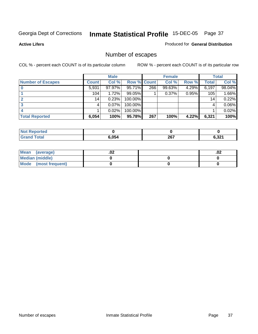**Active Lifers**

### Produced for **General Distribution**

## Number of escapes

|                          |              | <b>Male</b> |                    |     | <b>Female</b> |          |       | <b>Total</b> |
|--------------------------|--------------|-------------|--------------------|-----|---------------|----------|-------|--------------|
| <b>Number of Escapes</b> | <b>Count</b> | Col %       | <b>Row % Count</b> |     | Col %         | Row %    | Total | Col %        |
|                          | 5,931        | 97.97%      | $95.71\%$          | 266 | 99.63%        | $4.29\%$ | 6,197 | 98.04%       |
|                          | 104          | $1.72\%$    | 99.05%             |     | 0.37%         | 0.95%    | 105   | 1.66%        |
|                          | 14           | 0.23%       | 100.00%            |     |               |          | 14    | 0.22%        |
|                          |              | 0.07%       | 100.00%            |     |               |          | 4     | $0.06\%$     |
|                          |              | 0.02%       | 100.00%            |     |               |          |       | 0.02%        |
| <b>Total Reported</b>    | 6,054        | 100%        | 95.78%             | 267 | 100%          | 4.22%I   | 6,321 | 100%         |

| теа |       |     |                        |
|-----|-------|-----|------------------------|
|     | 6.054 | 267 | C 224<br>0.JZ .<br>--- |

| Mean (average)         | .vz | .02 |
|------------------------|-----|-----|
| <b>Median (middle)</b> |     |     |
| Mode (most frequent)   |     |     |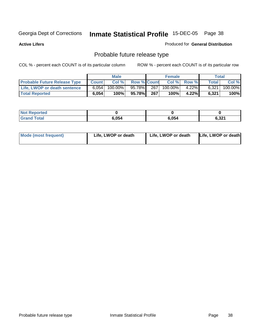**Active Lifers**

### Produced for **General Distribution**

# Probable future release type

|                                     |              | <b>Male</b> |                    |     | <b>Female</b> |             |              | Total   |
|-------------------------------------|--------------|-------------|--------------------|-----|---------------|-------------|--------------|---------|
| <b>Probable Future Release Type</b> | <b>Count</b> | Col %       | <b>Row % Count</b> |     |               | Col % Row % | <b>Total</b> | Col %   |
| <b>Life, LWOP or death sentence</b> | 6.054        | $100.00\%$  | 95.78%             | 267 | 100.00%       | $4.22\%$    | 6.321        | 100.00% |
| <b>Total Reported</b>               | 6,054        | 100%        | 95.78%             | 267 | 100%          | 4.22%       | 6,321        | 100%    |

| <b>Not Reported</b> |       |       |                       |
|---------------------|-------|-------|-----------------------|
| <b>Grand Total</b>  | 6,054 | 6.054 | e na<br><u>ი.ა∠ .</u> |

| <b>Mode (most frequent)</b> | Life, LWOP or death | Life, LWOP or death | Life, LWOP or death |
|-----------------------------|---------------------|---------------------|---------------------|
|-----------------------------|---------------------|---------------------|---------------------|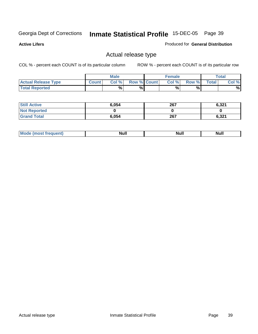**Active Lifers**

### Produced for **General Distribution**

## Actual release type

|                            |              | <b>Male</b> |                    | Female |        |             | $\tau$ otal |
|----------------------------|--------------|-------------|--------------------|--------|--------|-------------|-------------|
| <b>Actual Release Type</b> | <b>Count</b> | Col %       | <b>Row % Count</b> | Col %  | Row %I | $\tau$ otal | Col %       |
| <b>Total Reported</b>      |              | %           | %                  | %      | %      |             | %           |

| <b>Still Active</b> | 6,054 | 267 | 6,321 |
|---------------------|-------|-----|-------|
| <b>Not Reported</b> |       |     |       |
| <b>Grand Total</b>  | 6,054 | 267 | 6,321 |

| M | <b>Null</b> | <b>IVAII</b> | Null |
|---|-------------|--------------|------|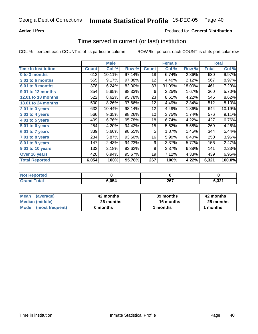### **Active Lifers**

## Produced for **General Distribution**

## Time served in current (or last) institution

|                            |              | <b>Male</b> |        |              | <b>Female</b> |        |       | <b>Total</b> |
|----------------------------|--------------|-------------|--------|--------------|---------------|--------|-------|--------------|
| <b>Time In Institution</b> | <b>Count</b> | Col %       | Row %  | <b>Count</b> | Col %         | Row %  | Total | Col %        |
| 0 to 3 months              | 612          | 10.11%      | 97.14% | 18           | 6.74%         | 2.86%  | 630   | 9.97%        |
| <b>3.01 to 6 months</b>    | 555          | 9.17%       | 97.88% | 12           | 4.49%         | 2.12%  | 567   | 8.97%        |
| 6.01 to 9 months           | 378          | 6.24%       | 82.00% | 83           | 31.09%        | 18.00% | 461   | 7.29%        |
| 9.01 to 12 months          | 354          | 5.85%       | 98.33% | 6            | 2.25%         | 1.67%  | 360   | 5.70%        |
| <b>12.01 to 18 months</b>  | 522          | 8.62%       | 95.78% | 23           | 8.61%         | 4.22%  | 545   | 8.62%        |
| 18.01 to 24 months         | 500          | 8.26%       | 97.66% | 12           | 4.49%         | 2.34%  | 512   | 8.10%        |
| 2.01 to 3 years            | 632          | 10.44%      | 98.14% | 12           | 4.49%         | 1.86%  | 644   | 10.19%       |
| 3.01 to 4 years            | 566          | 9.35%       | 98.26% | 10           | 3.75%         | 1.74%  | 576   | 9.11%        |
| 4.01 to 5 years            | 409          | 6.76%       | 95.78% | 18           | 6.74%         | 4.22%  | 427   | 6.76%        |
| 5.01 to 6 years            | 254          | 4.20%       | 94.42% | 15           | 5.62%         | 5.58%  | 269   | 4.26%        |
| 6.01 to 7 years            | 339          | 5.60%       | 98.55% | 5            | 1.87%         | 1.45%  | 344   | 5.44%        |
| 7.01 to 8 years            | 234          | 3.87%       | 93.60% | 16           | 5.99%         | 6.40%  | 250   | 3.96%        |
| 8.01 to 9 years            | 147          | 2.43%       | 94.23% | 9            | 3.37%         | 5.77%  | 156   | 2.47%        |
| 9.01 to 10 years           | 132          | 2.18%       | 93.62% | 9            | 3.37%         | 6.38%  | 141   | 2.23%        |
| Over 10 years              | 420          | 6.94%       | 95.67% | 19           | 7.12%         | 4.33%  | 439   | 6.95%        |
| <b>Total Reported</b>      | 6,054        | 100%        | 95.78% | 267          | 100%          | 4.22%  | 6,321 | 100.0%       |

| <b>Not Reported</b>   |       |     |                 |
|-----------------------|-------|-----|-----------------|
| <b>Total</b><br>Grand | 6,054 | 267 | 2004<br>ו גט, ס |

| <b>Mean</b><br>(average) | 42 months | 39 months | 42 months |  |
|--------------------------|-----------|-----------|-----------|--|
| Median (middle)          | 26 months | 16 months | 25 months |  |
| Mode (most frequent)     | 0 months  | l months  | 1 months  |  |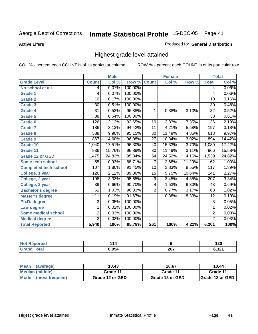**Active Lifers**

### Produced for **General Distribution**

## Highest grade level attained

|                              |                 | <b>Male</b> |         |                         | <b>Female</b> |        |                  | <b>Total</b> |
|------------------------------|-----------------|-------------|---------|-------------------------|---------------|--------|------------------|--------------|
| <b>Grade Level</b>           | <b>Count</b>    | Col %       | Row %   | <b>Count</b>            | Col %         | Row %  | <b>Total</b>     | Col %        |
| No school at all             | $\vert 4 \vert$ | 0.07%       | 100.00% |                         |               |        | 4                | $0.06\%$     |
| <b>Grade 1</b>               | 4               | 0.07%       | 100.00% |                         |               |        | 4                | $0.06\%$     |
| <b>Grade 2</b>               | 10              | 0.17%       | 100.00% |                         |               |        | 10               | 0.16%        |
| <b>Grade 3</b>               | $\overline{30}$ | 0.51%       | 100.00% |                         |               |        | $\overline{30}$  | 0.48%        |
| <b>Grade 4</b>               | $\overline{31}$ | 0.52%       | 96.88%  | 1                       | 0.38%         | 3.13%  | $\overline{32}$  | 0.52%        |
| Grade 5                      | $\overline{38}$ | 0.64%       | 100.00% |                         |               |        | $\overline{38}$  | 0.61%        |
| Grade 6                      | 126             | 2.12%       | 92.65%  | 10                      | 3.83%         | 7.35%  | 136              | 2.19%        |
| <b>Grade 7</b>               | 186             | 3.13%       | 94.42%  | 11                      | 4.21%         | 5.58%  | 197              | 3.18%        |
| Grade 8                      | 588             | 9.90%       | 95.15%  | $\overline{30}$         | 11.49%        | 4.85%  | 618              | 9.97%        |
| <b>Grade 9</b>               | 867             | 14.60%      | 96.98%  | $\overline{27}$         | 10.34%        | 3.02%  | 894              | 14.42%       |
| Grade 10                     | 1,040           | 17.51%      | 96.30%  | 40                      | 15.33%        | 3.70%  | 1,080            | 17.42%       |
| Grade 11                     | 936             | 15.76%      | 96.89%  | $\overline{30}$         | 11.49%        | 3.11%  | 966              | 15.58%       |
| <b>Grade 12 or GED</b>       | 1,475           | 24.83%      | 95.84%  | 64                      | 24.52%        | 4.16%  | 1,539            | 24.82%       |
| <b>Some tech school</b>      | $\overline{55}$ | 0.93%       | 88.71%  | 7                       | 2.68%         | 11.29% | 62               | 1.00%        |
| <b>Completed tech school</b> | 107             | 1.80%       | 91.45%  | 10                      | 3.83%         | 8.55%  | $\overline{117}$ | 1.89%        |
| College, 1 year              | 126             | 2.12%       | 89.36%  | 15                      | 5.75%         | 10.64% | $\overline{141}$ | 2.27%        |
| College, 2 year              | 198             | 3.33%       | 95.65%  | 9                       | 3.45%         | 4.35%  | 207              | 3.34%        |
| College, 3 year              | $\overline{39}$ | 0.66%       | 90.70%  | $\overline{\mathbf{4}}$ | 1.53%         | 9.30%  | 43               | 0.69%        |
| <b>Bachelor's degree</b>     | 61              | 1.03%       | 96.83%  | $\overline{2}$          | 0.77%         | 3.17%  | 63               | 1.02%        |
| <b>Master's degree</b>       | 11              | 0.19%       | 91.67%  | 1                       | 0.38%         | 8.33%  | 12               | 0.19%        |
| Ph.D. degree                 | 3               | 0.05%       | 100.00% |                         |               |        | 3                | 0.05%        |
| Law degree                   | $\mathbf{1}$    | 0.02%       | 100.00% |                         |               |        | $\overline{1}$   | 0.02%        |
| <b>Some medical school</b>   | $\overline{2}$  | 0.03%       | 100.00% |                         |               |        | $\overline{2}$   | 0.03%        |
| <b>Medical degree</b>        | $\overline{2}$  | 0.03%       | 100.00% |                         |               |        | $\overline{2}$   | 0.03%        |
| <b>Total Reported</b>        | 5,940           | 100%        | 95.79%  | 261                     | 100%          | 4.21%  | 6,201            | 100%         |

| м<br>. |                    | .<br>.ZV |
|--------|--------------------|----------|
| 6.054  | 227<br>20 <i>1</i> | .504     |

| Mean<br>(average)         | 10.43           | 10.67           | 10.44                    |
|---------------------------|-----------------|-----------------|--------------------------|
| Median (middle)           | Grade 11        | Grade 11        | Grade 11                 |
| l Mode<br>(most frequent) | Grade 12 or GED | Grade 12 or GED | <b>I</b> Grade 12 or GED |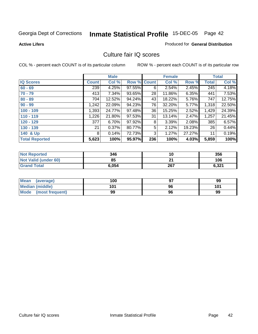**Active Lifers**

### Produced for **General Distribution**

## Culture fair IQ scores

|                       |              | <b>Male</b> |        |              | <b>Female</b> |          |       | <b>Total</b> |
|-----------------------|--------------|-------------|--------|--------------|---------------|----------|-------|--------------|
| <b>IQ Scores</b>      | <b>Count</b> | Col %       | Row %  | <b>Count</b> | Col %         | Row %    | Total | Col %        |
| $60 - 69$             | 239          | 4.25%       | 97.55% | 6            | 2.54%         | 2.45%    | 245   | 4.18%        |
| $70 - 79$             | 413          | $7.34\%$    | 93.65% | 28           | 11.86%        | $6.35\%$ | 441   | 7.53%        |
| $80 - 89$             | 704          | 12.52%      | 94.24% | 43           | 18.22%        | 5.76%    | 747   | 12.75%       |
| $90 - 99$             | 1,242        | 22.09%      | 94.23% | 76           | 32.20%        | 5.77%    | 1,318 | 22.50%       |
| $100 - 109$           | 1,393        | 24.77%      | 97.48% | 36           | 15.25%        | 2.52%    | 1,429 | 24.39%       |
| $110 - 119$           | 1,226        | 21.80%      | 97.53% | 31           | 13.14%        | 2.47%    | 1,257 | 21.45%       |
| $120 - 129$           | 377          | $6.70\%$    | 97.92% | 8            | 3.39%         | 2.08%    | 385   | 6.57%        |
| $130 - 139$           | 21           | 0.37%       | 80.77% | 5            | 2.12%         | 19.23%   | 26    | 0.44%        |
| 140 & Up              | 8            | 0.14%       | 72.73% | 3            | 1.27%         | 27.27%   | 11    | 0.19%        |
| <b>Total Reported</b> | 5,623        | 100%        | 95.97% | 236          | 100%          | 4.03%    | 5,859 | 100%         |

| <b>Not Reported</b>  | 346   |     | 356   |
|----------------------|-------|-----|-------|
| Not Valid (under 60) | 85    | ົາຢ | 106   |
| <b>Grand Total</b>   | 6,054 | 267 | 6,321 |

| <b>Mean</b><br>(average) | 100 | 97 | 99  |
|--------------------------|-----|----|-----|
| <b>Median (middle)</b>   | 101 | 96 | 101 |
| Mode<br>(most frequent)  | 99  | 96 | 99  |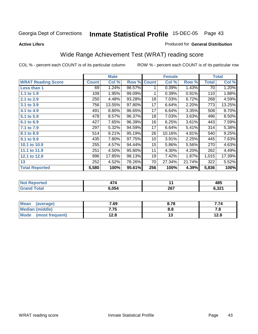### **Active Lifers**

### Produced for **General Distribution**

## Wide Range Achievement Test (WRAT) reading score

|                           |              | <b>Male</b> |        |              | <b>Female</b> |        |              | <b>Total</b> |
|---------------------------|--------------|-------------|--------|--------------|---------------|--------|--------------|--------------|
| <b>WRAT Reading Score</b> | <b>Count</b> | Col %       | Row %  | <b>Count</b> | Col %         | Row %  | <b>Total</b> | Col %        |
| Less than 1               | 69           | 1.24%       | 98.57% |              | 0.39%         | 1.43%  | 70           | 1.20%        |
| 1.1 to 1.9                | 109          | 1.95%       | 99.09% | 1            | 0.39%         | 0.91%  | 110          | 1.88%        |
| 2.1 to 2.9                | 250          | 4.48%       | 93.28% | 18           | 7.03%         | 6.72%  | 268          | 4.59%        |
| 3.1 to 3.9                | 756          | 13.55%      | 97.80% | 17           | 6.64%         | 2.20%  | 773          | 13.25%       |
| 4.1 to 4.9                | 491          | 8.80%       | 96.65% | 17           | 6.64%         | 3.35%  | 508          | 8.70%        |
| 5.1 to 5.9                | 478          | 8.57%       | 96.37% | 18           | 7.03%         | 3.63%  | 496          | 8.50%        |
| 6.1 to 6.9                | 427          | 7.65%       | 96.39% | 16           | 6.25%         | 3.61%  | 443          | 7.59%        |
| 7.1 to 7.9                | 297          | 5.32%       | 94.59% | 17           | 6.64%         | 5.41%  | 314          | 5.38%        |
| 8.1 to 8.9                | 514          | 9.21%       | 95.19% | 26           | 10.16%        | 4.81%  | 540          | 9.25%        |
| 9.1 to 9.9                | 435          | 7.80%       | 97.75% | 10           | 3.91%         | 2.25%  | 445          | 7.63%        |
| 10.1 to 10.9              | 255          | 4.57%       | 94.44% | 15           | 5.86%         | 5.56%  | 270          | 4.63%        |
| 11.1 to 11.9              | 251          | 4.50%       | 95.80% | 11           | 4.30%         | 4.20%  | 262          | 4.49%        |
| 12.1 to 12.9              | 996          | 17.85%      | 98.13% | 19           | 7.42%         | 1.87%  | 1,015        | 17.39%       |
| 13                        | 252          | 4.52%       | 78.26% | 70           | 27.34%        | 21.74% | 322          | 5.52%        |
| <b>Total Reported</b>     | 5,580        | 100%        | 95.61% | 256          | 100%          | 4.39%  | 5,836        | 100%         |

| <b>orted</b><br>NG         | .     |     | 485             |
|----------------------------|-------|-----|-----------------|
| $\sim$<br>$\mathbf{v}$ and | 054.ه | 267 | e ook<br>0.3Z I |

| <b>Mean</b><br>(average) | 7.69 | 8.78 | 74. ז |
|--------------------------|------|------|-------|
| <b>Median (middle)</b>   | 7.75 | 8.8  | 7. O  |
| Mode<br>(most frequent)  | 12.8 | . .  | 12.8  |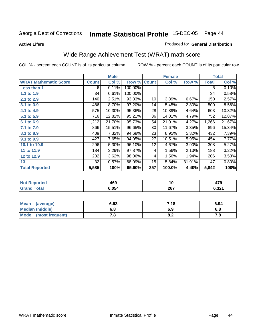### **Active Lifers**

### Produced for **General Distribution**

## Wide Range Achievement Test (WRAT) math score

|                              |              | <b>Male</b> |         |              | <b>Female</b> |        |              | <b>Total</b> |
|------------------------------|--------------|-------------|---------|--------------|---------------|--------|--------------|--------------|
| <b>WRAT Mathematic Score</b> | <b>Count</b> | Col %       | Row %   | <b>Count</b> | Col %         | Row %  | <b>Total</b> | Col %        |
| Less than 1                  | 6            | 0.11%       | 100.00% |              |               |        | 6            | 0.10%        |
| 1.1 to 1.9                   | 34           | 0.61%       | 100.00% |              |               |        | 34           | 0.58%        |
| 2.1 to 2.9                   | 140          | 2.51%       | 93.33%  | 10           | 3.89%         | 6.67%  | 150          | 2.57%        |
| 3.1 to 3.9                   | 486          | 8.70%       | 97.20%  | 14           | 5.45%         | 2.80%  | 500          | 8.56%        |
| 4.1 to 4.9                   | 575          | 10.30%      | 95.36%  | 28           | 10.89%        | 4.64%  | 603          | 10.32%       |
| 5.1 to 5.9                   | 716          | 12.82%      | 95.21%  | 36           | 14.01%        | 4.79%  | 752          | 12.87%       |
| 6.1 to 6.9                   | 1,212        | 21.70%      | 95.73%  | 54           | 21.01%        | 4.27%  | 1,266        | 21.67%       |
| 7.1 to 7.9                   | 866          | 15.51%      | 96.65%  | 30           | 11.67%        | 3.35%  | 896          | 15.34%       |
| 8.1 to 8.9                   | 409          | 7.32%       | 94.68%  | 23           | 8.95%         | 5.32%  | 432          | 7.39%        |
| 9.1 to 9.9                   | 427          | 7.65%       | 94.05%  | 27           | 10.51%        | 5.95%  | 454          | 7.77%        |
| 10.1 to 10.9                 | 296          | 5.30%       | 96.10%  | 12           | 4.67%         | 3.90%  | 308          | 5.27%        |
| 11 to 11.9                   | 184          | 3.29%       | 97.87%  | 4            | 1.56%         | 2.13%  | 188          | 3.22%        |
| 12 to 12.9                   | 202          | 3.62%       | 98.06%  | 4            | 1.56%         | 1.94%  | 206          | 3.53%        |
| 13                           | 32           | 0.57%       | 68.09%  | 15           | 5.84%         | 31.91% | 47           | 0.80%        |
| <b>Total Reported</b>        | 5,585        | 100%        | 95.60%  | 257          | 100.0%        | 4.40%  | 5,842        | 100%         |

| ੋ∩rted<br>NO. | 469   | 10  | 479   |
|---------------|-------|-----|-------|
| <b>Total</b>  | 6.054 | 267 | 6,321 |

| <b>Mean</b><br>(average) | 6.93       | 7.18 | 6.94 |
|--------------------------|------------|------|------|
| <b>Median (middle)</b>   | е о<br>o.o | 6.9  | o.o  |
| Mode<br>(most frequent)  | , o        | 0.Z  | , c  |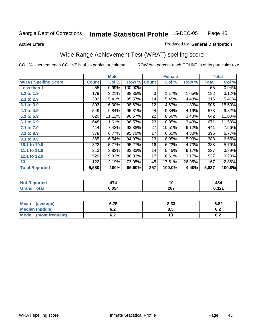### **Active Lifers**

## Produced for **General Distribution**

## Wide Range Achievement Test (WRAT) spelling score

|                            |              | <b>Male</b> |         |              | <b>Female</b> |        |                 | <b>Total</b> |
|----------------------------|--------------|-------------|---------|--------------|---------------|--------|-----------------|--------------|
| <b>WRAT Spelling Score</b> | <b>Count</b> | Col %       | Row %   | <b>Count</b> | Col %         | Row %  | <b>Total</b>    | Col %        |
| Less than 1                | 55           | 0.99%       | 100.00% |              |               |        | $\overline{55}$ | 0.94%        |
| 1.1 to 1.9                 | 179          | 3.21%       | 98.35%  | 3            | 1.17%         | 1.65%  | 182             | 3.12%        |
| 2.1 to 2.9                 | 302          | 5.41%       | 95.57%  | 14           | 5.45%         | 4.43%  | 316             | 5.41%        |
| 3.1 to 3.9                 | 893          | 16.00%      | 98.67%  | 12           | 4.67%         | 1.33%  | 905             | 15.50%       |
| 4.1 to 4.9                 | 549          | 9.84%       | 95.81%  | 24           | 9.34%         | 4.19%  | 573             | 9.82%        |
| 5.1 to 5.9                 | 620          | 11.11%      | 96.57%  | 22           | 8.56%         | 3.43%  | 642             | 11.00%       |
| 6.1 to 6.9                 | 648          | 11.61%      | 96.57%  | 23           | 8.95%         | 3.43%  | 671             | 11.50%       |
| 7.1 to 7.9                 | 414          | 7.42%       | 93.88%  | 27           | 10.51%        | 6.12%  | 441             | 7.56%        |
| 8.1 to 8.9                 | 378          | 6.77%       | 95.70%  | 17           | 6.61%         | 4.30%  | 395             | 6.77%        |
| 9.1 to 9.9                 | 365          | 6.54%       | 94.07%  | 23           | 8.95%         | 5.93%  | 388             | 6.65%        |
| 10.1 to 10.9               | 322          | 5.77%       | 95.27%  | 16           | 6.23%         | 4.73%  | 338             | 5.79%        |
| 11.1 to 11.9               | 213          | 3.82%       | 93.83%  | 14           | 5.45%         | 6.17%  | 227             | 3.89%        |
| 12.1 to 12.9               | 520          | 9.32%       | 96.83%  | 17           | 6.61%         | 3.17%  | 537             | 9.20%        |
| 13                         | 122          | 2.19%       | 73.05%  | 45           | 17.51%        | 26.95% | 167             | 2.86%        |
| <b>Total Reported</b>      | 5,580        | 100%        | 95.60%  | 257          | 100.0%        | 4.40%  | 5,837           | 100.0%       |

| ੋ∩rted<br>NO                  | . .   | 1 V | 10              |
|-------------------------------|-------|-----|-----------------|
| $f \wedge f \wedge f$<br>υιαι | 054.ه | 267 | C 221<br>0.JZ I |

| <b>Mean</b><br>(average)       | 6.75               | 8.33 | 6.82       |
|--------------------------------|--------------------|------|------------|
| <b>Median (middle)</b>         | . .<br>$v_{\cdot}$ | 8.5  | 0.Z        |
| <b>Mode</b><br>(most frequent) | v.z                | ט ו  | e o<br>0.4 |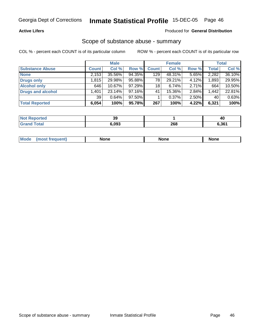### **Active Lifers**

### Produced for **General Distribution**

## Scope of substance abuse - summary

|                          |              | <b>Male</b> |           |              | <b>Female</b> |       |              | <b>Total</b> |
|--------------------------|--------------|-------------|-----------|--------------|---------------|-------|--------------|--------------|
| <b>Substance Abuse</b>   | <b>Count</b> | Col %       | Row %     | <b>Count</b> | Col %         | Row % | <b>Total</b> | Col %        |
| <b>None</b>              | 2,153        | 35.56%      | 94.35%    | 129          | 48.31%        | 5.65% | 2,282        | 36.10%       |
| <b>Drugs only</b>        | l.815        | 29.98%      | 95.88%    | 78           | 29.21%        | 4.12% | 1,893,       | 29.95%       |
| <b>Alcohol only</b>      | 646          | 10.67%      | 97.29%    | 18           | 6.74%         | 2.71% | 664          | 10.50%       |
| <b>Drugs and alcohol</b> | .401         | 23.14%      | 97.16%    | 41           | 15.36%        | 2.84% | 1,442        | 22.81%       |
|                          | 39           | 0.64%       | $97.50\%$ |              | $0.37\%$      | 2.50% | 40           | 0.63%        |
| <b>Total Reported</b>    | 6,054        | 100%        | 95.78%    | 267          | 100%          | 4.22% | 6,321        | 100%         |

| วrtec | 39    |     | 40    |
|-------|-------|-----|-------|
|       | 6.093 | 268 | 6.361 |

| <b>Mode</b> | <b>None</b> | Non <sub>(</sub> | <b>None</b> |
|-------------|-------------|------------------|-------------|
|             |             |                  |             |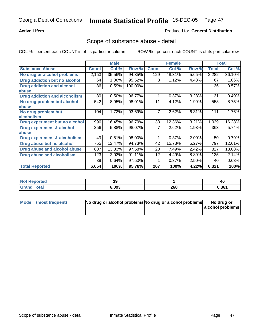### **Active Lifers**

### Produced for **General Distribution**

## Scope of substance abuse - detail

|                                      |              | <b>Male</b> |         |              | <b>Female</b> |       |              | <b>Total</b> |
|--------------------------------------|--------------|-------------|---------|--------------|---------------|-------|--------------|--------------|
| <b>Substance Abuse</b>               | <b>Count</b> | Col %       | Row %   | <b>Count</b> | Col %         | Row % | <b>Total</b> | Col %        |
| No drug or alcohol problems          | 2,153        | 35.56%      | 94.35%  | 129          | 48.31%        | 5.65% | 2,282        | 36.10%       |
| Drug addiction but no alcohol        | 64           | 1.06%       | 95.52%  | 3            | 1.12%         | 4.48% | 67           | 1.06%        |
| <b>Drug addiction and alcohol</b>    | 36           | 0.59%       | 100.00% |              |               |       | 36           | 0.57%        |
| abuse                                |              |             |         |              |               |       |              |              |
| <b>Drug addiction and alcoholism</b> | 30           | 0.50%       | 96.77%  |              | 0.37%         | 3.23% | 31           | 0.49%        |
| No drug problem but alcohol          | 542          | 8.95%       | 98.01%  | 11           | 4.12%         | 1.99% | 553          | 8.75%        |
| abuse                                |              |             |         |              |               |       |              |              |
| No drug problem but                  | 104          | 1.72%       | 93.69%  | 7            | 2.62%         | 6.31% | 111          | 1.76%        |
| alcoholism                           |              |             |         |              |               |       |              |              |
| Drug experiment but no alcohol       | 996          | 16.45%      | 96.79%  | 33           | 12.36%        | 3.21% | 1,029        | 16.28%       |
| <b>Drug experiment &amp; alcohol</b> | 356          | 5.88%       | 98.07%  |              | 2.62%         | 1.93% | 363          | 5.74%        |
| abuse                                |              |             |         |              |               |       |              |              |
| Drug experiment & alcoholism         | 49           | 0.81%       | 98.00%  |              | 0.37%         | 2.00% | 50           | 0.79%        |
| Drug abuse but no alcohol            | 755          | 12.47%      | 94.73%  | 42           | 15.73%        | 5.27% | 797          | 12.61%       |
| Drug abuse and alcohol abuse         | 807          | 13.33%      | 97.58%  | 20           | 7.49%         | 2.42% | 827          | 13.08%       |
| <b>Drug abuse and alcoholism</b>     | 123          | 2.03%       | 91.11%  | 12           | 4.49%         | 8.89% | 135          | 2.14%        |
|                                      | 39           | 0.64%       | 97.50%  |              | 0.37%         | 2.50% | 40           | 0.63%        |
| <b>Total Reported</b>                | 6,054        | 100%        | 95.78%  | 267          | 100%          | 4.22% | 6,321        | 100%         |

| orted | 39    |     | 40    |
|-------|-------|-----|-------|
| ัวtaı | 6.093 | 268 | 6.361 |

| Mode (most frequent) | No drug or alcohol problems No drug or alcohol problems | No drug or       |
|----------------------|---------------------------------------------------------|------------------|
|                      |                                                         | alcohol problems |
|                      |                                                         |                  |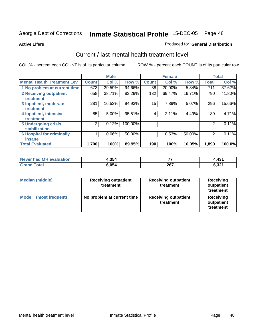**Active Lifers**

### Produced for **General Distribution**

## Current / last mental health treatment level

|                                    |                | <b>Male</b> |         |              | <b>Female</b> |          |              | <b>Total</b> |
|------------------------------------|----------------|-------------|---------|--------------|---------------|----------|--------------|--------------|
| <b>Mental Health Treatment Lev</b> | <b>Count</b>   | Col %       | Row %   | <b>Count</b> | Col %         | Row %    | <b>Total</b> | Col %        |
| 1 No problem at current time       | 673            | 39.59%      | 94.66%  | 38           | 20.00%        | $5.34\%$ | 711          | 37.62%       |
| <b>2 Receiving outpatient</b>      | 658            | 38.71%      | 83.29%  | 132          | 69.47%        | 16.71%   | 790          | 41.80%       |
| treatment                          |                |             |         |              |               |          |              |              |
| 3 Inpatient, moderate              | 281            | 16.53%      | 94.93%  | 15           | 7.89%         | 5.07%    | 296          | 15.66%       |
| treatment                          |                |             |         |              |               |          |              |              |
| 4 Inpatient, intensive             | 85             | 5.00%       | 95.51%  | 4            | 2.11%         | 4.49%    | 89           | 4.71%        |
| treatment                          |                |             |         |              |               |          |              |              |
| <b>5 Undergoing crisis</b>         | $\overline{2}$ | 0.12%       | 100.00% |              |               |          | 2            | 0.11%        |
| stabilization                      |                |             |         |              |               |          |              |              |
| <b>6 Hospital for criminally</b>   |                | 0.06%       | 50.00%  |              | 0.53%         | 50.00%   | 2            | 0.11%        |
| insane                             |                |             |         |              |               |          |              |              |
| <b>Total Evaluated</b>             | 1,700          | 100%        | 89.95%  | 190          | 100%          | 10.05%   | 1,890        | 100.0%       |

| Never had MH<br>luation<br>⊧eval | 1,354 | --<br>. . | $\overline{1}31$<br>ו שד |
|----------------------------------|-------|-----------|--------------------------|
|                                  | 450.ر | 267       | C 221<br>. ა∠ დ          |

| Median (middle)         | <b>Receiving outpatient</b><br>treatment | <b>Receiving outpatient</b><br>treatment | Receiving<br>outpatient<br>treatment |  |
|-------------------------|------------------------------------------|------------------------------------------|--------------------------------------|--|
| Mode<br>(most frequent) | No problem at current time               | <b>Receiving outpatient</b><br>treatment | Receiving<br>outpatient<br>treatment |  |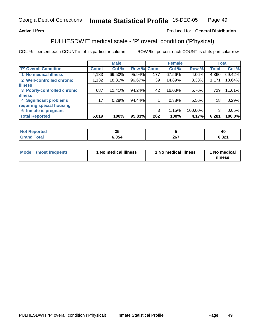### **Active Lifers**

## Produced for **General Distribution**

## PULHESDWIT medical scale - 'P' overall condition ('P'hysical)

|                             |                 | <b>Male</b> |             |     | <b>Female</b> |         |                 | <b>Total</b> |
|-----------------------------|-----------------|-------------|-------------|-----|---------------|---------|-----------------|--------------|
| <b>P' Overall Condition</b> | Count           | Col %       | Row % Count |     | Col %         | Row %   | <b>Total</b>    | Col %        |
| 1 No medical illness        | 4,183           | 69.50%      | 95.94%      | 177 | 67.56%        | 4.06%   | 4,360           | 69.42%       |
| 2 Well-controlled chronic   | 1,132           | 18.81%      | 96.67%      | 39  | 14.89%        | 3.33%   | 1,171           | 18.64%       |
| <b>illness</b>              |                 |             |             |     |               |         |                 |              |
| 3 Poorly-controlled chronic | 687             | 11.41%      | 94.24%      | 42  | 16.03%        | 5.76%   | 729             | 11.61%       |
| <b>illness</b>              |                 |             |             |     |               |         |                 |              |
| 4 Significant problems      | 17 <sup>1</sup> | 0.28%       | 94.44%      |     | 0.38%         | 5.56%   | 18 <sub>1</sub> | 0.29%        |
| requiring special housing   |                 |             |             |     |               |         |                 |              |
| 6 Inmate is pregnant        |                 |             |             | 3   | 1.15%         | 100.00% | 3               | 0.05%        |
| <b>Total Reported</b>       | 6,019           | 100%        | 95.83%      | 262 | 100%          | 4.17%   | 6,281           | 100.0%       |

| тео              | - 24<br>JJ. |     | <b>46</b>     |
|------------------|-------------|-----|---------------|
| T <sub>min</sub> | 6,054       | 267 | ົດດໄ<br>D.JZ. |

| Mode | (most frequent) | 1 No medical illness | 1 No medical illness | 1 No medical<br>illness |
|------|-----------------|----------------------|----------------------|-------------------------|
|------|-----------------|----------------------|----------------------|-------------------------|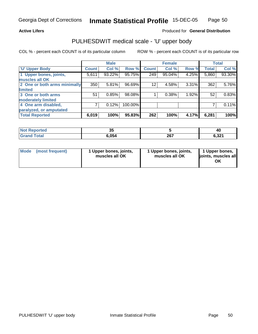### **Active Lifers**

### Produced for **General Distribution**

## PULHESDWIT medical scale - 'U' upper body

|                              |                    | <b>Male</b> |         |                 | <b>Female</b> |          |              | <b>Total</b> |
|------------------------------|--------------------|-------------|---------|-----------------|---------------|----------|--------------|--------------|
| <b>U' Upper Body</b>         | Count <sup>'</sup> | Col %       | Row %   | <b>Count</b>    | Col %         | Row %    | <b>Total</b> | Col %        |
| 1 Upper bones, joints,       | 5,611              | 93.22%      | 95.75%  | 249             | 95.04%        | 4.25%    | 5,860        | 93.30%       |
| muscles all OK               |                    |             |         |                 |               |          |              |              |
| 2 One or both arms minimally | 350                | 5.81%       | 96.69%  | 12 <sup>2</sup> | 4.58%         | $3.31\%$ | 362          | 5.76%        |
| limited                      |                    |             |         |                 |               |          |              |              |
| 3 One or both arms           | 51                 | 0.85%       | 98.08%  |                 | 0.38%         | 1.92%    | 52           | 0.83%        |
| moderately limited           |                    |             |         |                 |               |          |              |              |
| 4 One arm disabled,          |                    | 0.12%       | 100.00% |                 |               |          |              | 0.11%        |
| paralyzed, or amputated      |                    |             |         |                 |               |          |              |              |
| <b>Total Reported</b>        | 6,019              | 100%        | 95.83%  | 262             | 100%          | 4.17%    | 6,281        | 100%         |

| τeα<br>. | <br>◡ |     | 40             |
|----------|-------|-----|----------------|
|          | .054  | 267 | גממי<br>0,3Z î |

| <b>Mode</b> | (most frequent) | 1 Upper bones, joints,<br>muscles all OK | 1 Upper bones, joints,<br>muscles all OK | 1 Upper bones,<br>joints, muscles all<br>ΟK |
|-------------|-----------------|------------------------------------------|------------------------------------------|---------------------------------------------|
|-------------|-----------------|------------------------------------------|------------------------------------------|---------------------------------------------|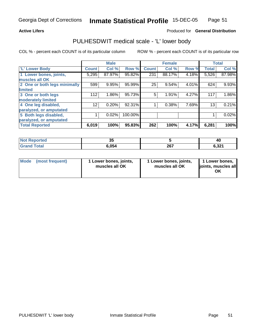### **Active Lifers**

### Produced for **General Distribution**

## PULHESDWIT medical scale - 'L' lower body

|                              |                 | <b>Male</b> |         |              | <b>Female</b> |       |              | <b>Total</b> |
|------------------------------|-----------------|-------------|---------|--------------|---------------|-------|--------------|--------------|
| 'L' Lower Body               | <b>Count</b>    | Col %       | Row %   | <b>Count</b> | Col %         | Row % | <b>Total</b> | Col %        |
| 1 Lower bones, joints,       | 5,295           | 87.97%      | 95.82%  | 231          | 88.17%        | 4.18% | 5,526        | 87.98%       |
| muscles all OK               |                 |             |         |              |               |       |              |              |
| 2 One or both legs minimally | 599             | 9.95%       | 95.99%  | 25           | 9.54%         | 4.01% | 624          | 9.93%        |
| limited                      |                 |             |         |              |               |       |              |              |
| 3 One or both legs           | 112             | 1.86%       | 95.73%  | 5            | 1.91%         | 4.27% | 117          | 1.86%        |
| moderately limited           |                 |             |         |              |               |       |              |              |
| 4 One leg disabled,          | 12 <sub>1</sub> | 0.20%       | 92.31%  |              | 0.38%         | 7.69% | 13           | 0.21%        |
| paralyzed, or amputated      |                 |             |         |              |               |       |              |              |
| 5 Both legs disabled,        |                 | $0.02\%$    | 100.00% |              |               |       |              | 0.02%        |
| paralyzed, or amputated      |                 |             |         |              |               |       |              |              |
| <b>Total Reported</b>        | 6,019           | 100%        | 95.83%  | 262          | 100%          | 4.17% | 6,281        | 100%         |

| <b>Not Reported</b>  | ◡     |     | 40    |
|----------------------|-------|-----|-------|
| Total<br><b>Gran</b> | 054.ه | 267 | 6,321 |

| Mode | (most frequent) | 1 Lower bones, joints,<br>muscles all OK | 1 Lower bones, joints,<br>muscles all OK | 1 Lower bones,<br>ljoints, muscles all<br>OK |
|------|-----------------|------------------------------------------|------------------------------------------|----------------------------------------------|
|------|-----------------|------------------------------------------|------------------------------------------|----------------------------------------------|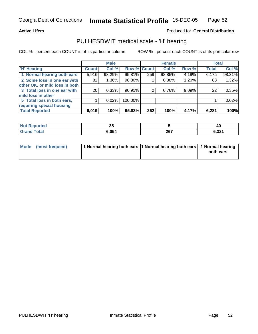### **Active Lifers**

### Produced for **General Distribution**

## PULHESDWIT medical scale - 'H' hearing

|                                |              | <b>Male</b> |             |     | <b>Female</b> |       | <b>Total</b> |        |
|--------------------------------|--------------|-------------|-------------|-----|---------------|-------|--------------|--------|
| <b>H'</b> Hearing              | <b>Count</b> | Col %       | Row % Count |     | Col %         | Row % | <b>Total</b> | Col %  |
| 1 Normal hearing both ears     | 5,916        | 98.29%      | 95.81%      | 259 | 98.85%        | 4.19% | 6,175        | 98.31% |
| 2 Some loss in one ear with    | 82           | 1.36%       | 98.80%      |     | 0.38%         | 1.20% | 83           | 1.32%  |
| other OK, or mild loss in both |              |             |             |     |               |       |              |        |
| 3 Total loss in one ear with   | 20           | 0.33%       | $90.91\%$   | 2   | 0.76%         | 9.09% | 22           | 0.35%  |
| mild loss in other             |              |             |             |     |               |       |              |        |
| 5 Total loss in both ears,     |              | $0.02\%$    | 100.00%     |     |               |       |              | 0.02%  |
| requiring special housing      |              |             |             |     |               |       |              |        |
| <b>Total Reported</b>          | 6,019        | 100%        | 95.83%      | 262 | 100%          | 4.17% | 6,281        | 100%   |

| <b>borted</b> | ູບ    |      | 40     |
|---------------|-------|------|--------|
| $T0$ tol      | 6 በ5  | 267  | .22    |
| <b>C</b> roy  | o.uo- | ZV I | ו שניט |

| Mode (most frequent) | 1 Normal hearing both ears 1 Normal hearing both ears 1 Normal hearing |           |
|----------------------|------------------------------------------------------------------------|-----------|
|                      |                                                                        | both ears |
|                      |                                                                        |           |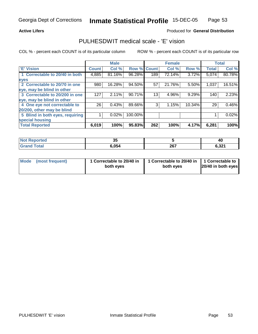### **Active Lifers**

### Produced for **General Distribution**

## PULHESDWIT medical scale - 'E' vision

|                                 |              | <b>Male</b> |                    |     | <b>Female</b> |        |              | <b>Total</b> |
|---------------------------------|--------------|-------------|--------------------|-----|---------------|--------|--------------|--------------|
| <b>E' Vision</b>                | <b>Count</b> | Col %       | <b>Row % Count</b> |     | Col %         | Row %  | <b>Total</b> | Col %        |
| 1 Correctable to 20/40 in both  | 4,885        | 81.16%      | 96.28%             | 189 | 72.14%        | 3.72%  | 5,074        | 80.78%       |
| eyes                            |              |             |                    |     |               |        |              |              |
| 2 Correctable to 20/70 in one   | 980          | 16.28%      | 94.50%             | 57  | 21.76%        | 5.50%  | 1,037        | 16.51%       |
| eye, may be blind in other      |              |             |                    |     |               |        |              |              |
| 3 Correctable to 20/200 in one  | 127          | 2.11%       | 90.71%             | 13  | 4.96%         | 9.29%  | 140          | 2.23%        |
| eye, may be blind in other      |              |             |                    |     |               |        |              |              |
| 4 One eye not correctable to    | 26           | 0.43%       | 89.66%             | 3   | 1.15%         | 10.34% | 29           | 0.46%        |
| 20/200, other may be blind      |              |             |                    |     |               |        |              |              |
| 5 Blind in both eyes, requiring |              | 0.02%       | 100.00%            |     |               |        |              | 0.02%        |
| special housing                 |              |             |                    |     |               |        |              |              |
| <b>Total Reported</b>           | 6,019        | 100%        | 95.83%             | 262 | 100%          | 4.17%  | 6,281        | 100%         |

| <b>Not Reported</b>   | வ<br>v. |     | 40              |
|-----------------------|---------|-----|-----------------|
| <b>Total</b><br>Grang | 6.054   | 267 | e ood<br>0.JZ 1 |

| Mode (most frequent) | 1 Correctable to 20/40 in<br>both eyes | 1 Correctable to 20/40 in   1 Correctable to<br>both eves | 20/40 in both eyes |
|----------------------|----------------------------------------|-----------------------------------------------------------|--------------------|
|----------------------|----------------------------------------|-----------------------------------------------------------|--------------------|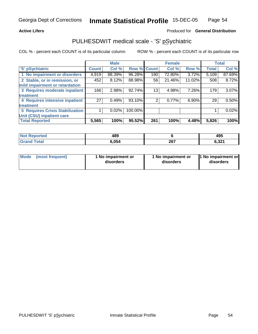### **Active Lifers**

### Produced for **General Distribution**

## PULHESDWIT medical scale - 'S' pSychiatric

|                                        |              | <b>Male</b> |             |     | <b>Female</b> |        |              | <b>Total</b> |
|----------------------------------------|--------------|-------------|-------------|-----|---------------|--------|--------------|--------------|
| 'S' pSychiatric                        | <b>Count</b> | Col %       | Row % Count |     | Col %         | Row %  | <b>Total</b> | Col %        |
| 1 No impairment or disorders           | 4,919        | 88.39%      | 96.28%      | 190 | 72.80%        | 3.72%  | 5,109        | 87.69%       |
| 2 Stable, or in remission, or          | 452          | 8.12%       | 88.98%      | 56  | 21.46%        | 11.02% | 508          | 8.72%        |
| mild impairment or retardation         |              |             |             |     |               |        |              |              |
| 3 Requires moderate inpatient          | 166          | 2.98%       | 92.74%      | 13  | 4.98%         | 7.26%  | 179          | 3.07%        |
| treatment                              |              |             |             |     |               |        |              |              |
| 4 Requires intensive inpatient         | 27           | 0.49%       | 93.10%      |     | 0.77%         | 6.90%  | 29           | 0.50%        |
| treatment                              |              |             |             |     |               |        |              |              |
| <b>5 Requires Crisis Stabilization</b> |              | 0.02%       | 100.00%     |     |               |        |              | 0.02%        |
| Unit (CSU) inpatient care              |              |             |             |     |               |        |              |              |
| <b>Total Reported</b>                  | 5,565        | 100%        | 95.52%      | 261 | 100%          | 4.48%  | 5,826        | 100%         |

| <b>Not</b><br><b>Proorted</b> | 489   |     | 495   |
|-------------------------------|-------|-----|-------|
| <b>Total</b><br>Grar          | 6,054 | 267 | 6,321 |

| Mode | (most frequent) | 1 No impairment or<br>disorders | 1 No impairment or<br>disorders | 1 No impairment or<br>disorders |
|------|-----------------|---------------------------------|---------------------------------|---------------------------------|
|------|-----------------|---------------------------------|---------------------------------|---------------------------------|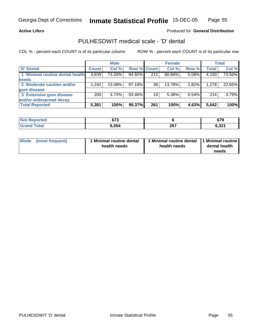### **Active Lifers**

### Produced for **General Distribution**

## PULHESDWIT medical scale - 'D' dental

|                                 |              | <b>Male</b> |             |     | <b>Female</b> |          |              | <b>Total</b> |
|---------------------------------|--------------|-------------|-------------|-----|---------------|----------|--------------|--------------|
| <b>D' Dental</b>                | <b>Count</b> | Col %       | Row % Count |     | Col %         | Row %    | <b>Total</b> | Col %        |
| 1 Minimal routine dental health | 3,939        | 73.20%      | 94.92%      | 211 | 80.84%        | 5.08%    | 4,150        | 73.56%       |
| <b>needs</b>                    |              |             |             |     |               |          |              |              |
| 2 Moderate cavities and/or      | 1,242        | 23.08%      | 97.18%      | 36  | 13.79%        | 2.82%    | 1,278        | 22.65%       |
| gum disease                     |              |             |             |     |               |          |              |              |
| 3 Extensive gum disease         | 200          | $3.72\%$    | 93.46%      | 14  | 5.36%         | $6.54\%$ | 214          | 3.79%        |
| and/or widespread decay         |              |             |             |     |               |          |              |              |
| <b>Total Reported</b>           | 5,381        | 100%        | 95.37%      | 261 | 100%          | 4.63%    | 5,642        | 100%         |

| orted<br>N0   | 673  |     | 679             |
|---------------|------|-----|-----------------|
| fota'<br>. Gr | 054. | 267 | 6,321<br>$\sim$ |

| <b>Mode</b>     | 1 Minimal routine dental | Minimal routine dental  1 Minimal routine | dental health |
|-----------------|--------------------------|-------------------------------------------|---------------|
| (most frequent) | health needs             | health needs                              | needs         |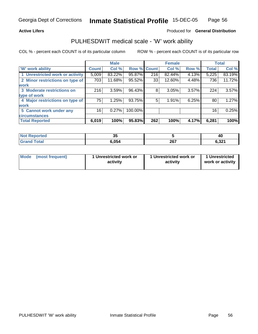### **Active Lifers**

### Produced for **General Distribution**

## PULHESDWIT medical scale - 'W' work ability

|                                 |              | <b>Male</b> |             |     | <b>Female</b> |          |              | <b>Total</b> |
|---------------------------------|--------------|-------------|-------------|-----|---------------|----------|--------------|--------------|
| W' work ability                 | <b>Count</b> | Col %       | Row % Count |     | Col %         | Row %    | <b>Total</b> | Col %        |
| 1 Unrestricted work or activity | 5,009        | 83.22%      | 95.87%      | 216 | 82.44%        | 4.13%    | 5,225        | 83.19%       |
| 2 Minor restrictions on type of | 703          | 11.68%      | 95.52%      | 33  | 12.60%        | 4.48%    | 736          | 11.72%       |
| work                            |              |             |             |     |               |          |              |              |
| 3 Moderate restrictions on      | 216          | 3.59%       | 96.43%      | 8   | 3.05%         | $3.57\%$ | 224          | 3.57%        |
| type of work                    |              |             |             |     |               |          |              |              |
| 4 Major restrictions on type of | 75           | 1.25%       | 93.75%      | 5   | 1.91%         | 6.25%    | 80           | 1.27%        |
| <b>work</b>                     |              |             |             |     |               |          |              |              |
| 5 Cannot work under any         | 16           | 0.27%       | 100.00%     |     |               |          | 16           | 0.25%        |
| <b>circumstances</b>            |              |             |             |     |               |          |              |              |
| <b>Total Reported</b>           | 6,019        | 100%        | 95.83%      | 262 | 100%          | 4.17%    | 6,281        | 100%         |

| <b>Not Reported</b>  | v     |     | 40    |
|----------------------|-------|-----|-------|
| <b>Total</b><br>Gran | 5.054 | 267 | 6,321 |

| Mode | (most frequent) | 1 Unrestricted work or<br>activity | 1 Unrestricted work or<br>activity | 1 Unrestricted<br>work or activity |
|------|-----------------|------------------------------------|------------------------------------|------------------------------------|
|------|-----------------|------------------------------------|------------------------------------|------------------------------------|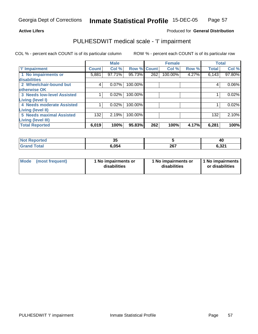### **Active Lifers**

### Produced for **General Distribution**

## PULHESDWIT medical scale - 'I' impairment

|                                   |              | <b>Male</b> |             |     | <b>Female</b> |       | <b>Total</b> |          |
|-----------------------------------|--------------|-------------|-------------|-----|---------------|-------|--------------|----------|
| <b>T' Impairment</b>              | <b>Count</b> | Col %       | Row % Count |     | Col %         | Row % | <b>Total</b> | Col %    |
| 1 No impairments or               | 5,881        | 97.71%      | 95.73%      | 262 | 100.00%       | 4.27% | 6,143        | 97.80%   |
| disabilities                      |              |             |             |     |               |       |              |          |
| 2 Wheelchair-bound but            | 4            | 0.07%       | 100.00%     |     |               |       |              | $0.06\%$ |
| otherwise OK                      |              |             |             |     |               |       |              |          |
| <b>3 Needs low-level Assisted</b> |              | 0.02%       | 100.00%     |     |               |       |              | 0.02%    |
| Living (level I)                  |              |             |             |     |               |       |              |          |
| 4 Needs moderate Assisted         |              | 0.02%       | 100.00%     |     |               |       |              | 0.02%    |
| Living (level II)                 |              |             |             |     |               |       |              |          |
| <b>5 Needs maximal Assisted</b>   | 132          | 2.19%       | 100.00%     |     |               |       | 132          | 2.10%    |
| <b>Living (level III)</b>         |              |             |             |     |               |       |              |          |
| <b>Total Reported</b>             | 6,019        | 100%        | 95.83%      | 262 | 100%          | 4.17% | 6,281        | 100%     |

| <b>Not</b><br>Reported | $\sim$<br>◡ |     | 40    |
|------------------------|-------------|-----|-------|
| Total<br>Gran          | 6.054       | 267 | 6,321 |

|  | Mode (most frequent) | 1 No impairments or<br>disabilities | 1 No impairments or<br>disabilities | 1 No impairments<br>or disabilities |
|--|----------------------|-------------------------------------|-------------------------------------|-------------------------------------|
|--|----------------------|-------------------------------------|-------------------------------------|-------------------------------------|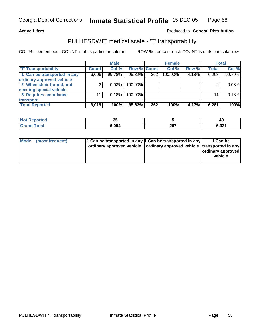#### **Inmate Statistical Profile** 15-DEC-05 Page Page 58

### Active Lifers **Active Lifers Produced for Ceneral Distribution**

## PULHESDWIT medical scale - 'T' transportability

|                             |              | <b>Male</b> |                    |     | <b>Female</b> |       |              | <b>Total</b> |
|-----------------------------|--------------|-------------|--------------------|-----|---------------|-------|--------------|--------------|
| <b>T' Transportability</b>  | <b>Count</b> | Col %       | <b>Row % Count</b> |     | Col %         | Row % | <b>Total</b> | Col %        |
| 1 Can be transported in any | 6,006        | 99.78%      | 95.82%             | 262 | 100.00%       | 4.18% | 6,268        | 99.79%       |
| ordinary approved vehicle   |              |             |                    |     |               |       |              |              |
| 2 Wheelchair-bound, not     | ⌒            | 0.03%       | 100.00%            |     |               |       |              | 0.03%        |
| needing special vehicle     |              |             |                    |     |               |       |              |              |
| 5 Requires ambulance        | 11           | 0.18%       | 100.00%            |     |               |       | 11           | 0.18%        |
| transport                   |              |             |                    |     |               |       |              |              |
| <b>Total Reported</b>       | 6,019        | 100%        | 95.83%             | 262 | 100%          | 4.17% | 6,281        | 100%l        |

| Not  <br>Reported      | v.    |     | 40    |
|------------------------|-------|-----|-------|
| <b>∩</b> otal<br>Grand | 6.054 | 267 | 6,321 |

| ordinary approved vehicle   ordinary approved vehicle   transported in any<br>ordinary approved<br>vehicle |
|------------------------------------------------------------------------------------------------------------|
|------------------------------------------------------------------------------------------------------------|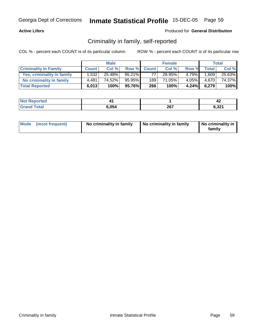### **Active Lifers**

### Produced for **General Distribution**

## Criminality in family, self-reported

|                              |              | <b>Male</b> |        |             | <b>Female</b> |          |              | Total  |
|------------------------------|--------------|-------------|--------|-------------|---------------|----------|--------------|--------|
| <b>Criminality In Family</b> | <b>Count</b> | Col %       |        | Row % Count | Col %         | Row %    | <b>Total</b> | Col %  |
| Yes, criminality in family   | 1,532        | 25.48%      | 95.21% | 77          | 28.95%        | 4.79%    | 1,609        | 25.63% |
| No criminality in family     | 4.481        | 74.52%      | 95.95% | 189         | 71.05%        | $4.05\%$ | 4.670        | 74.37% |
| <b>Total Reported</b>        | 6,013        | 100%        | 95.76% | 266         | 100%          | 4.24%    | 6,279        | 100%   |

| $\sim$ $\sim$ |     | 74                      |
|---------------|-----|-------------------------|
| $\Omega$      | 267 | 0.991<br>ا ∡د.פ<br>$ -$ |

| Mode (most frequent) | No criminality in family | No criminality in family | No criminality in<br>family |
|----------------------|--------------------------|--------------------------|-----------------------------|
|----------------------|--------------------------|--------------------------|-----------------------------|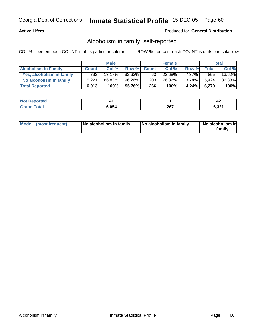### **Active Lifers**

### Produced for **General Distribution**

## Alcoholism in family, self-reported

|                             |              | <b>Male</b> |        |             | <b>Female</b> |          |              | Total  |
|-----------------------------|--------------|-------------|--------|-------------|---------------|----------|--------------|--------|
| <b>Alcoholism In Family</b> | <b>Count</b> | Col %       |        | Row % Count | Col %         | Row %    | <b>Total</b> | Col %  |
| Yes, alcoholism in family   | 792          | $13.17\%$   | 92.63% | 631         | 23.68%        | $7.37\%$ | 855          | 13.62% |
| No alcoholism in family     | 5.221        | 86.83%      | 96.26% | 203         | 76.32%        | $3.74\%$ | 5.424        | 86.38% |
| <b>Total Reported</b>       | 6,013        | 100%        | 95.76% | 266         | 100%          | 4.24%    | 6,279        | 100%   |

|            |             | 74                           |
|------------|-------------|------------------------------|
| OF A<br>ъ. | 202<br>ZV I | . oo $\lambda$<br>ാച<br>$ -$ |

| Mode (most frequent)<br>No alcoholism in family | <b>No alcoholism in family</b> | No alcoholism in<br>familv |
|-------------------------------------------------|--------------------------------|----------------------------|
|-------------------------------------------------|--------------------------------|----------------------------|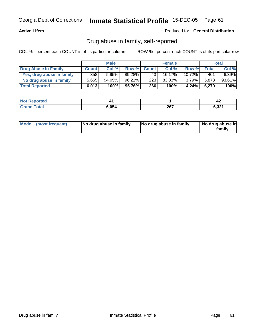### **Active Lifers**

### Produced for **General Distribution**

## Drug abuse in family, self-reported

|                           |              | <b>Male</b> |        |             | <b>Female</b> |           |              | Total  |
|---------------------------|--------------|-------------|--------|-------------|---------------|-----------|--------------|--------|
| Drug Abuse In Family      | <b>Count</b> | Col %       |        | Row % Count | Col %         | Row %     | <b>Total</b> | Col %  |
| Yes, drug abuse in family | 358          | 5.95%       | 89.28% | 43          | $16.17\%$     | $10.72\%$ | 401          | 6.39%  |
| No drug abuse in family   | 5,655        | $94.05\%$   | 96.21% | 223         | 83.83%        | $3.79\%$  | 5.878        | 93.61% |
| <b>Total Reported</b>     | 6,013        | 100%        | 95.76% | 266         | 100%          | 4.24%     | 6,279        | 100%   |

| <b>Not</b><br>arreo. |      |     | - 4                 |
|----------------------|------|-----|---------------------|
| <b>ota</b><br>--     | .054 | 267 | 0.22<br>0.3ZT<br>__ |

| Mode (most frequent) |  | No drug abuse in family | No drug abuse in family | No drug abuse in<br>familv |
|----------------------|--|-------------------------|-------------------------|----------------------------|
|----------------------|--|-------------------------|-------------------------|----------------------------|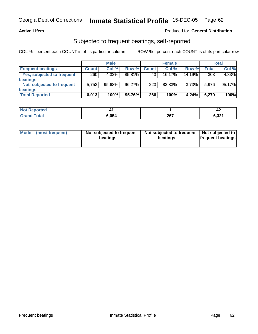### **Active Lifers**

### Produced for **General Distribution**

## Subjected to frequent beatings, self-reported

|                            |              | <b>Male</b> |        |              | <b>Female</b> |        |       | <b>Total</b> |
|----------------------------|--------------|-------------|--------|--------------|---------------|--------|-------|--------------|
| <b>Frequent beatings</b>   | <b>Count</b> | Col%        | Row %  | <b>Count</b> | Col%          | Row %  | Total | Col %        |
| Yes, subjected to frequent | 260          | 4.32%       | 85.81% | 43           | 16.17%        | 14.19% | 303   | 4.83%        |
| <b>beatings</b>            |              |             |        |              |               |        |       |              |
| Not subjected to frequent  | 5.753        | $95.68\%$   | 96.27% | 223          | 83.83%        | 3.73%  | 5.976 | 95.17%       |
| beatings                   |              |             |        |              |               |        |       |              |
| <b>Total Reported</b>      | 6,013        | 100%        | 95.76% | 266          | 100%          | 4.24%  | 6,279 | 100%         |

| <b>ported</b><br>NO |       |     | ,,<br>- 14 |
|---------------------|-------|-----|------------|
| <b>Total</b><br>C-r | 6.054 | 267 | 6,321      |

| Mode | (most frequent) | Not subjected to frequent  <br>beatings | Not subjected to frequent   Not subjected to  <br>beatings | <b>frequent beatings</b> |
|------|-----------------|-----------------------------------------|------------------------------------------------------------|--------------------------|
|------|-----------------|-----------------------------------------|------------------------------------------------------------|--------------------------|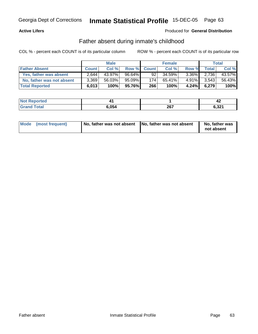### **Active Lifers**

### Produced for **General Distribution**

## Father absent during inmate's childhood

|                           |              | <b>Male</b> |        |             | <b>Female</b> |          |              | Total  |
|---------------------------|--------------|-------------|--------|-------------|---------------|----------|--------------|--------|
| <b>Father Absent</b>      | <b>Count</b> | Col %       |        | Row % Count | Col %         | Row %    | <b>Total</b> | Col %  |
| Yes, father was absent    | 2,644        | 43.97%      | 96.64% | 92          | 34.59%        | $3.36\%$ | 2.736        | 43.57% |
| No, father was not absent | 3,369        | 56.03%      | 95.09% | 174         | 65.41%        | $4.91\%$ | 3.543        | 56.43% |
| <b>Total Reported</b>     | 6,013        | 100%        | 95.76% | 266         | 100%          | 4.24%    | 6,279        | 100%   |

|     |             | 44              |
|-----|-------------|-----------------|
| 054 | 267<br>ZV I | 0.224<br>י ⊾כ.י |

| Mode (most frequent)<br>No, father was not absent | No, father was not absent | No, father was<br>not absent |
|---------------------------------------------------|---------------------------|------------------------------|
|---------------------------------------------------|---------------------------|------------------------------|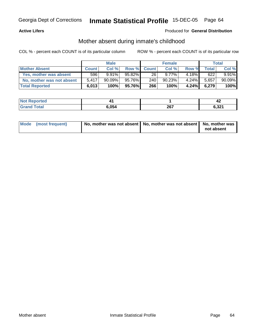### **Active Lifers**

## Produced for **General Distribution**

## Mother absent during inmate's childhood

|                           |              | <b>Male</b> |           |             | <b>Female</b> |          |              | Total    |
|---------------------------|--------------|-------------|-----------|-------------|---------------|----------|--------------|----------|
| <b>Mother Absent</b>      | <b>Count</b> | Col%        |           | Row % Count | Col %         | Row %    | <b>Total</b> | Col %    |
| Yes, mother was absent    | 596          | 9.91%       | $95.82\%$ | 26          | $9.77\%$      | $4.18\%$ | 622          | $9.91\%$ |
| No, mother was not absent | 5.417        | $90.09\%$   | 95.76%    | 240         | 90.23%        | $4.24\%$ | 5,657        | 90.09%   |
| <b>Total Reported</b>     | 6,013        | 100%        | 95.76%I   | 266         | 100%          | 4.24%    | 6,279        | 100%     |

|                 |             |     | −∼                   |
|-----------------|-------------|-----|----------------------|
| $\sim$ 4 $\sim$ | . 05/<br>uJ | 267 | 0.22<br>0.3Z I<br>__ |

| Mode (most frequent) | No, mother was not absent   No, mother was not absent   No, mother was |            |
|----------------------|------------------------------------------------------------------------|------------|
|                      |                                                                        | not absent |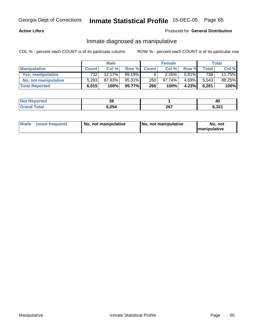### **Active Lifers**

### Produced for **General Distribution**

## Inmate diagnosed as manipulative

|                          | <b>Male</b>  |           | <b>Female</b> |              |           | Total    |       |        |
|--------------------------|--------------|-----------|---------------|--------------|-----------|----------|-------|--------|
| <b>Manipulative</b>      | <b>Count</b> | Col %     | Row %         | <b>Count</b> | Col %     | Row %    | Total | Col %  |
| <b>Yes, manipulative</b> | 732          | $12.17\%$ | 99.19%        | 6            | 2.26%     | $0.81\%$ | 738   | 11.75% |
| No, not manipulative     | 5,283        | 87.83%    | 95.31%        | 260          | $97.74\%$ | 4.69%    | 5.543 | 88.25% |
| <b>Total Reported</b>    | 6,015        | 100%      | 95.77%        | 266          | 100%      | 4.23%    | 6,281 | 100%   |

|           | nr.<br>აა |      | 40    |
|-----------|-----------|------|-------|
| $\sim$ 40 | . 05/     | 267  | 6,321 |
|           | .u.       | ZVI. | __    |

| Mode (most frequent) | 1 No. not manipulative | <b>No. not manipulative</b> | No. not              |  |
|----------------------|------------------------|-----------------------------|----------------------|--|
|                      |                        |                             | <b>Imanipulative</b> |  |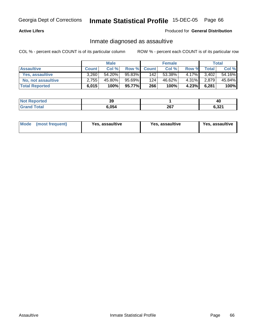### **Active Lifers**

### Produced for **General Distribution**

## Inmate diagnosed as assaultive

|                       | <b>Male</b>  |        | <b>Female</b> |             |        | Total    |              |        |
|-----------------------|--------------|--------|---------------|-------------|--------|----------|--------------|--------|
| <b>Assaultive</b>     | <b>Count</b> | Col %  |               | Row % Count | Col %  | Row %    | <b>Total</b> | Col %  |
| Yes, assaultive       | 3,260        | 54.20% | 95.83%        | 142         | 53.38% | $4.17\%$ | 3,402        | 54.16% |
| No, not assaultive    | 2.755        | 45.80% | 95.69%        | 124         | 46.62% | $4.31\%$ | 2,879        | 45.84% |
| <b>Total Reported</b> | 6,015        | 100%   | 95.77%        | 266         | 100%   | 4.23%    | 6,281        | 100%   |

| <b>Not Reported</b>    | ^^<br>აა |                      | 40    |
|------------------------|----------|----------------------|-------|
| <b>Cotal</b><br>'Grani | 054,     | 267<br>$\sim$ $\sim$ | 6,321 |

| <b>Mode</b><br>Yes. assaultive<br>(most frequent) | Yes, assaultive | Yes, assaultive |
|---------------------------------------------------|-----------------|-----------------|
|---------------------------------------------------|-----------------|-----------------|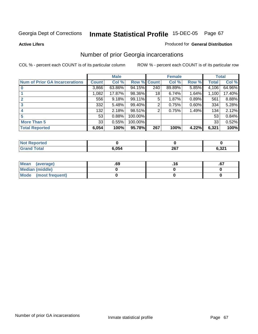**Active Lifers**

### Produced for **General Distribution**

## Number of prior Georgia incarcerations

|                                       |         | <b>Male</b> |             |     | <b>Female</b> |       |       | <b>Total</b> |
|---------------------------------------|---------|-------------|-------------|-----|---------------|-------|-------|--------------|
| <b>Num of Prior GA Incarcerations</b> | Count l | Col %       | Row % Count |     | Col %         | Row % | Total | Col %        |
|                                       | 3,866   | 63.86%      | 94.15%      | 240 | 89.89%        | 5.85% | 4,106 | 64.96%       |
|                                       | 1,082   | 17.87%      | 98.36%      | 18  | 6.74%         | 1.64% | 1,100 | 17.40%       |
|                                       | 556     | 9.18%       | 99.11%      | 5   | 1.87%         | 0.89% | 561   | 8.88%        |
| 3                                     | 332     | 5.48%       | 99.40%      | 2   | 0.75%         | 0.60% | 334   | 5.28%        |
| 4                                     | 132     | 2.18%       | 98.51%      | 2   | 0.75%         | 1.49% | 134   | 2.12%        |
| 5                                     | 53      | 0.88%       | 100.00%     |     |               |       | 53    | 0.84%        |
| <b>More Than 5</b>                    | 33      | 0.55%       | 100.00%     |     |               |       | 33    | 0.52%        |
| <b>Total Reported</b>                 | 6,054   | 100%        | 95.78%      | 267 | 100%          | 4.22% | 6,321 | 100%         |

| <b>State Administration</b> |        |                        |                |
|-----------------------------|--------|------------------------|----------------|
| ______                      | . .r 4 | 0 <sub>c</sub><br>ZVI. | $\sim$<br>,,ve |

| Mean (average)       | .69 | ו ט. |
|----------------------|-----|------|
| Median (middle)      |     |      |
| Mode (most frequent) |     |      |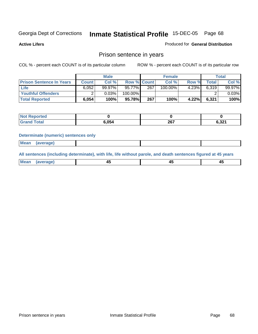**Active Lifers**

## Produced for **General Distribution**

## Prison sentence in years

COL % - percent each COUNT is of its particular column ROW % - percent each COUNT is of its particular row

|                                 | <b>Male</b>  |        | <b>Female</b>      |     |            | Total    |              |        |
|---------------------------------|--------------|--------|--------------------|-----|------------|----------|--------------|--------|
| <b>Prison Sentence In Years</b> | <b>Count</b> | Col %  | <b>Row % Count</b> |     | Col %      | Row %    | <b>Total</b> | Col %  |
| Life                            | 6.052        | 99.97% | $95.77\%$          | 267 | $100.00\%$ | $4.23\%$ | 6.319        | 99.97% |
| Youthful Offenders              |              | 0.03%  | 100.00%            |     |            |          |              | 0.03%  |
| <b>Total Reported</b>           | 6,054        | 100%   | 95.78%             | 267 | 100%       | 4.22%    | 6,321        | 100%   |

| Reported     |       |             |       |
|--------------|-------|-------------|-------|
| <b>Total</b> | 6.054 | 207<br>ZV I | 6.321 |

### **Determinate (numeric) sentences only**

| : Me<br>-------- |  |
|------------------|--|

**All sentences (including determinate), with life, life without parole, and death sentences figured at 45 years**

| ____ | $\overline{\phantom{a}}$ |  |
|------|--------------------------|--|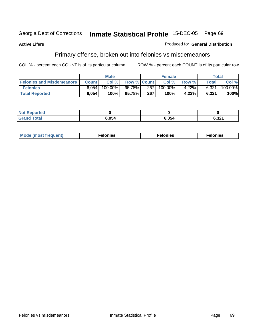### **Active Lifers**

### Produced for **General Distribution**

## Primary offense, broken out into felonies vs misdemeanors

|                                  | <b>Male</b> |          | <b>Female</b>      |     |            | Total |       |            |
|----------------------------------|-------------|----------|--------------------|-----|------------|-------|-------|------------|
| <b>Felonies and Misdemeanors</b> | Count       | Col%     | <b>Row % Count</b> |     | Col %      | Row % | Total | Col %      |
| <b>Felonies</b>                  | 6.054       | 100.00%। | 95.78%             | 267 | $100.00\%$ | 4.22% | 6,321 | $100.00\%$ |
| <b>Total Reported</b>            | 6,054       | 100%     | 95.78%             | 267 | 100%       | 4.22% | 6,321 | 100%       |

| <b>Not Reported</b> |       |       |                 |
|---------------------|-------|-------|-----------------|
| <b>Grand Total</b>  | 5,054 | 6,054 | こ 2つ1<br>J.JZ I |

| <b>Mo</b><br>requent)<br>onies<br>.<br>____ | nies.<br>חי<br>____ | <b>onies</b><br>. |
|---------------------------------------------|---------------------|-------------------|
|---------------------------------------------|---------------------|-------------------|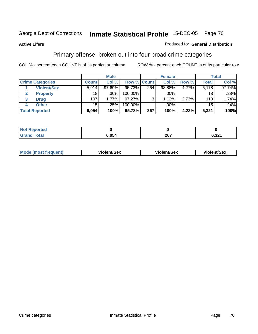### **Active Lifers**

### Produced for **General Distribution**

## Primary offense, broken out into four broad crime categories

|                         |                    |              | <b>Male</b> |             |     | <b>Female</b> |       |       | <b>Total</b> |
|-------------------------|--------------------|--------------|-------------|-------------|-----|---------------|-------|-------|--------------|
| <b>Crime Categories</b> |                    | <b>Count</b> | Col %       | Row % Count |     | Col %         | Row % | Total | Col %        |
|                         | <b>Violent/Sex</b> | 5,914        | 97.69%      | 95.73%      | 264 | 98.88%        | 4.27% | 6,178 | 97.74%       |
|                         | <b>Property</b>    | 18           | .30%        | 100.00%     |     | .00%          |       | 18    | .28%         |
| 3                       | <b>Drug</b>        | 107          | $1.77\%$    | 97.27%      | 3   | 1.12%         | 2.73% | 110   | 1.74%        |
|                         | <b>Other</b>       | 15           | .25%        | 100.00%     |     | .00%          |       | 15    | .24%         |
| <b>Total Reported</b>   |                    | 6,054        | 100%        | 95.78%      | 267 | 100%          | 4.22% | 6,321 | 100%         |

| N <sub>O</sub><br>rted<br>$\mathbf{1}$ and $\mathbf{1}$ |     |              |            |
|---------------------------------------------------------|-----|--------------|------------|
| <b>Total</b>                                            | 054 | 2027<br>20 I | ີ<br>□.J∠. |

|  | <b>Mode</b><br>frequent) | nt/Sex<br>Violen<br>. | ent/Sex<br>.<br>νιοιο | t/Sex<br>. н |
|--|--------------------------|-----------------------|-----------------------|--------------|
|--|--------------------------|-----------------------|-----------------------|--------------|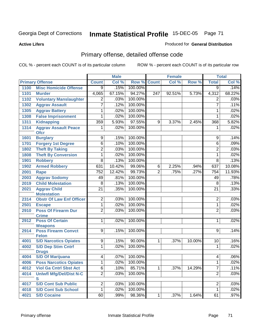**Active Lifers**

### Produced for **General Distribution**

## Primary offense, detailed offense code

|      |                                            |                 | <b>Male</b> |         |                | <b>Female</b> |        |                         | <b>Total</b> |
|------|--------------------------------------------|-----------------|-------------|---------|----------------|---------------|--------|-------------------------|--------------|
|      | <b>Primary Offense</b>                     | <b>Count</b>    | Col %       | Row %   | <b>Count</b>   | Col%          | Row %  | <b>Total</b>            | Col %        |
| 1100 | <b>Misc Homicide Offense</b>               | $\overline{9}$  | .15%        | 100.00% |                |               |        | ब्र                     | .14%         |
| 1101 | <b>Murder</b>                              | 4,065           | 67.15%      | 94.27%  | 247            | 92.51%        | 5.73%  | 4,312                   | 68.22%       |
| 1102 | <b>Voluntary Manslaughter</b>              | 2               | .03%        | 100.00% |                |               |        | $\overline{2}$          | .03%         |
| 1302 | <b>Aggrav Assault</b>                      | 7               | .12%        | 100.00% |                |               |        | 7                       | .11%         |
| 1305 | <b>Aggrav Battery</b>                      | 1               | .02%        | 100.00% |                |               |        | 1                       | .02%         |
| 1308 | <b>False Imprisonment</b>                  | 1               | .02%        | 100.00% |                |               |        | 1                       | .02%         |
| 1311 | <b>Kidnapping</b>                          | 359             | 5.93%       | 97.55%  | 9              | 3.37%         | 2.45%  | 368                     | 5.82%        |
| 1314 | <b>Aggrav Assault Peace</b><br><b>Ofcr</b> | 1               | .02%        | 100.00% |                |               |        | 1                       | .02%         |
| 1601 | <b>Burglary</b>                            | 9               | .15%        | 100.00% |                |               |        | 9                       | .14%         |
| 1701 | <b>Forgery 1st Degree</b>                  | 6               | .10%        | 100.00% |                |               |        | 6                       | .09%         |
| 1802 | <b>Theft By Taking</b>                     | $\overline{2}$  | .03%        | 100.00% |                |               |        | $\overline{2}$          | .03%         |
| 1808 | <b>Theft By Conversion</b>                 | 1               | .02%        | 100.00% |                |               |        | $\mathbf 1$             | .02%         |
| 1901 | <b>Robbery</b>                             | $\overline{8}$  | .13%        | 100.00% |                |               |        | $\overline{8}$          | .13%         |
| 1902 | <b>Armed Robbery</b>                       | 631             | 10.42%      | 99.06%  | 6              | 2.25%         | .94%   | 637                     | 10.08%       |
| 2001 | <b>Rape</b>                                | 752             | 12.42%      | 99.73%  | $\overline{2}$ | .75%          | .27%   | 754                     | 11.93%       |
| 2003 | <b>Aggrav Sodomy</b>                       | 49              | .81%        | 100.00% |                |               |        | 49                      | .78%         |
| 2019 | <b>Child Molestation</b>                   | $\overline{8}$  | .13%        | 100.00% |                |               |        | 8                       | .13%         |
| 2021 | <b>Aggrav Child</b>                        | $\overline{21}$ | .35%        | 100.00% |                |               |        | $\overline{21}$         | .33%         |
|      | <b>Molestation</b>                         |                 |             |         |                |               |        |                         |              |
| 2314 | <b>Obstr Of Law Enf Officer</b>            | $\overline{2}$  | .03%        | 100.00% |                |               |        | $\overline{2}$          | .03%         |
| 2501 | <b>Escape</b>                              | 1               | .02%        | 100.00% |                |               |        | $\mathbf{1}$            | .02%         |
| 2910 | <b>Poss Of Firearm Dur</b><br><b>Crime</b> | $\overline{2}$  | .03%        | 100.00% |                |               |        | $\overline{2}$          | .03%         |
| 2912 | <b>Poss Of Certain</b><br><b>Weapons</b>   | 1               | .02%        | 100.00% |                |               |        | 1                       | .02%         |
| 2914 | <b>Poss Firearm Convct</b><br><b>Felon</b> | $\overline{9}$  | .15%        | 100.00% |                |               |        | 9                       | .14%         |
| 4001 | <b>S/D Narcotics Opiates</b>               | 9               | .15%        | 90.00%  | 1              | .37%          | 10.00% | 10                      | .16%         |
| 4002 | <b>S/D Dep Stim Cntrf</b>                  | 1               | .02%        | 100.00% |                |               |        | 1                       | .02%         |
|      | <b>Drugs</b>                               |                 |             |         |                |               |        |                         |              |
| 4004 | <b>S/D Of Marijuana</b>                    | 4               | .07%        | 100.00% |                |               |        | $\overline{\mathbf{4}}$ | .06%         |
| 4006 | <b>Poss Narcotics Opiates</b>              | $\overline{1}$  | .02%        | 100.00% |                |               |        | $\overline{1}$          | .02%         |
| 4012 | <b>Viol Ga Cntrl Sbst Act</b>              | $\overline{6}$  | .10%        | 85.71%  | 1              | .37%          | 14.29% | $\overline{7}$          | .11%         |
| 4014 | <b>Uniwfl Mfg/Del/Dist N-C</b><br>S        | $\overline{2}$  | .03%        | 100.00% |                |               |        | $\overline{2}$          | .03%         |
| 4017 | <b>S/D Cont Sub Public</b>                 | $\overline{c}$  | .03%        | 100.00% |                |               |        | $\overline{2}$          | .03%         |
| 4018 | <b>S/D Cont Sub School</b>                 | 1               | .02%        | 100.00% |                |               |        | $\mathbf{1}$            | .02%         |
| 4021 | <b>S/D Cocaine</b>                         | 60              | .99%        | 98.36%  | 1              | .37%          | 1.64%  | 61                      | $.97\%$      |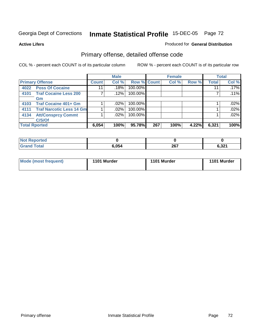**Active Lifers**

### Produced for **General Distribution**

## Primary offense, detailed offense code

|                      |                                 |              | <b>Male</b> |         |             | <b>Female</b> |       |              | <b>Total</b> |
|----------------------|---------------------------------|--------------|-------------|---------|-------------|---------------|-------|--------------|--------------|
|                      | <b>Primary Offense</b>          | <b>Count</b> | Col %       |         | Row % Count | Col %         | Row % | <b>Total</b> | Col %        |
| 4022                 | <b>Poss Of Cocaine</b>          | 11           | .18%        | 100.00% |             |               |       | 11           | .17%         |
| 4101                 | <b>Traf Cocaine Less 200</b>    |              | $.12\%$     | 100.00% |             |               |       |              | .11%         |
|                      | Gm                              |              |             |         |             |               |       |              |              |
| 4103                 | <b>Traf Cocaine 401+ Gm</b>     |              | $.02\%$     | 100.00% |             |               |       |              | .02%         |
| 4111                 | <b>Traf Narcotic Less 14 Gm</b> |              | .02%        | 100.00% |             |               |       |              | .02%         |
| 4134                 | <b>Att/Consprcy Commt</b>       |              | $.02\%$     | 100.00% |             |               |       |              | .02%         |
|                      | C/S/Of                          |              |             |         |             |               |       |              |              |
| <b>Total Rported</b> |                                 | 6,054        | 100%        | 95.78%  | 267         | 100%          | 4.22% | 6,321        | 100%         |

| Reported<br><b>NOT</b> |       |     |       |
|------------------------|-------|-----|-------|
| Total<br><b>Grand</b>  | 6,054 | 267 | 6,321 |

| <b>Mode (most frequent)</b> | 1101 Murder | 1101 Murder | 1101 Murder |
|-----------------------------|-------------|-------------|-------------|
|-----------------------------|-------------|-------------|-------------|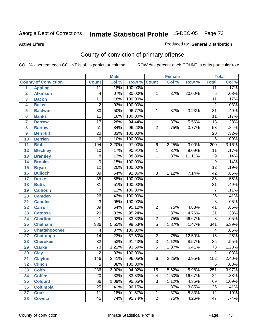**Active Lifers**

#### Produced for **General Distribution**

# County of conviction of primary offense

|                |                             |                 | <b>Male</b> |         |                 | <b>Female</b> |        |                  | <b>Total</b> |
|----------------|-----------------------------|-----------------|-------------|---------|-----------------|---------------|--------|------------------|--------------|
|                | <b>County of Conviction</b> | <b>Count</b>    | Col %       | Row %   | <b>Count</b>    | Col %         | Row %  | <b>Total</b>     | Col %        |
| 1              | <b>Appling</b>              | 11              | .18%        | 100.00% |                 |               |        | $\overline{11}$  | .17%         |
| $\overline{2}$ | <b>Atkinson</b>             | 4               | .07%        | 80.00%  | 1               | .37%          | 20.00% | $\overline{5}$   | .08%         |
| 3              | <b>Bacon</b>                | $\overline{11}$ | .18%        | 100.00% |                 |               |        | $\overline{11}$  | .17%         |
| 4              | <b>Baker</b>                | $\overline{2}$  | .03%        | 100.00% |                 |               |        | $\overline{2}$   | .03%         |
| 5              | <b>Baldwin</b>              | $\overline{30}$ | .50%        | 96.77%  | 1               | .37%          | 3.23%  | $\overline{31}$  | .49%         |
| 6              | <b>Banks</b>                | $\overline{11}$ | .18%        | 100.00% |                 |               |        | $\overline{11}$  | .17%         |
| 7              | <b>Barrow</b>               | $\overline{17}$ | .28%        | 94.44%  | 1               | .37%          | 5.56%  | $\overline{18}$  | .28%         |
| 8              | <b>Bartow</b>               | $\overline{51}$ | .84%        | 96.23%  | $\overline{2}$  | .75%          | 3.77%  | $\overline{53}$  | .84%         |
| 9              | <b>Ben Hill</b>             | $\overline{20}$ | .33%        | 100.00% |                 |               |        | $\overline{20}$  | .32%         |
| 10             | <b>Berrien</b>              | $\overline{6}$  | .10%        | 100.00% |                 |               |        | $\,6$            | .09%         |
| 11             | <b>Bibb</b>                 | 194             | 3.20%       | 97.00%  | $\,6$           | 2.25%         | 3.00%  | $\overline{200}$ | 3.16%        |
| 12             | <b>Bleckley</b>             | $\overline{10}$ | .17%        | 90.91%  | 1               | .37%          | 9.09%  | 11               | .17%         |
| 13             | <b>Brantley</b>             | $\overline{8}$  | .13%        | 88.89%  | 1               | .37%          | 11.11% | $\overline{9}$   | .14%         |
| 14             | <b>Brooks</b>               | $\overline{9}$  | .15%        | 100.00% |                 |               |        | $\overline{9}$   | .14%         |
| 15             | <b>Bryan</b>                | $\overline{12}$ | .20%        | 100.00% |                 |               |        | $\overline{12}$  | .19%         |
| 16             | <b>Bulloch</b>              | $\overline{39}$ | .64%        | 92.86%  | $\overline{3}$  | 1.12%         | 7.14%  | 42               | .66%         |
| 17             | <b>Burke</b>                | $\overline{35}$ | .58%        | 100.00% |                 |               |        | $\overline{35}$  | .55%         |
| 18             | <b>Butts</b>                | $\overline{31}$ | .51%        | 100.00% |                 |               |        | $\overline{31}$  | .49%         |
| 19             | <b>Calhoun</b>              | 7               | .12%        | 100.00% |                 |               |        | $\overline{7}$   | .11%         |
| 20             | <b>Camden</b>               | $\overline{26}$ | .43%        | 100.00% |                 |               |        | $\overline{26}$  | .41%         |
| 21             | <b>Candler</b>              | $\overline{3}$  | .05%        | 100.00% |                 |               |        | $\overline{3}$   | .05%         |
| 22             | <b>Carroll</b>              | $\overline{39}$ | .64%        | 95.12%  | $\overline{2}$  | .75%          | 4.88%  | $\overline{41}$  | .65%         |
| 23             | <b>Catoosa</b>              | $\overline{20}$ | .33%        | 95.24%  | $\mathbf{1}$    | .37%          | 4.76%  | $\overline{21}$  | .33%         |
| 24             | <b>Charlton</b>             | 1               | .02%        | 33.33%  | $\overline{2}$  | .75%          | 66.67% | $\overline{3}$   | .05%         |
| 25             | <b>Chatham</b>              | 336             | 5.55%       | 98.53%  | $\overline{5}$  | 1.87%         | 1.47%  | 341              | 5.39%        |
| 26             | <b>Chattahoochee</b>        | 4               | .07%        | 100.00% |                 |               |        | 4                | .06%         |
| 27             | Chattooga                   | $\overline{14}$ | .23%        | 87.50%  | $\overline{2}$  | .75%          | 12.50% | $\overline{16}$  | .25%         |
| 28             | <b>Cherokee</b>             | $\overline{32}$ | .53%        | 91.43%  | $\overline{3}$  | 1.12%         | 8.57%  | $\overline{35}$  | .55%         |
| 29             | <b>Clarke</b>               | $\overline{73}$ | 1.21%       | 93.59%  | $\overline{5}$  | 1.87%         | 6.41%  | 78               | 1.23%        |
| 30             | <b>Clay</b>                 | $\overline{2}$  | .03%        | 100.00% |                 |               |        | $\overline{2}$   | .03%         |
| 31             | <b>Clayton</b>              | 146             | 2.41%       | 96.05%  | 6               | 2.25%         | 3.95%  | 152              | 2.40%        |
| 32             | <b>Clinch</b>               | 5               | .08%        | 100.00% |                 |               |        | $\sqrt{5}$       | .08%         |
| 33             | <b>Cobb</b>                 | 236             | 3.90%       | 94.02%  | $\overline{15}$ | 5.62%         | 5.98%  | 251              | 3.97%        |
| 34             | <b>Coffee</b>               | 20              | .33%        | 83.33%  | 4               | 1.50%         | 16.67% | 24               | .38%         |
| 35             | <b>Colquitt</b>             | 66              | 1.09%       | 95.65%  | 3               | 1.12%         | 4.35%  | 69               | 1.09%        |
| 36             | <b>Columbia</b>             | $\overline{25}$ | .41%        | 96.15%  | 1               | .37%          | 3.85%  | 26               | .41%         |
| 37             | <b>Cook</b>                 | $\overline{11}$ | .18%        | 91.67%  | 1               | .37%          | 8.33%  | $\overline{12}$  | .19%         |
| 38             | <b>Coweta</b>               | $\overline{45}$ | .74%        | 95.74%  | $\overline{2}$  | .75%          | 4.26%  | 47               | .74%         |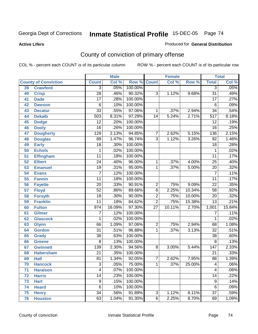**Active Lifers**

#### Produced for **General Distribution**

# County of conviction of primary offense

|                 |                             |                  | <b>Male</b> |         |                 | <b>Female</b> |        | <b>Total</b>     |        |
|-----------------|-----------------------------|------------------|-------------|---------|-----------------|---------------|--------|------------------|--------|
|                 | <b>County of Conviction</b> | <b>Count</b>     | Col %       | Row %   | <b>Count</b>    | Col %         | Row %  | <b>Total</b>     | Col %  |
| 39              | <b>Crawford</b>             | $\overline{3}$   | .05%        | 100.00% |                 |               |        | $\overline{3}$   | .05%   |
| 40              | <b>Crisp</b>                | $\overline{28}$  | .46%        | 90.32%  | $\overline{3}$  | 1.12%         | 9.68%  | $\overline{31}$  | .49%   |
| 41              | <b>Dade</b>                 | $\overline{17}$  | .28%        | 100.00% |                 |               |        | $\overline{17}$  | .27%   |
| 42              | <b>Dawson</b>               | $\,6$            | .10%        | 100.00% |                 |               |        | $6\phantom{1}6$  | .09%   |
| 43              | <b>Decatur</b>              | $\overline{33}$  | .55%        | 97.06%  | 1               | .37%          | 2.94%  | $\overline{34}$  | .54%   |
| 44              | <b>Dekalb</b>               | $\overline{503}$ | 8.31%       | 97.29%  | 14              | 5.24%         | 2.71%  | $\overline{517}$ | 8.18%  |
| 45              | <b>Dodge</b>                | $\overline{12}$  | .20%        | 100.00% |                 |               |        | $\overline{12}$  | .19%   |
| 46              | <b>Dooly</b>                | $\overline{16}$  | .26%        | 100.00% |                 |               |        | 16               | .25%   |
| 47              | <b>Dougherty</b>            | 129              | 2.13%       | 94.85%  | 7               | 2.62%         | 5.15%  | 136              | 2.15%  |
| 48              | <b>Douglas</b>              | 89               | 1.47%       | 96.74%  | 3               | 1.12%         | 3.26%  | 92               | 1.46%  |
| 49              | <b>Early</b>                | $\overline{18}$  | .30%        | 100.00% |                 |               |        | $\overline{18}$  | .28%   |
| 50              | <b>Echols</b>               | 1                | .02%        | 100.00% |                 |               |        | 1                | .02%   |
| $\overline{51}$ | <b>Effingham</b>            | $\overline{11}$  | .18%        | 100.00% |                 |               |        | $\overline{11}$  | .17%   |
| 52              | <b>Elbert</b>               | $\overline{24}$  | .40%        | 96.00%  | 1               | .37%          | 4.00%  | $\overline{25}$  | .40%   |
| 53              | <b>Emanuel</b>              | $\overline{19}$  | .31%        | 95.00%  | 1               | .37%          | 5.00%  | $\overline{20}$  | .32%   |
| 54              | <b>Evans</b>                | $\overline{7}$   | .12%        | 100.00% |                 |               |        | $\overline{7}$   | .11%   |
| 55              | <b>Fannin</b>               | $\overline{11}$  | .18%        | 100.00% |                 |               |        | $\overline{11}$  | .17%   |
| 56              | <b>Fayette</b>              | $\overline{20}$  | .33%        | 90.91%  | 2               | .75%          | 9.09%  | $\overline{22}$  | .35%   |
| 57              | <b>Floyd</b>                | $\overline{52}$  | .86%        | 89.66%  | $\overline{6}$  | 2.25%         | 10.34% | $\overline{58}$  | .92%   |
| 58              | <b>Forsyth</b>              | $\overline{18}$  | .30%        | 90.00%  | 2               | .75%          | 10.00% | 20               | .32%   |
| 59              | <b>Franklin</b>             | $\overline{11}$  | .18%        | 84.62%  | $\overline{2}$  | .75%          | 15.38% | $\overline{13}$  | .21%   |
| 60              | <b>Fulton</b>               | 974              | 16.09%      | 97.30%  | $\overline{27}$ | 10.11%        | 2.70%  | 1,001            | 15.84% |
| 61              | <b>Gilmer</b>               | 7                | .12%        | 100.00% |                 |               |        | 7                | .11%   |
| 62              | <b>Glascock</b>             | 1                | .02%        | 100.00% |                 |               |        | 1                | .02%   |
| 63              | <b>Glynn</b>                | 66               | 1.09%       | 97.06%  | $\overline{2}$  | .75%          | 2.94%  | 68               | 1.08%  |
| 64              | <b>Gordon</b>               | $\overline{31}$  | .51%        | 96.88%  | 1               | .37%          | 3.13%  | $\overline{32}$  | .51%   |
| 65              | <b>Grady</b>                | $\overline{38}$  | .63%        | 100.00% |                 |               |        | $\overline{38}$  | .60%   |
| 66              | <b>Greene</b>               | 8                | .13%        | 100.00% |                 |               |        | 8                | .13%   |
| 67              | <b>Gwinnett</b>             | 139              | 2.30%       | 94.56%  | $\overline{8}$  | 3.00%         | 5.44%  | $\overline{147}$ | 2.33%  |
| 68              | <b>Habersham</b>            | $\overline{21}$  | .35%        | 100.00% |                 |               |        | $\overline{21}$  | .33%   |
| 69              | <b>Hall</b>                 | $\overline{81}$  | 1.34%       | 92.05%  | $\overline{7}$  | 2.62%         | 7.95%  | $\overline{88}$  | 1.39%  |
| 70              | <b>Hancock</b>              | 3                | .05%        | 75.00%  | $\mathbf{1}$    | .37%          | 25.00% | 4                | .06%   |
| 71              | <b>Haralson</b>             | $\overline{4}$   | .07%        | 100.00% |                 |               |        | $\overline{4}$   | .06%   |
| 72              | <b>Harris</b>               | 14               | .23%        | 100.00% |                 |               |        | 14               | .22%   |
| 73              | <b>Hart</b>                 | $\overline{9}$   | .15%        | 100.00% |                 |               |        | 9                | .14%   |
| 74              | <b>Heard</b>                | $\overline{6}$   | .10%        | 100.00% |                 |               |        | 6                | .09%   |
| 75              | <b>Henry</b>                | $\overline{34}$  | .56%        | 91.89%  | $\overline{3}$  | 1.12%         | 8.11%  | $\overline{37}$  | .59%   |
| 76              | <b>Houston</b>              | 63               | 1.04%       | 91.30%  | $\overline{6}$  | 2.25%         | 8.70%  | 69               | 1.09%  |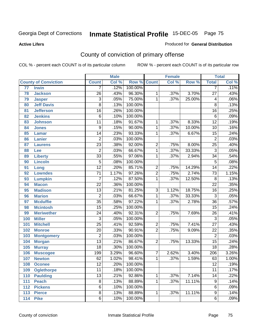**Active Lifers**

#### Produced for **General Distribution**

# County of conviction of primary offense

|     |                             |                 | <b>Male</b> |         |                | <b>Female</b> |        |                  | <b>Total</b> |
|-----|-----------------------------|-----------------|-------------|---------|----------------|---------------|--------|------------------|--------------|
|     | <b>County of Conviction</b> | <b>Count</b>    | Col %       | Row %   | <b>Count</b>   | Col %         | Row %  | <b>Total</b>     | Col %        |
| 77  | <b>Irwin</b>                | 7               | .12%        | 100.00% |                |               |        | 7                | .11%         |
| 78  | <b>Jackson</b>              | $\overline{26}$ | .43%        | 96.30%  | 1              | .37%          | 3.70%  | $\overline{27}$  | .43%         |
| 79  | <b>Jasper</b>               | $\overline{3}$  | .05%        | 75.00%  | 1              | .37%          | 25.00% | 4                | .06%         |
| 80  | <b>Jeff Davis</b>           | 8               | .13%        | 100.00% |                |               |        | 8                | .13%         |
| 81  | <b>Jefferson</b>            | $\overline{16}$ | .26%        | 100.00% |                |               |        | $\overline{16}$  | .25%         |
| 82  | <b>Jenkins</b>              | 6               | .10%        | 100.00% |                |               |        | $\,6$            | .09%         |
| 83  | <b>Johnson</b>              | $\overline{11}$ | .18%        | 91.67%  | 1              | .37%          | 8.33%  | $\overline{12}$  | .19%         |
| 84  | <b>Jones</b>                | 9               | .15%        | 90.00%  | 1              | .37%          | 10.00% | 10               | .16%         |
| 85  | <b>Lamar</b>                | $\overline{14}$ | .23%        | 93.33%  | 1              | .37%          | 6.67%  | $\overline{15}$  | .24%         |
| 86  | <b>Lanier</b>               | $\overline{2}$  | .03%        | 100.00% |                |               |        | $\overline{2}$   | .03%         |
| 87  | <b>Laurens</b>              | $\overline{23}$ | .38%        | 92.00%  | 2              | .75%          | 8.00%  | $\overline{25}$  | .40%         |
| 88  | Lee                         | $\overline{2}$  | .03%        | 66.67%  | 1              | .37%          | 33.33% | $\overline{3}$   | .05%         |
| 89  | <b>Liberty</b>              | $\overline{33}$ | .55%        | 97.06%  | $\mathbf 1$    | .37%          | 2.94%  | $\overline{34}$  | .54%         |
| 90  | <b>Lincoln</b>              | $\overline{5}$  | .08%        | 100.00% |                |               |        | $\overline{5}$   | .08%         |
| 91  | Long                        | $\overline{12}$ | .20%        | 85.71%  | $\overline{2}$ | .75%          | 14.29% | $\overline{14}$  | .22%         |
| 92  | <b>Lowndes</b>              | $\overline{71}$ | 1.17%       | 97.26%  | $\overline{2}$ | .75%          | 2.74%  | $\overline{73}$  | 1.15%        |
| 93  | <b>Lumpkin</b>              | $\overline{7}$  | .12%        | 87.50%  | 1              | .37%          | 12.50% | $\overline{8}$   | .13%         |
| 94  | <b>Macon</b>                | $\overline{22}$ | .36%        | 100.00% |                |               |        | $\overline{22}$  | .35%         |
| 95  | <b>Madison</b>              | $\overline{13}$ | .21%        | 81.25%  | $\overline{3}$ | 1.12%         | 18.75% | $\overline{16}$  | .25%         |
| 96  | <b>Marion</b>               | $\overline{2}$  | .03%        | 66.67%  | 1              | .37%          | 33.33% | 3                | .05%         |
| 97  | <b>Mcduffie</b>             | $\overline{35}$ | .58%        | 97.22%  | $\mathbf{1}$   | .37%          | 2.78%  | $\overline{36}$  | .57%         |
| 98  | <b>Mcintosh</b>             | $\overline{15}$ | .25%        | 100.00% |                |               |        | $\overline{15}$  | .24%         |
| 99  | <b>Meriwether</b>           | $\overline{24}$ | .40%        | 92.31%  | $\overline{2}$ | .75%          | 7.69%  | $\overline{26}$  | .41%         |
| 100 | <b>Miller</b>               | $\overline{3}$  | .05%        | 100.00% |                |               |        | $\overline{3}$   | .05%         |
| 101 | <b>Mitchell</b>             | $\overline{25}$ | .41%        | 92.59%  | 2              | .75%          | 7.41%  | $\overline{27}$  | .43%         |
| 102 | <b>Monroe</b>               | $\overline{20}$ | .33%        | 90.91%  | $\overline{2}$ | .75%          | 9.09%  | $\overline{22}$  | .35%         |
| 103 | <b>Montgomery</b>           | $\overline{2}$  | .03%        | 100.00% |                |               |        | $\overline{2}$   | .03%         |
| 104 | <b>Morgan</b>               | $\overline{13}$ | .21%        | 86.67%  | $\overline{2}$ | .75%          | 13.33% | $\overline{15}$  | .24%         |
| 105 | <b>Murray</b>               | $\overline{18}$ | .30%        | 100.00% |                |               |        | $\overline{18}$  | .28%         |
| 106 | <b>Muscogee</b>             | 199             | 3.29%       | 96.60%  | $\overline{7}$ | 2.62%         | 3.40%  | $\overline{206}$ | 3.26%        |
| 107 | <b>Newton</b>               | 62              | 1.02%       | 98.41%  | 1              | .37%          | 1.59%  | 63               | 1.00%        |
| 108 | <b>Oconee</b>               | 12              | .20%        | 100.00% |                |               |        | 12               | .19%         |
| 109 | <b>Oglethorpe</b>           | $\overline{11}$ | .18%        | 100.00% |                |               |        | $\overline{11}$  | .17%         |
| 110 | <b>Paulding</b>             | $\overline{13}$ | .21%        | 92.86%  | 1              | .37%          | 7.14%  | 14               | .22%         |
| 111 | <b>Peach</b>                | $\overline{8}$  | .13%        | 88.89%  | 1              | .37%          | 11.11% | 9                | .14%         |
| 112 | <b>Pickens</b>              | 6               | .10%        | 100.00% |                |               |        | 6                | .09%         |
| 113 | <b>Pierce</b>               | $\overline{8}$  | .13%        | 88.89%  | 1              | .37%          | 11.11% | $\overline{9}$   | .14%         |
| 114 | <b>Pike</b>                 | $\overline{6}$  | .10%        | 100.00% |                |               |        | $\overline{6}$   | .09%         |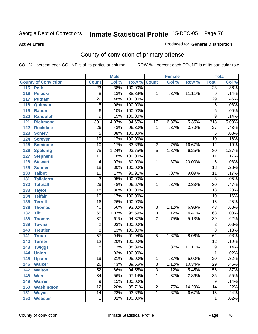**Active Lifers**

#### Produced for **General Distribution**

# County of conviction of primary offense

|                             |                         | <b>Male</b> |                    |                | <b>Female</b> |        |                 | <b>Total</b> |
|-----------------------------|-------------------------|-------------|--------------------|----------------|---------------|--------|-----------------|--------------|
| <b>County of Conviction</b> | <b>Count</b>            | Col %       | <b>Row % Count</b> |                | Col %         | Row %  | <b>Total</b>    | Col %        |
| 115<br><b>Polk</b>          | $\overline{23}$         | .38%        | 100.00%            |                |               |        | $\overline{23}$ | .36%         |
| 116<br><b>Pulaski</b>       | $\overline{8}$          | .13%        | 88.89%             | 1              | .37%          | 11.11% | $\overline{9}$  | .14%         |
| 117<br><b>Putnam</b>        | $\overline{29}$         | .48%        | 100.00%            |                |               |        | $\overline{29}$ | .46%         |
| 118<br>Quitman              | $\overline{5}$          | .08%        | 100.00%            |                |               |        | $\overline{5}$  | .08%         |
| 119<br><b>Rabun</b>         | $\overline{6}$          | .10%        | 100.00%            |                |               |        | $\overline{6}$  | .09%         |
| <b>Randolph</b><br>120      | $\overline{9}$          | .15%        | 100.00%            |                |               |        | $\overline{9}$  | .14%         |
| <b>Richmond</b><br>121      | 301                     | 4.97%       | 94.65%             | 17             | 6.37%         | 5.35%  | 318             | 5.03%        |
| <b>Rockdale</b><br>122      | 26                      | .43%        | 96.30%             | 1              | .37%          | 3.70%  | $\overline{27}$ | .43%         |
| 123<br><b>Schley</b>        | $\overline{5}$          | .08%        | 100.00%            |                |               |        | $\overline{5}$  | .08%         |
| 124<br><b>Screven</b>       | $\overline{10}$         | .17%        | 100.00%            |                |               |        | $\overline{10}$ | .16%         |
| <b>Seminole</b><br>125      | $\overline{10}$         | .17%        | 83.33%             | $\overline{2}$ | .75%          | 16.67% | $\overline{12}$ | .19%         |
| 126<br><b>Spalding</b>      | $\overline{75}$         | 1.24%       | 93.75%             | $\overline{5}$ | 1.87%         | 6.25%  | $\overline{80}$ | 1.27%        |
| 127<br><b>Stephens</b>      | $\overline{11}$         | .18%        | 100.00%            |                |               |        | $\overline{11}$ | .17%         |
| <b>Stewart</b><br>128       | $\overline{\mathbf{4}}$ | .07%        | 80.00%             | 1              | .37%          | 20.00% | $\overline{5}$  | .08%         |
| <b>Sumter</b><br>129        | $\overline{18}$         | .30%        | 100.00%            |                |               |        | $\overline{18}$ | .28%         |
| <b>Talbot</b><br>130        | 10                      | .17%        | 90.91%             | 1              | .37%          | 9.09%  | $\overline{11}$ | .17%         |
| 131<br><b>Taliaferro</b>    | $\overline{3}$          | .05%        | 100.00%            |                |               |        | $\overline{3}$  | .05%         |
| 132<br><b>Tattnall</b>      | $\overline{29}$         | .48%        | 96.67%             | 1              | .37%          | 3.33%  | $\overline{30}$ | .47%         |
| 133<br><b>Taylor</b>        | $\overline{18}$         | .30%        | 100.00%            |                |               |        | $\overline{18}$ | .28%         |
| <b>Telfair</b><br>134       | $\overline{10}$         | .17%        | 100.00%            |                |               |        | 10              | .16%         |
| <b>Terrell</b><br>135       | $\overline{16}$         | .26%        | 100.00%            |                |               |        | $\overline{16}$ | .25%         |
| 136<br><b>Thomas</b>        | 40                      | .66%        | 93.02%             | $\overline{3}$ | 1.12%         | 6.98%  | 43              | .68%         |
| <b>Tift</b><br>137          | 65                      | 1.07%       | 95.59%             | $\overline{3}$ | 1.12%         | 4.41%  | 68              | 1.08%        |
| <b>Toombs</b><br>138        | $\overline{37}$         | .61%        | 94.87%             | $\overline{2}$ | .75%          | 5.13%  | 39              | .62%         |
| 139<br><b>Towns</b>         | $\overline{2}$          | .03%        | 100.00%            |                |               |        | $\overline{2}$  | .03%         |
| <b>Treutlen</b><br>140      | $\overline{8}$          | .13%        | 100.00%            |                |               |        | $\overline{8}$  | .13%         |
| 141<br><b>Troup</b>         | $\overline{57}$         | .94%        | 91.94%             | 5              | 1.87%         | 8.06%  | 62              | .98%         |
| 142<br><b>Turner</b>        | $\overline{12}$         | .20%        | 100.00%            |                |               |        | $\overline{12}$ | .19%         |
| 143<br><b>Twiggs</b>        | $\overline{8}$          | .13%        | 88.89%             | 1              | .37%          | 11.11% | $\overline{9}$  | .14%         |
| 144<br><b>Union</b>         | 1                       | .02%        | 100.00%            |                |               |        | 1               | .02%         |
| 145<br><b>Upson</b>         | $\overline{19}$         | .31%        | 95.00%             | 1              | .37%          | 5.00%  | $\overline{20}$ | .32%         |
| 146<br><b>Walker</b>        | 26                      | .43%        | 89.66%             | 3              | 1.12%         | 10.34% | 29              | .46%         |
| 147<br><b>Walton</b>        | $\overline{52}$         | .86%        | 94.55%             | $\overline{3}$ | 1.12%         | 5.45%  | $\overline{55}$ | .87%         |
| 148<br><b>Ware</b>          | $\overline{34}$         | .56%        | 97.14%             | $\mathbf{1}$   | .37%          | 2.86%  | $\overline{35}$ | .55%         |
| <b>Warren</b><br>149        | $\overline{9}$          | .15%        | 100.00%            |                |               |        | 9               | .14%         |
| <b>Washington</b><br>150    | $\overline{12}$         | .20%        | 85.71%             | $\overline{2}$ | .75%          | 14.29% | 14              | .22%         |
| 151<br><b>Wayne</b>         | $\overline{14}$         | .23%        | 93.33%             | 1              | .37%          | 6.67%  | $\overline{15}$ | .24%         |
| <b>Webster</b><br>152       | 1                       | .02%        | 100.00%            |                |               |        | $\mathbf{1}$    | .02%         |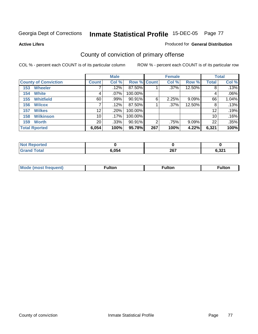**Active Lifers**

#### Produced for **General Distribution**

# County of conviction of primary offense

|                             |              | <b>Male</b> |             |     | <b>Female</b> |          |              | <b>Total</b> |
|-----------------------------|--------------|-------------|-------------|-----|---------------|----------|--------------|--------------|
| <b>County of Conviction</b> | <b>Count</b> | Col %       | Row % Count |     | Col %         | Row %    | <b>Total</b> | Col %        |
| <b>Wheeler</b><br>153       |              | $.12\%$     | 87.50%      |     | $.37\%$       | 12.50%   | 8            | .13%         |
| <b>White</b><br>154         | 4            | $.07\%$     | 100.00%     |     |               |          | 4            | .06%         |
| <b>Whitfield</b><br>155     | 60           | $.99\%$     | 90.91%      | 6   | 2.25%         | $9.09\%$ | 66           | 1.04%        |
| <b>Wilcox</b><br>156        |              | .12%        | 87.50%      |     | $.37\%$       | 12.50%   | 8            | .13%         |
| <b>Wilkes</b><br>157        | 12           | $.20\%$     | 100.00%     |     |               |          | 12           | .19%         |
| <b>Wilkinson</b><br>158     | 10           | .17%        | 100.00%     |     |               |          | 10           | .16%         |
| <b>Worth</b><br>159         | 20           | $.33\%$     | 90.91%      | 2   | .75%          | $9.09\%$ | 22           | .35%         |
| <b>Total Rported</b>        | 6,054        | 100%        | 95.78%      | 267 | 100%          | 4.22%    | 6,321        | 100%         |

| prtea<br><b>NOT REPO</b> |       |     |                |
|--------------------------|-------|-----|----------------|
|                          | 5.054 | 267 | גה ה<br>0.JZ I |

| Mode<br>eauent)<br>nost | ∙ulton | ⊺ulton | <b>ulton</b> |
|-------------------------|--------|--------|--------------|
|                         |        |        |              |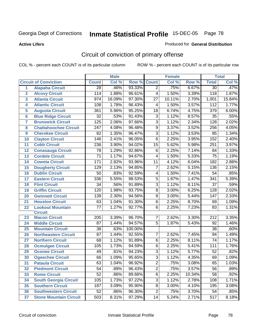**Active Lifers**

#### Produced for **General Distribution**

# Circuit of conviction of primary offense

|                  |                               |                 | <b>Male</b> |         |                 | <b>Female</b> |        | <b>Total</b>     |        |
|------------------|-------------------------------|-----------------|-------------|---------|-----------------|---------------|--------|------------------|--------|
|                  | <b>Circuit of Conviction</b>  | <b>Count</b>    | Col %       | Row %   | <b>Count</b>    | Col %         | Row %  | <b>Total</b>     | Col %  |
| $\mathbf{1}$     | <b>Alapaha Circuit</b>        | $\overline{28}$ | .46%        | 93.33%  | $\overline{2}$  | .75%          | 6.67%  | $\overline{30}$  | .47%   |
| $\overline{2}$   | <b>Alcovy Circuit</b>         | 114             | 1.88%       | 96.61%  | 4               | 1.50%         | 3.39%  | 118              | 1.87%  |
| 3                | <b>Atlanta Circuit</b>        | 974             | 16.09%      | 97.30%  | $\overline{27}$ | 10.11%        | 2.70%  | 1,001            | 15.84% |
| 4                | <b>Atlantic Circuit</b>       | 108             | 1.78%       | 96.43%  | 4               | 1.50%         | 3.57%  | 112              | 1.77%  |
| 5                | <b>Augusta Circuit</b>        | 361             | 5.96%       | 95.25%  | 18              | 6.74%         | 4.75%  | $\overline{379}$ | 6.00%  |
| $6\phantom{a}$   | <b>Blue Ridge Circuit</b>     | $\overline{32}$ | .53%        | 91.43%  | $\overline{3}$  | 1.12%         | 8.57%  | $\overline{35}$  | .55%   |
| $\overline{7}$   | <b>Brunswick Circuit</b>      | 125             | 2.06%       | 97.66%  | $\overline{3}$  | 1.12%         | 2.34%  | 128              | 2.02%  |
| 8                | <b>Chattahoochee Circuit</b>  | 247             | 4.08%       | 96.48%  | 9               | 3.37%         | 3.52%  | 256              | 4.05%  |
| $\boldsymbol{9}$ | <b>Cherokee Circuit</b>       | 82              | 1.35%       | 96.47%  | $\overline{3}$  | 1.12%         | 3.53%  | 85               | 1.34%  |
| 10               | <b>Clayton Circuit</b>        | 146             | 2.41%       | 96.05%  | $\overline{6}$  | 2.25%         | 3.95%  | 152              | 2.40%  |
| 11               | <b>Cobb Circuit</b>           | 236             | 3.90%       | 94.02%  | 15              | 5.62%         | 5.98%  | 251              | 3.97%  |
| 12               | <b>Conasauga Circuit</b>      | 78              | 1.29%       | 92.86%  | 6               | 2.25%         | 7.14%  | 84               | 1.33%  |
| 13               | <b>Cordele Circuit</b>        | $\overline{71}$ | 1.17%       | 94.67%  | 4               | 1.50%         | 5.33%  | $\overline{75}$  | 1.19%  |
| 14               | <b>Coweta Circuit</b>         | 171             | 2.82%       | 93.96%  | 11              | 4.12%         | 6.04%  | 182              | 2.88%  |
| 15               | <b>Dougherty Circuit</b>      | 129             | 2.13%       | 94.85%  | $\overline{7}$  | 2.62%         | 5.15%  | 136              | 2.15%  |
| 16               | <b>Dublin Circuit</b>         | 50              | .83%        | 92.59%  | 4               | 1.50%         | 7.41%  | 54               | .85%   |
| 17               | <b>Eastern Circuit</b>        | 336             | 5.55%       | 98.53%  | $\overline{5}$  | 1.87%         | 1.47%  | 341              | 5.39%  |
| 18               | <b>Flint Circuit</b>          | 34              | .56%        | 91.89%  | $\overline{3}$  | 1.12%         | 8.11%  | $\overline{37}$  | .59%   |
| 19               | <b>Griffin Circuit</b>        | 120             | 1.98%       | 93.75%  | $\overline{8}$  | 3.00%         | 6.25%  | 128              | 2.02%  |
| 20               | <b>Gwinnett Circuit</b>       | 139             | 2.30%       | 94.56%  | 8               | 3.00%         | 5.44%  | 147              | 2.33%  |
| 21               | <b>Houston Circuit</b>        | 63              | 1.04%       | 91.30%  | $\overline{6}$  | 2.25%         | 8.70%  | 69               | 1.09%  |
| 22               | <b>Lookout Mountain</b>       | 77              | 1.27%       | 92.77%  | 6               | 2.25%         | 7.23%  | 83               | 1.31%  |
|                  | <b>Circuit</b>                |                 |             |         |                 |               |        |                  |        |
| 23               | <b>Macon Circuit</b>          | 205             | 3.39%       | 96.70%  | $\overline{7}$  | 2.62%         | 3.30%  | 212              | 3.35%  |
| 24               | <b>Middle Circuit</b>         | 87              | 1.44%       | 94.57%  | $\overline{5}$  | 1.87%         | 5.43%  | 92               | 1.46%  |
| 25               | <b>Mountain Circuit</b>       | 38              | .63%        | 100.00% |                 |               |        | 38               | .60%   |
| 26               | <b>Northeastern Circuit</b>   | $\overline{87}$ | 1.44%       | 92.55%  | 7               | 2.62%         | 7.45%  | $\overline{94}$  | 1.49%  |
| 27               | <b>Northern Circuit</b>       | 68              | 1.12%       | 91.89%  | 6               | 2.25%         | 8.11%  | $\overline{74}$  | 1.17%  |
| 28               | <b>Ocmulgee Circuit</b>       | 105             | 1.73%       | 94.59%  | 6               | 2.25%         | 5.41%  | 111              | 1.76%  |
| 29               | <b>Oconee Circuit</b>         | 49              | .81%        | 94.23%  | $\overline{3}$  | 1.12%         | 5.77%  | 52               | .82%   |
| 30               | <b>Ogeechee Circuit</b>       | 66              | 1.09%       | 95.65%  | $\overline{3}$  | 1.12%         | 4.35%  | 69               | 1.09%  |
| 31               | <b>Pataula Circuit</b>        | $\overline{63}$ | 1.04%       | 96.92%  | $\overline{2}$  | .75%          | 3.08%  | 65               | 1.03%  |
| 32               | <b>Piedmont Circuit</b>       | 54              | .89%        | 96.43%  | $\overline{2}$  | .75%          | 3.57%  | 56               | .89%   |
| 33               | <b>Rome Circuit</b>           | 52              | .86%        | 89.66%  | 6               | 2.25%         | 10.34% | 58               | .92%   |
| 34               | <b>South Georgia Circuit</b>  | 105             | 1.73%       | 97.22%  | $\overline{3}$  | 1.12%         | 2.78%  | 108              | 1.71%  |
| 35               | <b>Southern Circuit</b>       | 187             | 3.09%       | 95.90%  | 8               | 3.00%         | 4.10%  | 195              | 3.08%  |
| 36               | <b>Southwestern Circuit</b>   | 52              | .86%        | 96.30%  | $\overline{2}$  | .75%          | 3.70%  | 54               | .85%   |
| 37               | <b>Stone Mountain Circuit</b> | 503             | 8.31%       | 97.29%  | 14              | 5.24%         | 2.71%  | $\overline{517}$ | 8.18%  |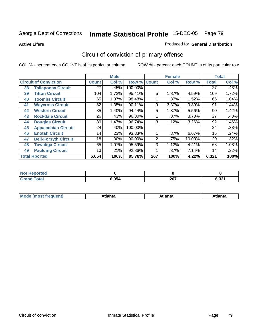**Active Lifers**

#### Produced for **General Distribution**

# Circuit of conviction of primary offense

|    |                              |              | <b>Male</b> |                    |     | <b>Female</b> |          |                 | <b>Total</b> |
|----|------------------------------|--------------|-------------|--------------------|-----|---------------|----------|-----------------|--------------|
|    | <b>Circuit of Conviction</b> | <b>Count</b> | Col %       | <b>Row % Count</b> |     | Col %         | Row %    | <b>Total</b>    | Col %        |
| 38 | <b>Tallapoosa Circuit</b>    | 27           | .45%        | 100.00%            |     |               |          | $\overline{27}$ | .43%         |
| 39 | <b>Tifton Circuit</b>        | 104          | 1.72%       | 95.41%             | 5   | 1.87%         | 4.59%    | 109             | 1.72%        |
| 40 | <b>Toombs Circuit</b>        | 65           | 1.07%       | 98.48%             |     | .37%          | 1.52%    | 66              | 1.04%        |
| 41 | <b>Waycross Circuit</b>      | 82           | 1.35%       | 90.11%             | 9   | 3.37%         | 9.89%    | 91              | 1.44%        |
| 42 | <b>Western Circuit</b>       | 85           | 1.40%       | 94.44%             | 5   | 1.87%         | 5.56%    | 90              | 1.42%        |
| 43 | <b>Rockdale Circuit</b>      | 26           | .43%        | 96.30%             |     | .37%          | $3.70\%$ | 27              | .43%         |
| 44 | <b>Douglas Circuit</b>       | 89           | 1.47%       | 96.74%             | 3   | 1.12%         | $3.26\%$ | 92              | 1.46%        |
| 45 | <b>Appalachian Circuit</b>   | 24           | .40%        | 100.00%            |     |               |          | 24              | .38%         |
| 46 | <b>Enotah Circuit</b>        | 14           | .23%        | 93.33%             |     | .37%          | 6.67%    | 15              | .24%         |
| 47 | <b>Bell-Forsyth Circuit</b>  | 18           | .30%        | 90.00%             | 2   | .75%          | 10.00%   | 20              | .32%         |
| 48 | <b>Towaliga Circuit</b>      | 65           | 1.07%       | 95.59%             | 3   | 1.12%         | 4.41%    | 68              | 1.08%        |
| 49 | <b>Paulding Circuit</b>      | 13           | .21%        | 92.86%             |     | .37%          | 7.14%    | 14              | .22%         |
|    | <b>Total Rported</b>         | 6,054        | 100%        | 95.78%             | 267 | 100%          | 4.22%    | 6,321           | 100%         |

| rted<br>NOT<br> |       |     |                 |
|-----------------|-------|-----|-----------------|
|                 | 6,054 | 267 | 0.224<br>0.JZ . |

| M | ---<br><b><i><u>Property and the second second</u></i></b> | ˈanta | ---<br>Alidiild |
|---|------------------------------------------------------------|-------|-----------------|
|   |                                                            |       |                 |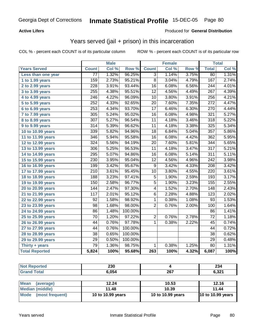#### **Active Lifers**

#### Produced for **General Distribution**

# Years served (jail + prison) in this incarceration

|                              |                  | <b>Male</b> |                  |                 | <b>Female</b> |       |                  | <b>Total</b> |
|------------------------------|------------------|-------------|------------------|-----------------|---------------|-------|------------------|--------------|
| <b>Years Served</b>          | <b>Count</b>     | Col %       | Row <sup>%</sup> | <b>Count</b>    | Col %         | Row % | <b>Total</b>     | Col %        |
| Less than one year           | $\overline{77}$  | 1.32%       | 96.25%           | $\overline{3}$  | 1.14%         | 3.75% | 80               | 1.31%        |
| 1 to 1.99 years              | $\overline{159}$ | 2.73%       | 95.21%           | $\overline{8}$  | 3.04%         | 4.79% | 167              | 2.74%        |
| 2 to 2.99 years              | $\overline{228}$ | 3.91%       | 93.44%           | $\overline{16}$ | 6.08%         | 6.56% | $\overline{244}$ | 4.01%        |
| 3 to 3.99 years              | 255              | 4.38%       | 95.51%           | $\overline{12}$ | 4.56%         | 4.49% | $\overline{267}$ | 4.39%        |
| $\overline{4}$ to 4.99 years | $\overline{246}$ | 4.22%       | 96.09%           | 10              | 3.80%         | 3.91% | 256              | 4.21%        |
| 5 to 5.99 years              | 252              | 4.33%       | 92.65%           | $\overline{20}$ | 7.60%         | 7.35% | $\overline{272}$ | 4.47%        |
| 6 to 6.99 years              | 253              | 4.34%       | 93.70%           | $\overline{17}$ | 6.46%         | 6.30% | 270              | 4.44%        |
| $\overline{7}$ to 7.99 years | 305              | 5.24%       | 95.02%           | $\overline{16}$ | 6.08%         | 4.98% | 321              | 5.27%        |
| 8 to 8.99 years              | $\overline{307}$ | 5.27%       | 96.54%           | $\overline{11}$ | 4.18%         | 3.46% | $\overline{318}$ | 5.22%        |
| 9 to 9.99 years              | $\overline{314}$ | 5.39%       | 96.62%           | 11              | 4.18%         | 3.38% | 325              | 5.34%        |
| 10 to 10.99 years            | 339              | 5.82%       | 94.96%           | $\overline{18}$ | 6.84%         | 5.04% | $\overline{357}$ | 5.86%        |
| 11 to 11.99 years            | $\overline{346}$ | 5.94%       | 95.58%           | 16              | 6.08%         | 4.42% | 362              | 5.95%        |
| 12 to 12.99 years            | 324              | 5.56%       | 94.19%           | 20              | 7.60%         | 5.81% | 344              | 5.65%        |
| 13 to 13.99 years            | $\overline{306}$ | 5.25%       | 96.53%           | $\overline{11}$ | 4.18%         | 3.47% | $\overline{317}$ | 5.21%        |
| 14 to 14.99 years            | $\overline{295}$ | 5.07%       | 94.86%           | $\overline{16}$ | 6.08%         | 5.14% | $\overline{311}$ | 5.11%        |
| 15 to 15.99 years            | $\overline{230}$ | 3.95%       | 95.04%           | $\overline{12}$ | 4.56%         | 4.96% | $\overline{242}$ | 3.98%        |
| 16 to 16.99 years            | 199              | 3.42%       | 95.67%           | $\overline{9}$  | 3.42%         | 4.33% | $\overline{208}$ | 3.42%        |
| 17 to 17.99 years            | $\overline{210}$ | 3.61%       | 95.45%           | $\overline{10}$ | 3.80%         | 4.55% | $\overline{220}$ | 3.61%        |
| 18 to 18.99 years            | 188              | 3.23%       | 97.41%           | $\overline{5}$  | 1.90%         | 2.59% | 193              | 3.17%        |
| 19 to 19.99 years            | 150              | 2.58%       | 96.77%           | $\overline{5}$  | 1.90%         | 3.23% | 155              | 2.55%        |
| 20 to 20.99 years            | 144              | 2.47%       | 97.30%           | 4               | 1.52%         | 2.70% | 148              | 2.43%        |
| 21 to 21.99 years            | 117              | 2.01%       | 95.12%           | 6               | 2.28%         | 4.88% | 123              | 2.02%        |
| 22 to 22.99 years            | $\overline{92}$  | 1.58%       | 98.92%           | 1               | 0.38%         | 1.08% | $\overline{93}$  | 1.53%        |
| 23 to 23.99 years            | $\overline{98}$  | 1.68%       | 98.00%           | $\overline{2}$  | 0.76%         | 2.00% | 100              | 1.64%        |
| 24 to 24.99 years            | $\overline{86}$  | 1.48%       | 100.00%          |                 |               |       | 86               | 1.41%        |
| 25 to 25.99 years            | $\overline{70}$  | 1.20%       | 97.22%           | $\overline{2}$  | 0.76%         | 2.78% | $\overline{72}$  | 1.18%        |
| 26 to 26.99 years            | 44               | 0.76%       | 97.78%           | $\mathbf{1}$    | 0.38%         | 2.22% | 45               | 0.74%        |
| 27 to 27.99 years            | 44               | 0.76%       | 100.00%          |                 |               |       | $\overline{44}$  | 0.72%        |
| 28 to 28.99 years            | $\overline{38}$  | 0.65%       | 100.00%          |                 |               |       | $\overline{38}$  | 0.62%        |
| 29 to 29.99 years            | $\overline{29}$  | 0.50%       | 100.00%          |                 |               |       | 29               | 0.48%        |
| Thirty + years               | $\overline{79}$  | 1.36%       | 98.75%           | $\mathbf 1$     | 0.38%         | 1.25% | $\overline{80}$  | 1.31%        |
| <b>Total Reported</b>        | 5,824            | 100%        | 95.68%           | 263             | 100%          | 4.32% | 6,087            | 100%         |

| <b>Not Reported</b>            | 230               |                                                  | 234               |  |  |
|--------------------------------|-------------------|--------------------------------------------------|-------------------|--|--|
| <b>Grand Total</b>             | 6.054             | 267<br>6,321<br>12.16<br>10.53<br>11.44<br>10.39 |                   |  |  |
|                                |                   |                                                  |                   |  |  |
| <b>Mean</b><br>(average)       | 12.24             |                                                  |                   |  |  |
| <b>Median (middle)</b>         | 11.48             |                                                  |                   |  |  |
| <b>Mode</b><br>(most frequent) | 10 to 10.99 years | 10 to 10.99 years                                | 10 to 10.99 years |  |  |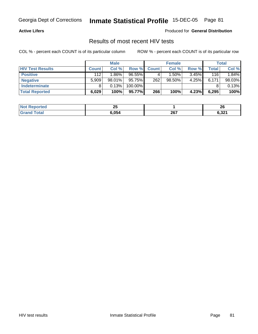#### **Active Lifers**

Produced for **General Distribution**

### Results of most recent HIV tests

|                         |              | <b>Male</b> |            |              | <b>Female</b> |          |       | Total  |
|-------------------------|--------------|-------------|------------|--------------|---------------|----------|-------|--------|
| <b>HIV Test Results</b> | <b>Count</b> | Col %       | Row %      | <b>Count</b> | Col %         | Row %    | Total | Col %  |
| <b>Positive</b>         | 112          | $1.86\%$    | $96.55\%$  |              | $1.50\%$      | $3.45\%$ | 116   | 1.84%  |
| <b>Negative</b>         | 5,909        | $98.01\%$   | 95.75%     | 262          | $98.50\%$     | 4.25%    | 6,171 | 98.03% |
| <b>Indeterminate</b>    |              | 0.13%       | $100.00\%$ |              |               |          |       | 0.13%  |
| <b>Total Reported</b>   | 6,029        | 100%        | 95.77%     | 266          | 100%          | 4.23%    | 6,295 | 100%   |

| <b>Not</b> | יי                       |     | ີ               |
|------------|--------------------------|-----|-----------------|
| orted      | $\overline{\phantom{a}}$ |     | - -             |
| int<br>.   | 6,054                    | 267 | e nna<br>0,JZ I |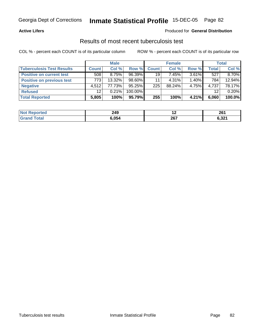#### **Active Lifers**

#### Produced for **General Distribution**

### Results of most recent tuberculosis test

|                                  | <b>Male</b>     |           |           | <b>Female</b> | <b>Total</b> |          |                   |        |
|----------------------------------|-----------------|-----------|-----------|---------------|--------------|----------|-------------------|--------|
| <b>Tuberculosis Test Results</b> | <b>Count</b>    | Col %     | Row %     | Count         | Col %        | Row %    | Total             | Col %  |
| <b>Positive on current test</b>  | 508             | 8.75%     | $96.39\%$ | 19            | 7.45% l      | $3.61\%$ | 527               | 8.70%  |
| <b>Positive on previous test</b> | 773             | $13.32\%$ | 98.60%    | 11            | 4.31%        | $1.40\%$ | 784               | 12.94% |
| <b>Negative</b>                  | 4.512           | 77.73%    | 95.25%    | 225           | 88.24%       | 4.75%    | 4,737             | 78.17% |
| <b>Refused</b>                   | 12 <sup>°</sup> | $0.21\%$  | 100.00%   |               |              |          | $12 \overline{ }$ | 0.20%  |
| <b>Total Reported</b>            | 5,805           | 100%      | 95.79%    | 255           | 100%         | 4.21%    | 6,060             | 100.0% |

| <b>Not</b><br>Reported  | 249          | . . | ים מ<br>ZU I |
|-------------------------|--------------|-----|--------------|
| <b>Total</b><br>l Grani | <b>6.054</b> | 267 | 6,321        |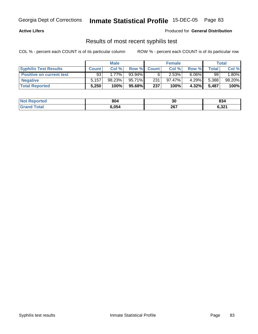#### **Active Lifers**

Produced for **General Distribution**

### Results of most recent syphilis test

|                                 | <b>Male</b>  |          |        |             | <b>Female</b> |          |       | Total   |  |
|---------------------------------|--------------|----------|--------|-------------|---------------|----------|-------|---------|--|
| <b>Syphilis Test Results</b>    | <b>Count</b> | Col %    |        | Row % Count | Col %         | Row %    | Total | Col %   |  |
| <b>Positive on current test</b> | 93           | $1.77\%$ | 93.94% |             | 2.53%         | $6.06\%$ | 99    | $.80\%$ |  |
| <b>Negative</b>                 | 5.157        | 98.23%   | 95.71% | 231         | $97.47\%$     | 4.29%    | 5,388 | 98.20%  |  |
| <b>Total Reported</b>           | 5,250        | 100%     | 95.68% | 237         | 100%          | 4.32%    | 5,487 | 100%    |  |

| <b>Not Reported</b>   | 804   | 00<br>งบ    | 834   |
|-----------------------|-------|-------------|-------|
| <b>Total</b><br>Grand | 6,054 | ־20<br>20 I | 6,321 |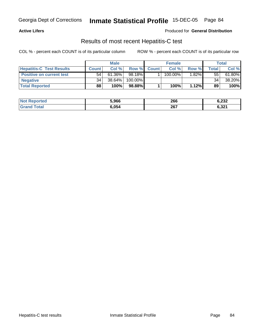#### **Active Lifers**

Produced for **General Distribution**

### Results of most recent Hepatitis-C test

|                                 |              | <b>Male</b> |         |              | <b>Female</b> |                       |       | Total     |  |
|---------------------------------|--------------|-------------|---------|--------------|---------------|-----------------------|-------|-----------|--|
| <b>Hepatitis-C Test Results</b> | <b>Count</b> | Col %       | Row %   | <b>Count</b> | Col %         | Row %                 | Total | Col %     |  |
| <b>Positive on current test</b> | 54           | $61.36\%$   | 98.18%  |              | $100.00\%$    | $1.\overline{82\%}$ i | 55    | $61.80\%$ |  |
| <b>Negative</b>                 | 34           | 38.64%      | 100.00% |              |               |                       | 34    | 38.20%    |  |
| <b>Total Reported</b>           | 88           | 100%        | 98.88%  |              | 100%          | 1.12%                 | 89    | 100%      |  |

| <b>Not Reported</b> | 5,966 | 266 | 6,232 |
|---------------------|-------|-----|-------|
| `otal               | 3,054 | 267 | 6,321 |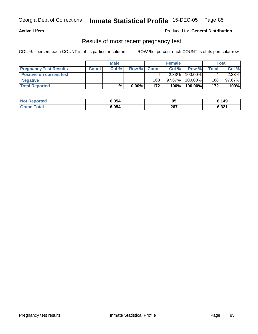#### **Active Lifers**

#### Produced for **General Distribution**

### Results of most recent pregnancy test

|                                 | <b>Male</b>  |       |          | <b>Female</b> | Total    |            |       |        |
|---------------------------------|--------------|-------|----------|---------------|----------|------------|-------|--------|
| <b>Pregnancy Test Results</b>   | <b>Count</b> | Col % |          | Row % Count   | Col %    | Row %      | Total | Col %  |
| <b>Positive on current test</b> |              |       |          |               | $2.33\%$ | 100.00%    |       | 2.33%  |
| <b>Negative</b>                 |              |       |          | 168           | 97.67%   | 100.00%    | 168   | 97.67% |
| <b>Total Reported</b>           |              | %     | $0.00\%$ | 172           | 100%     | $100.00\%$ | 172   | 100%   |

| <b>Not Reported</b>  | 6.054 | ດເ<br>ึ୰ | 5,149 |
|----------------------|-------|----------|-------|
| ⊺otal<br><b>Grai</b> | 6,054 | 267      | 6,321 |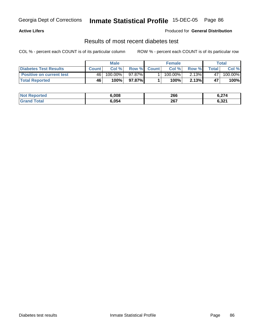#### **Active Lifers**

#### Produced for **General Distribution**

### Results of most recent diabetes test

|                                 | <b>Male</b>  |                       |         |             | <b>Female</b> |          |         | Total      |  |
|---------------------------------|--------------|-----------------------|---------|-------------|---------------|----------|---------|------------|--|
| <b>Diabetes Test Results</b>    | <b>Count</b> | Col %                 |         | Row % Count | Col %         | Row %    | ™otal ⊢ | Col %      |  |
| <b>Positive on current test</b> | 46           | $100.\overline{00\%}$ | 97.87%I |             | $100.00\%$    | $2.13\%$ | 47      | $100.00\%$ |  |
| <b>Total Reported</b>           | 46           | 100%                  | 97.87%I |             | 100%          | 2.13%    | 47      | 100%       |  |

| <b>Not Reported</b>  | 6.008 | 266 | 6,274 |
|----------------------|-------|-----|-------|
| Γotal<br><b>Gran</b> | 6.054 | 267 | 6,321 |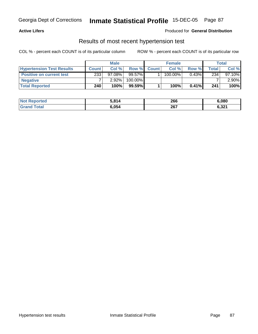#### **Active Lifers**

#### Produced for **General Distribution**

### Results of most recent hypertension test

|                                  | <b>Male</b> |           | <b>Female</b> |             |         | Total    |              |           |
|----------------------------------|-------------|-----------|---------------|-------------|---------|----------|--------------|-----------|
| <b>Hypertension Test Results</b> | Count       | Col%      |               | Row % Count | Col%    | Row %    | <b>Total</b> | Col %     |
| <b>Positive on current test</b>  | 233         | $97.08\%$ | 99.57%        |             | 100.00% | $0.43\%$ | 234          | $97.10\%$ |
| <b>Negative</b>                  |             | 2.92%     | 100.00%       |             |         |          |              | $2.90\%$  |
| <b>Total Reported</b>            | 240         | 100%      | $99.59\%$     |             | 100%    | $0.41\%$ | 241          | 100%      |

| <b>Not Reported</b> | 814، ز | 266 | 6.080 |
|---------------------|--------|-----|-------|
| <b>Total</b>        | 6,054  | 267 | 6,321 |